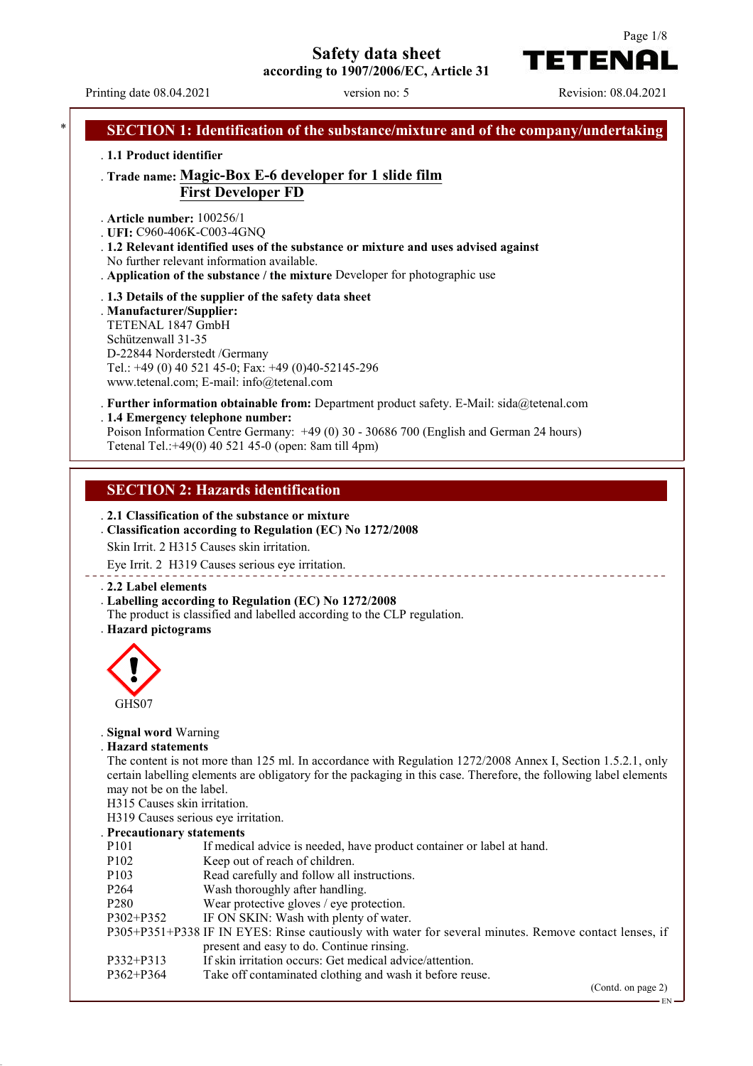**Safety data sheet**

**according to 1907/2006/EC, Article 31**

Page 1/8

TETENAI

Printing date 08.04.2021 version no: 5 Revision: 08.04.2021 **SECTION 1: Identification of the substance/mixture and of the company/undertaking** . **1.1 Product identifier** . **Trade name: Magic-Box E-6 developer for 1 slide film First Developer FD** . **Article number:** 100256/1 . **UFI:** C960-406K-C003-4GNQ . **1.2 Relevant identified uses of the substance or mixture and uses advised against** No further relevant information available. . **Application of the substance / the mixture** Developer for photographic use . **1.3 Details of the supplier of the safety data sheet** . **Manufacturer/Supplier:** TETENAL 1847 GmbH Schützenwall 31-35 D-22844 Norderstedt /Germany Tel.: +49 (0) 40 521 45-0; Fax: +49 (0)40-52145-296 www.tetenal.com; E-mail: info@tetenal.com . **Further information obtainable from:** Department product safety. E-Mail: sida@tetenal.com . **1.4 Emergency telephone number:** Poison Information Centre Germany: +49 (0) 30 - 30686 700 (English and German 24 hours) Tetenal Tel.:+49(0) 40 521 45-0 (open: 8am till 4pm) **SECTION 2: Hazards identification** . **2.1 Classification of the substance or mixture** . **Classification according to Regulation (EC) No 1272/2008** Skin Irrit. 2 H315 Causes skin irritation. Eye Irrit. 2 H319 Causes serious eye irritation. \_\_\_\_\_\_\_\_\_\_\_\_\_\_\_\_\_\_\_ . **2.2 Label elements** . **Labelling according to Regulation (EC) No 1272/2008** The product is classified and labelled according to the CLP regulation. . **Hazard pictograms** GHS07 . **Signal word** Warning . **Hazard statements** The content is not more than 125 ml. In accordance with Regulation 1272/2008 Annex I, Section 1.5.2.1, only certain labelling elements are obligatory for the packaging in this case. Therefore, the following label elements may not be on the label. H315 Causes skin irritation. H319 Causes serious eye irritation. . **Precautionary statements** P101 If medical advice is needed, have product container or label at hand. P102 Keep out of reach of children. P103 Read carefully and follow all instructions. P264 Wash thoroughly after handling. P280 Wear protective gloves / eye protection. P302+P352 IF ON SKIN: Wash with plenty of water. P305+P351+P338 IF IN EYES: Rinse cautiously with water for several minutes. Remove contact lenses, if present and easy to do. Continue rinsing. P332+P313 If skin irritation occurs: Get medical advice/attention. P362+P364 Take off contaminated clothing and wash it before reuse.

(Contd. on page 2)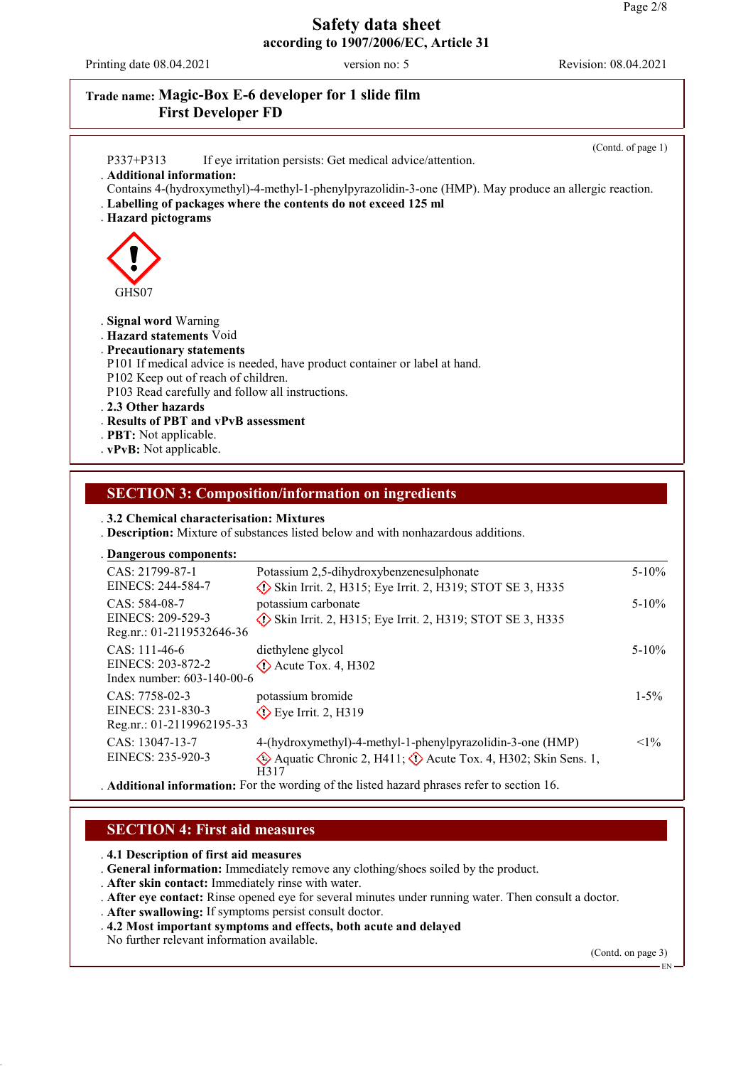Printing date 08.04.2021 version no: 5 Revision: 08.04.2021

## **Trade name: Magic-Box E-6 developer for 1 slide film First Developer FD**

|                                                                                                        | (Contd. of page 1) |
|--------------------------------------------------------------------------------------------------------|--------------------|
| If eye irritation persists: Get medical advice/attention.<br>P337+P313                                 |                    |
| . Additional information:                                                                              |                    |
| Contains 4-(hydroxymethyl)-4-methyl-1-phenylpyrazolidin-3-one (HMP). May produce an allergic reaction. |                    |
| . Labelling of packages where the contents do not exceed 125 ml                                        |                    |
| . Hazard pictograms                                                                                    |                    |
|                                                                                                        |                    |
|                                                                                                        |                    |
|                                                                                                        |                    |
|                                                                                                        |                    |
| GHS07                                                                                                  |                    |
|                                                                                                        |                    |
| . Signal word Warning                                                                                  |                    |
| . Hazard statements Void                                                                               |                    |
| . Precautionary statements                                                                             |                    |
| P101 If medical advice is needed, have product container or label at hand.                             |                    |
| P102 Keep out of reach of children.                                                                    |                    |
| P103 Read carefully and follow all instructions.                                                       |                    |
| .2.3 Other hazards                                                                                     |                    |
| . Results of PBT and vPvB assessment                                                                   |                    |
|                                                                                                        |                    |
| . <b>PBT:</b> Not applicable.                                                                          |                    |
| . vPvB: Not applicable.                                                                                |                    |

### **SECTION 3: Composition/information on ingredients**

. **3.2 Chemical characterisation: Mixtures**

. **Description:** Mixture of substances listed below and with nonhazardous additions.

#### **Dangerous components:** .

| CAS: 21799-87-1<br>EINECS: 244-584-7                               | Potassium 2,5-dihydroxybenzenesulphonate<br>$\Diamond$ Skin Irrit. 2, H315; Eye Irrit. 2, H319; STOT SE 3, H335                                        | $5 - 10%$  |
|--------------------------------------------------------------------|--------------------------------------------------------------------------------------------------------------------------------------------------------|------------|
| CAS: 584-08-7<br>EINECS: 209-529-3<br>Reg.nr.: 01-2119532646-36    | potassium carbonate<br>$\Diamond$ Skin Irrit. 2, H315; Eye Irrit. 2, H319; STOT SE 3, H335                                                             | $5 - 10\%$ |
| $CAS: 111-46-6$<br>EINECS: 203-872-2<br>Index number: 603-140-00-6 | diethylene glycol<br>$\Diamond$ Acute Tox. 4, H302                                                                                                     | $5 - 10\%$ |
| CAS: 7758-02-3<br>EINECS: 231-830-3<br>Reg.nr.: 01-2119962195-33   | potassium bromide<br>$\diamond$ Eye Irrit. 2, H319                                                                                                     | $1 - 5\%$  |
| CAS: 13047-13-7<br>EINECS: 235-920-3                               | 4-(hydroxymethyl)-4-methyl-1-phenylpyrazolidin-3-one (HMP)<br>$\Diamond$ Aquatic Chronic 2, H411; $\Diamond$ Acute Tox. 4, H302; Skin Sens. 1,<br>H317 | $<1\%$     |

. **Additional information:** For the wording of the listed hazard phrases refer to section 16.

#### **SECTION 4: First aid measures**

. **4.1 Description of first aid measures**

. **General information:** Immediately remove any clothing/shoes soiled by the product.

- . **After skin contact:** Immediately rinse with water.
- . **After eye contact:** Rinse opened eye for several minutes under running water. Then consult a doctor.
- . **After swallowing:** If symptoms persist consult doctor.
- . **4.2 Most important symptoms and effects, both acute and delayed**

No further relevant information available.

(Contd. on page 3)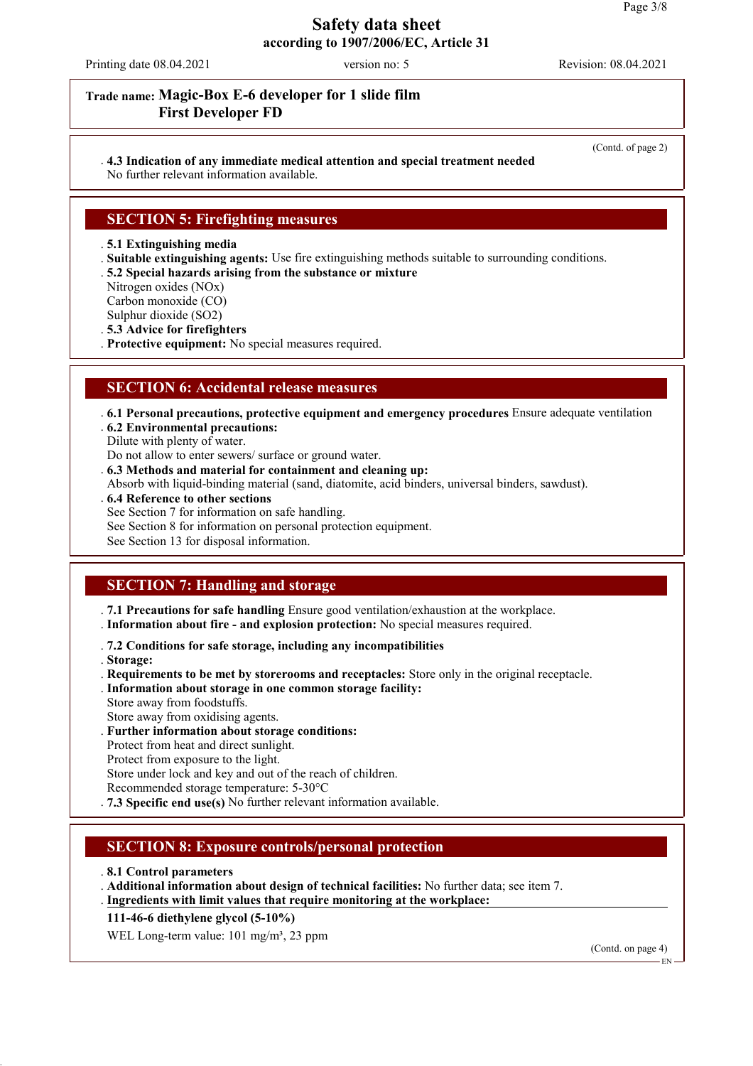Printing date 08.04.2021 version no: 5 Revision: 08.04.2021

(Contd. of page 2)

### **Trade name: Magic-Box E-6 developer for 1 slide film First Developer FD**

# . **4.3 Indication of any immediate medical attention and special treatment needed**

No further relevant information available.

## **SECTION 5: Firefighting measures**

. **5.1 Extinguishing media**

- . **Suitable extinguishing agents:** Use fire extinguishing methods suitable to surrounding conditions.
- . **5.2 Special hazards arising from the substance or mixture**
- Nitrogen oxides (NOx)

Carbon monoxide (CO)

Sulphur dioxide (SO2)

. **5.3 Advice for firefighters**

. **Protective equipment:** No special measures required.

### **SECTION 6: Accidental release measures**

. **6.1 Personal precautions, protective equipment and emergency procedures** Ensure adequate ventilation

- . **6.2 Environmental precautions:**
- Dilute with plenty of water.

Do not allow to enter sewers/ surface or ground water.

- . **6.3 Methods and material for containment and cleaning up:**
- Absorb with liquid-binding material (sand, diatomite, acid binders, universal binders, sawdust).
- . **6.4 Reference to other sections**
- See Section 7 for information on safe handling.
- See Section 8 for information on personal protection equipment.

See Section 13 for disposal information.

# **SECTION 7: Handling and storage**

. **7.1 Precautions for safe handling** Ensure good ventilation/exhaustion at the workplace.

. **Information about fire - and explosion protection:** No special measures required.

. **7.2 Conditions for safe storage, including any incompatibilities**

. **Storage:**

. **Requirements to be met by storerooms and receptacles:** Store only in the original receptacle.

- . **Information about storage in one common storage facility:**
- Store away from foodstuffs.
- Store away from oxidising agents.
- . **Further information about storage conditions:**
- Protect from heat and direct sunlight.
- Protect from exposure to the light.

Store under lock and key and out of the reach of children.

- Recommended storage temperature: 5-30°C
- . **7.3 Specific end use(s)** No further relevant information available.

# **SECTION 8: Exposure controls/personal protection**

- . **8.1 Control parameters**
- . **Additional information about design of technical facilities:** No further data; see item 7.
- . Ingredients with limit values that require monitoring at the workplace:

**111-46-6 diethylene glycol (5-10%)**

WEL Long-term value: 101 mg/m<sup>3</sup>, 23 ppm

(Contd. on page 4)

EN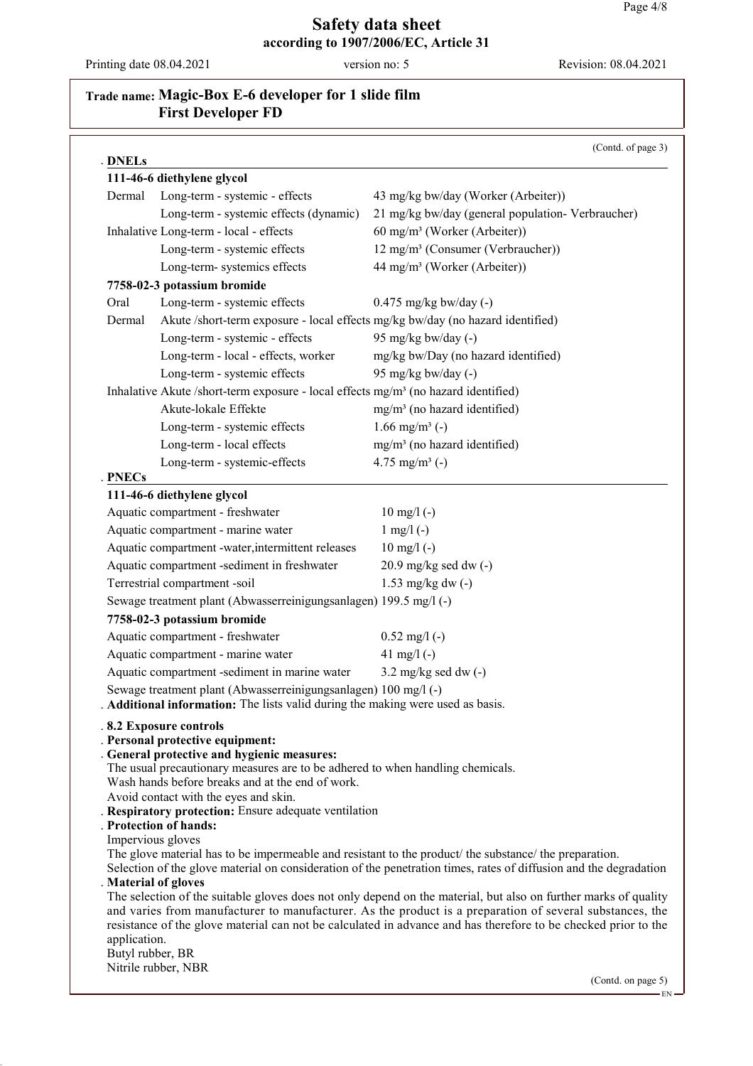Printing date 08.04.2021 version no: 5 Revision: 08.04.2021

# **Trade name: Magic-Box E-6 developer for 1 slide film First Developer FD**

| DNELs        |                                                                                                                                                         | (Contd. of page 3)                                                                                                                                                                                                                                                                                                                            |
|--------------|---------------------------------------------------------------------------------------------------------------------------------------------------------|-----------------------------------------------------------------------------------------------------------------------------------------------------------------------------------------------------------------------------------------------------------------------------------------------------------------------------------------------|
|              | 111-46-6 diethylene glycol                                                                                                                              |                                                                                                                                                                                                                                                                                                                                               |
| Dermal       | Long-term - systemic - effects                                                                                                                          | 43 mg/kg bw/day (Worker (Arbeiter))                                                                                                                                                                                                                                                                                                           |
|              | Long-term - systemic effects (dynamic)                                                                                                                  | 21 mg/kg bw/day (general population-Verbraucher)                                                                                                                                                                                                                                                                                              |
|              | Inhalative Long-term - local - effects                                                                                                                  | 60 mg/m <sup>3</sup> (Worker (Arbeiter))                                                                                                                                                                                                                                                                                                      |
|              | Long-term - systemic effects                                                                                                                            | 12 mg/m <sup>3</sup> (Consumer (Verbraucher))                                                                                                                                                                                                                                                                                                 |
|              | Long-term- systemics effects                                                                                                                            | 44 mg/m <sup>3</sup> (Worker (Arbeiter))                                                                                                                                                                                                                                                                                                      |
|              | 7758-02-3 potassium bromide                                                                                                                             |                                                                                                                                                                                                                                                                                                                                               |
| Oral         | Long-term - systemic effects                                                                                                                            | $0.475$ mg/kg bw/day (-)                                                                                                                                                                                                                                                                                                                      |
| Dermal       | Akute /short-term exposure - local effects mg/kg bw/day (no hazard identified)                                                                          |                                                                                                                                                                                                                                                                                                                                               |
|              | Long-term - systemic - effects                                                                                                                          | 95 mg/kg bw/day (-)                                                                                                                                                                                                                                                                                                                           |
|              | Long-term - local - effects, worker                                                                                                                     | mg/kg bw/Day (no hazard identified)                                                                                                                                                                                                                                                                                                           |
|              | Long-term - systemic effects                                                                                                                            | 95 mg/kg bw/day (-)                                                                                                                                                                                                                                                                                                                           |
|              |                                                                                                                                                         |                                                                                                                                                                                                                                                                                                                                               |
|              | Inhalative Akute /short-term exposure - local effects mg/m <sup>3</sup> (no hazard identified)<br>Akute-lokale Effekte                                  |                                                                                                                                                                                                                                                                                                                                               |
|              |                                                                                                                                                         | $mg/m3$ (no hazard identified)                                                                                                                                                                                                                                                                                                                |
|              | Long-term - systemic effects                                                                                                                            | 1.66 mg/m <sup>3</sup> (-)                                                                                                                                                                                                                                                                                                                    |
|              | Long-term - local effects                                                                                                                               | mg/m <sup>3</sup> (no hazard identified)                                                                                                                                                                                                                                                                                                      |
| <b>PNECs</b> | Long-term - systemic-effects                                                                                                                            | 4.75 mg/m <sup>3</sup> (-)                                                                                                                                                                                                                                                                                                                    |
|              | 111-46-6 diethylene glycol                                                                                                                              |                                                                                                                                                                                                                                                                                                                                               |
|              | Aquatic compartment - freshwater                                                                                                                        | $10 \text{ mg}/1$ (-)                                                                                                                                                                                                                                                                                                                         |
|              | Aquatic compartment - marine water                                                                                                                      | $1$ mg/l $(-)$                                                                                                                                                                                                                                                                                                                                |
|              | Aquatic compartment -water, intermittent releases                                                                                                       | $10 \text{ mg/l}$ (-)                                                                                                                                                                                                                                                                                                                         |
|              | Aquatic compartment -sediment in freshwater                                                                                                             | $20.9$ mg/kg sed dw $(-)$                                                                                                                                                                                                                                                                                                                     |
|              | Terrestrial compartment -soil                                                                                                                           | $1.53$ mg/kg dw $(-)$                                                                                                                                                                                                                                                                                                                         |
|              |                                                                                                                                                         |                                                                                                                                                                                                                                                                                                                                               |
|              | Sewage treatment plant (Abwasserreinigungsanlagen) 199.5 mg/l (-)                                                                                       |                                                                                                                                                                                                                                                                                                                                               |
|              | 7758-02-3 potassium bromide                                                                                                                             |                                                                                                                                                                                                                                                                                                                                               |
|              | Aquatic compartment - freshwater                                                                                                                        | $0.52$ mg/l $(-)$                                                                                                                                                                                                                                                                                                                             |
|              | Aquatic compartment - marine water                                                                                                                      | 41 mg/l $(-)$                                                                                                                                                                                                                                                                                                                                 |
|              | Aquatic compartment -sediment in marine water                                                                                                           | $3.2$ mg/kg sed dw $(-)$                                                                                                                                                                                                                                                                                                                      |
|              | Sewage treatment plant (Abwasserreinigungsanlagen) 100 mg/l (-)<br><b>Additional information:</b> The lists valid during the making were used as basis. |                                                                                                                                                                                                                                                                                                                                               |
|              | .8.2 Exposure controls<br>. Personal protective equipment:<br>. General protective and hygienic measures:                                               |                                                                                                                                                                                                                                                                                                                                               |
|              | The usual precautionary measures are to be adhered to when handling chemicals.<br>Wash hands before breaks and at the end of work.                      |                                                                                                                                                                                                                                                                                                                                               |
|              | Avoid contact with the eyes and skin.                                                                                                                   |                                                                                                                                                                                                                                                                                                                                               |
|              | . Respiratory protection: Ensure adequate ventilation<br><b>Protection of hands:</b>                                                                    |                                                                                                                                                                                                                                                                                                                                               |
|              | Impervious gloves                                                                                                                                       |                                                                                                                                                                                                                                                                                                                                               |
|              |                                                                                                                                                         | The glove material has to be impermeable and resistant to the product the substance the preparation.                                                                                                                                                                                                                                          |
|              |                                                                                                                                                         | Selection of the glove material on consideration of the penetration times, rates of diffusion and the degradation                                                                                                                                                                                                                             |
| application. | Material of gloves                                                                                                                                      | The selection of the suitable gloves does not only depend on the material, but also on further marks of quality<br>and varies from manufacturer to manufacturer. As the product is a preparation of several substances, the<br>resistance of the glove material can not be calculated in advance and has therefore to be checked prior to the |
|              | Butyl rubber, BR                                                                                                                                        |                                                                                                                                                                                                                                                                                                                                               |
|              | Nitrile rubber, NBR                                                                                                                                     |                                                                                                                                                                                                                                                                                                                                               |
|              |                                                                                                                                                         | (Contd. on page 5)                                                                                                                                                                                                                                                                                                                            |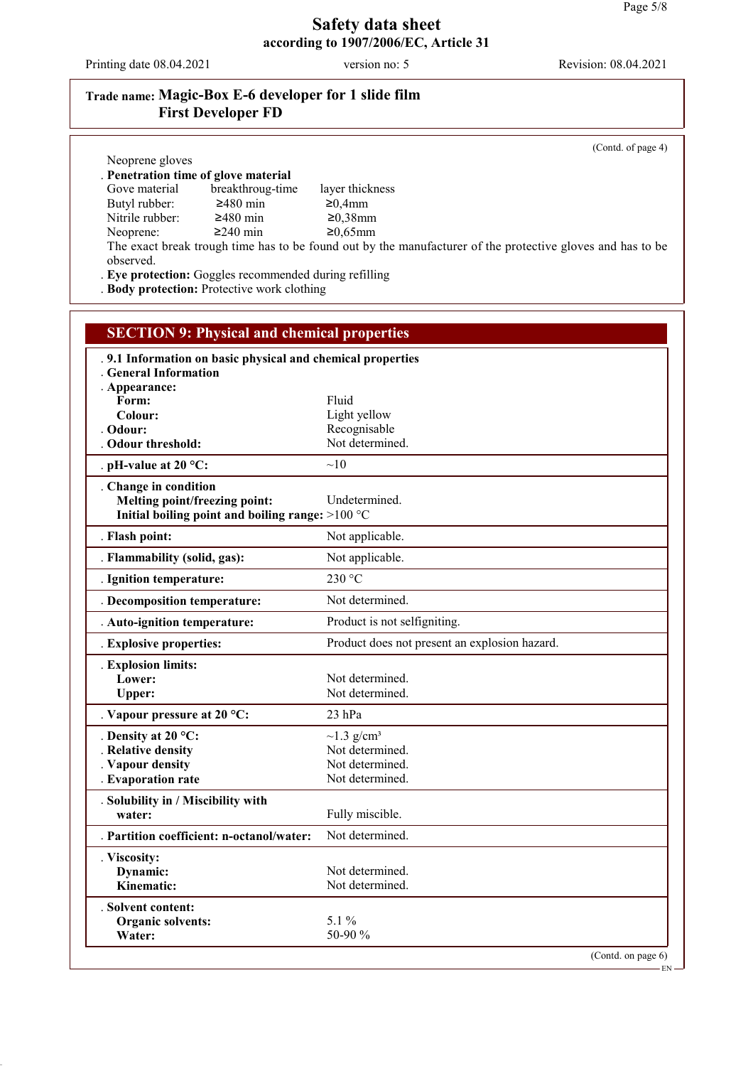Printing date 08.04.2021 version no: 5 Revision: 08.04.2021

# **Trade name: Magic-Box E-6 developer for 1 slide film First Developer FD**

(Contd. of page 4)

| Neoprene gloves                                                                                     |                                                                                                            |
|-----------------------------------------------------------------------------------------------------|------------------------------------------------------------------------------------------------------------|
| Penetration time of glove material<br>Gove material<br>breakthroug-time                             |                                                                                                            |
| $≥480$ min<br>Butyl rubber:                                                                         | layer thickness<br>≥0,4mm                                                                                  |
| Nitrile rubber:<br>$≥480$ min                                                                       | $≥0,38$ mm                                                                                                 |
| $≥240$ min<br>Neoprene:                                                                             | $≥0,65mm$                                                                                                  |
|                                                                                                     | The exact break trough time has to be found out by the manufacturer of the protective gloves and has to be |
| observed.                                                                                           |                                                                                                            |
| Eye protection: Goggles recommended during refilling<br>. Body protection: Protective work clothing |                                                                                                            |
|                                                                                                     |                                                                                                            |
|                                                                                                     |                                                                                                            |
| <b>SECTION 9: Physical and chemical properties</b>                                                  |                                                                                                            |
| 9.1 Information on basic physical and chemical properties                                           |                                                                                                            |
| <b>General Information</b>                                                                          |                                                                                                            |
| . Appearance:<br>Form:                                                                              | Fluid                                                                                                      |
| Colour:                                                                                             | Light yellow                                                                                               |
| Odour:                                                                                              | Recognisable                                                                                               |
| <b>Odour threshold:</b>                                                                             | Not determined.                                                                                            |
| . pH-value at 20 $^{\circ}$ C:                                                                      | $\sim10$                                                                                                   |
| . Change in condition                                                                               |                                                                                                            |
| Melting point/freezing point:                                                                       | Undetermined.                                                                                              |
| Initial boiling point and boiling range: >100 °C                                                    |                                                                                                            |
| . Flash point:                                                                                      | Not applicable.                                                                                            |
| . Flammability (solid, gas):                                                                        | Not applicable.                                                                                            |
| . Ignition temperature:                                                                             | 230 °C                                                                                                     |
| . Decomposition temperature:                                                                        | Not determined.                                                                                            |
| . Auto-ignition temperature:                                                                        | Product is not selfigniting.                                                                               |
| . Explosive properties:                                                                             | Product does not present an explosion hazard.                                                              |
| . Explosion limits:                                                                                 |                                                                                                            |
| Lower:                                                                                              | Not determined.<br>Not determined.                                                                         |
| <b>Upper:</b>                                                                                       |                                                                                                            |
| . Vapour pressure at 20 $^{\circ}$ C:                                                               | 23 hPa                                                                                                     |
| . Density at 20 $^{\circ}$ C:                                                                       | $\sim$ 1.3 g/cm <sup>3</sup>                                                                               |
| . Relative density<br>. Vapour density                                                              | Not determined.<br>Not determined.                                                                         |
| . Evaporation rate                                                                                  | Not determined.                                                                                            |
| . Solubility in / Miscibility with                                                                  |                                                                                                            |
| water:                                                                                              | Fully miscible.                                                                                            |
| . Partition coefficient: n-octanol/water:                                                           | Not determined.                                                                                            |
| . Viscosity:                                                                                        |                                                                                                            |
| Dynamic:                                                                                            | Not determined.                                                                                            |
| Kinematic:                                                                                          | Not determined.                                                                                            |
| . Solvent content:                                                                                  |                                                                                                            |
| Organic solvents:                                                                                   | 5.1 %                                                                                                      |
| Water:                                                                                              | 50-90 %                                                                                                    |
|                                                                                                     | (Contd. on page 6)                                                                                         |

 $-EN -$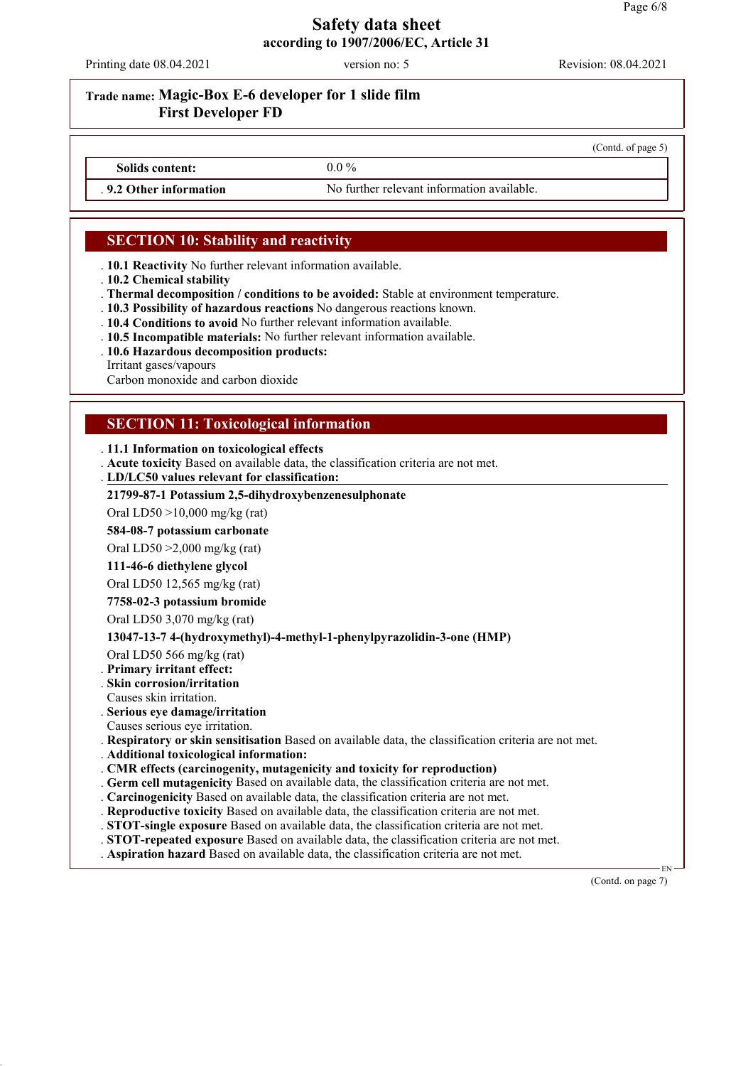Printing date 08.04.2021 version no: 5 Revision: 08.04.2021

(Contd. of page 5)

#### **Trade name: Magic-Box E-6 developer for 1 slide film First Developer FD**

**Solids content:** 0.0 %

**9.2 Other information** No further relevant information available.

## **SECTION 10: Stability and reactivity**

- . **10.1 Reactivity** No further relevant information available.
- . **10.2 Chemical stability**
- . **Thermal decomposition / conditions to be avoided:** Stable at environment temperature.
- . **10.3 Possibility of hazardous reactions** No dangerous reactions known.
- . **10.4 Conditions to avoid** No further relevant information available.
- . **10.5 Incompatible materials:** No further relevant information available.
- . **10.6 Hazardous decomposition products:**

Irritant gases/vapours

Carbon monoxide and carbon dioxide

### **SECTION 11: Toxicological information**

#### . **11.1 Information on toxicological effects**

- . **Acute toxicity** Based on available data, the classification criteria are not met.
- **LD/LC50 values relevant for classification:** .

#### **21799-87-1 Potassium 2,5-dihydroxybenzenesulphonate**

Oral LD50 >10,000 mg/kg (rat)

**584-08-7 potassium carbonate**

Oral LD50 >2,000 mg/kg (rat)

#### **111-46-6 diethylene glycol**

Oral LD50 12,565 mg/kg (rat)

#### **7758-02-3 potassium bromide**

Oral LD50 3,070 mg/kg (rat)

#### **13047-13-7 4-(hydroxymethyl)-4-methyl-1-phenylpyrazolidin-3-one (HMP)**

Oral LD50 566 mg/kg (rat)

- . **Primary irritant effect:**
- . **Skin corrosion/irritation**
- Causes skin irritation.
- . **Serious eye damage/irritation**

Causes serious eye irritation.

. **Respiratory or skin sensitisation** Based on available data, the classification criteria are not met.

. **Additional toxicological information:**

- . **CMR effects (carcinogenity, mutagenicity and toxicity for reproduction)**
- . **Germ cell mutagenicity** Based on available data, the classification criteria are not met.
- . **Carcinogenicity** Based on available data, the classification criteria are not met.
- . **Reproductive toxicity** Based on available data, the classification criteria are not met.
- . **STOT-single exposure** Based on available data, the classification criteria are not met.
- . **STOT-repeated exposure** Based on available data, the classification criteria are not met.
- . **Aspiration hazard** Based on available data, the classification criteria are not met.

(Contd. on page 7)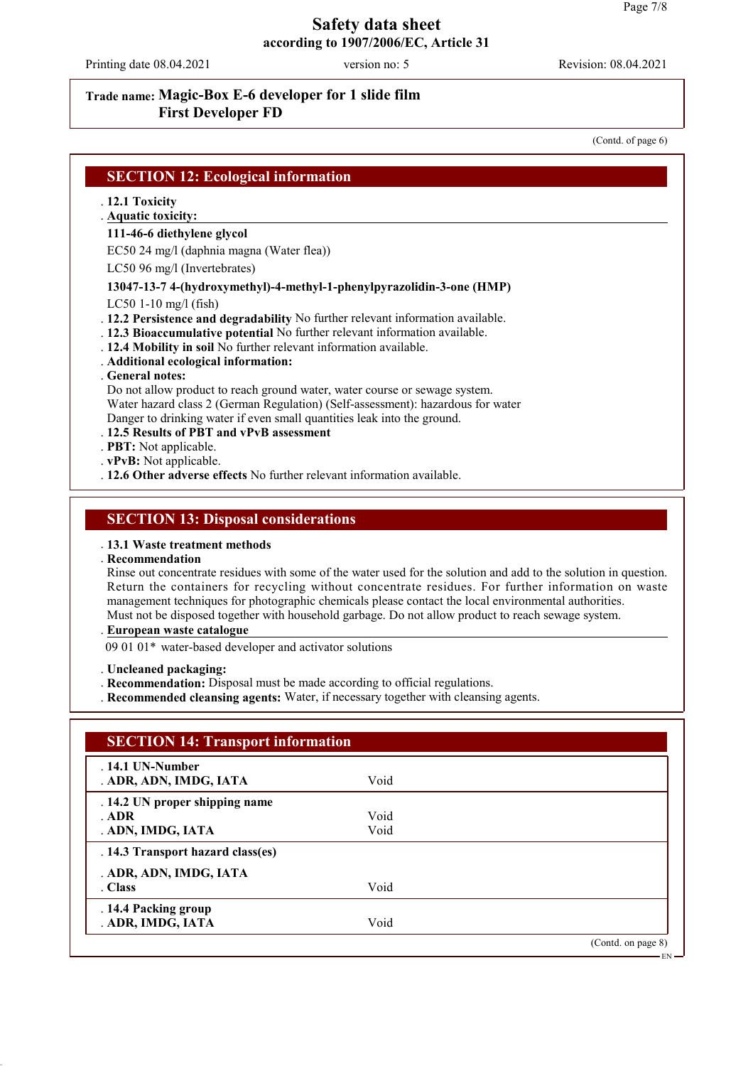Printing date 08.04.2021 version no: 5 Revision: 08.04.2021

### **Trade name: Magic-Box E-6 developer for 1 slide film First Developer FD**

(Contd. of page 6)

EN

| . 12.1 Toxicity<br>. Aquatic toxicity: |                                                                                 |
|----------------------------------------|---------------------------------------------------------------------------------|
| 111-46-6 diethylene glycol             |                                                                                 |
|                                        | EC50 24 mg/l (daphnia magna (Water flea))                                       |
| $LC50$ 96 mg/l (Invertebrates)         |                                                                                 |
|                                        | 13047-13-7 4-(hydroxymethyl)-4-methyl-1-phenylpyrazolidin-3-one (HMP)           |
| $LC50$ 1-10 mg/l (fish)                |                                                                                 |
|                                        | . 12.2 Persistence and degradability No further relevant information available. |
|                                        | . 12.3 Bioaccumulative potential No further relevant information available.     |
|                                        | . 12.4 Mobility in soil No further relevant information available.              |
| . Additional ecological information:   |                                                                                 |
| General notes:                         |                                                                                 |
|                                        | Do not allow product to reach ground water, water course or sewage system.      |
|                                        | Water hazard class 2 (German Regulation) (Self-assessment): hazardous for water |
|                                        | Danger to drinking water if even small quantities leak into the ground.         |
|                                        | .12.5 Results of PBT and vPvB assessment                                        |
| . PBT: Not applicable.                 |                                                                                 |
| . vPvB: Not applicable.                |                                                                                 |
|                                        | . 12.6 Other adverse effects No further relevant information available.         |

#### **SECTION 13: Disposal considerations**

#### . **13.1 Waste treatment methods**

#### . **Recommendation**

Rinse out concentrate residues with some of the water used for the solution and add to the solution in question. Return the containers for recycling without concentrate residues. For further information on waste management techniques for photographic chemicals please contact the local environmental authorities. Must not be disposed together with household garbage. Do not allow product to reach sewage system.

**European waste catalogue** .

09 01 01\* water-based developer and activator solutions

. **Uncleaned packaging:**

- . **Recommendation:** Disposal must be made according to official regulations.
- . **Recommended cleansing agents:** Water, if necessary together with cleansing agents.

| $.14.1$ UN-Number                 |      |  |
|-----------------------------------|------|--|
| . ADR, ADN, IMDG, IATA            | Void |  |
| . 14.2 UN proper shipping name    |      |  |
| ADR                               | Void |  |
| . ADN, IMDG, IATA                 | Void |  |
| . 14.3 Transport hazard class(es) |      |  |
| . ADR, ADN, IMDG, IATA            |      |  |
| . Class                           | Void |  |
| . 14.4 Packing group              |      |  |
| . ADR, IMDG, IATA                 | Void |  |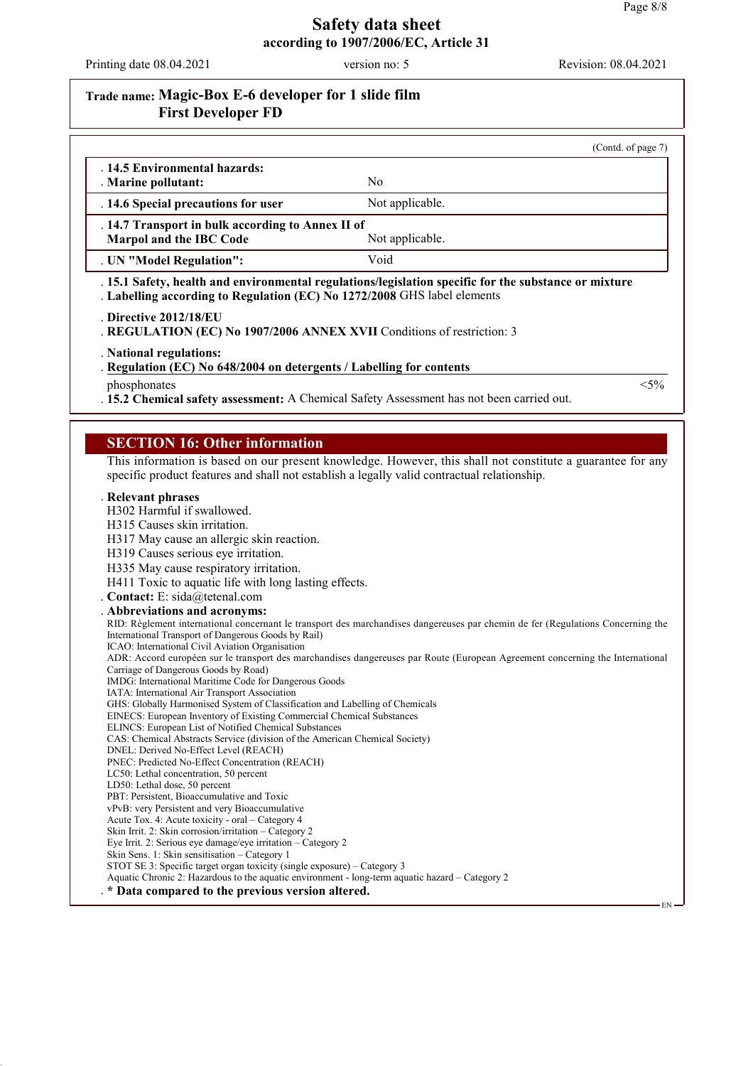Printing date 08.04.2021 version no: 5 Revision: 08.04.2021

# **Trade name: Magic-Box E-6 developer for 1 slide film First Developer FD**

|                                                                                                                                                                                                                                                                                                                                                                                                                   | (Contd. of page 7)                                                                                                                                                                                                                                               |
|-------------------------------------------------------------------------------------------------------------------------------------------------------------------------------------------------------------------------------------------------------------------------------------------------------------------------------------------------------------------------------------------------------------------|------------------------------------------------------------------------------------------------------------------------------------------------------------------------------------------------------------------------------------------------------------------|
| . 14.5 Environmental hazards:<br>. Marine pollutant:                                                                                                                                                                                                                                                                                                                                                              | N <sub>0</sub>                                                                                                                                                                                                                                                   |
| . 14.6 Special precautions for user                                                                                                                                                                                                                                                                                                                                                                               | Not applicable.                                                                                                                                                                                                                                                  |
| . 14.7 Transport in bulk according to Annex II of<br>Marpol and the IBC Code                                                                                                                                                                                                                                                                                                                                      | Not applicable.                                                                                                                                                                                                                                                  |
| . UN "Model Regulation":                                                                                                                                                                                                                                                                                                                                                                                          | Void                                                                                                                                                                                                                                                             |
| Labelling according to Regulation (EC) No 1272/2008 GHS label elements                                                                                                                                                                                                                                                                                                                                            | . 15.1 Safety, health and environmental regulations/legislation specific for the substance or mixture                                                                                                                                                            |
| . Directive 2012/18/EU<br>REGULATION (EC) No 1907/2006 ANNEX XVII Conditions of restriction: 3                                                                                                                                                                                                                                                                                                                    |                                                                                                                                                                                                                                                                  |
| . National regulations:<br>Regulation (EC) No 648/2004 on detergents / Labelling for contents                                                                                                                                                                                                                                                                                                                     |                                                                                                                                                                                                                                                                  |
| phosphonates                                                                                                                                                                                                                                                                                                                                                                                                      | $<$ 5%                                                                                                                                                                                                                                                           |
|                                                                                                                                                                                                                                                                                                                                                                                                                   | . 15.2 Chemical safety assessment: A Chemical Safety Assessment has not been carried out.                                                                                                                                                                        |
| Relevant phrases                                                                                                                                                                                                                                                                                                                                                                                                  | This information is based on our present knowledge. However, this shall not constitute a guarantee for any<br>specific product features and shall not establish a legally valid contractual relationship.                                                        |
| H302 Harmful if swallowed.                                                                                                                                                                                                                                                                                                                                                                                        |                                                                                                                                                                                                                                                                  |
| H315 Causes skin irritation.                                                                                                                                                                                                                                                                                                                                                                                      |                                                                                                                                                                                                                                                                  |
| H317 May cause an allergic skin reaction.                                                                                                                                                                                                                                                                                                                                                                         |                                                                                                                                                                                                                                                                  |
|                                                                                                                                                                                                                                                                                                                                                                                                                   |                                                                                                                                                                                                                                                                  |
|                                                                                                                                                                                                                                                                                                                                                                                                                   |                                                                                                                                                                                                                                                                  |
| H319 Causes serious eye irritation.<br>H335 May cause respiratory irritation.<br>H411 Toxic to aquatic life with long lasting effects.                                                                                                                                                                                                                                                                            |                                                                                                                                                                                                                                                                  |
|                                                                                                                                                                                                                                                                                                                                                                                                                   |                                                                                                                                                                                                                                                                  |
|                                                                                                                                                                                                                                                                                                                                                                                                                   |                                                                                                                                                                                                                                                                  |
|                                                                                                                                                                                                                                                                                                                                                                                                                   |                                                                                                                                                                                                                                                                  |
| Contact: E: sida@tetenal.com<br>. Abbreviations and acronyms:<br>International Transport of Dangerous Goods by Rail)<br>ICAO: International Civil Aviation Organisation                                                                                                                                                                                                                                           |                                                                                                                                                                                                                                                                  |
|                                                                                                                                                                                                                                                                                                                                                                                                                   |                                                                                                                                                                                                                                                                  |
|                                                                                                                                                                                                                                                                                                                                                                                                                   |                                                                                                                                                                                                                                                                  |
|                                                                                                                                                                                                                                                                                                                                                                                                                   |                                                                                                                                                                                                                                                                  |
|                                                                                                                                                                                                                                                                                                                                                                                                                   |                                                                                                                                                                                                                                                                  |
|                                                                                                                                                                                                                                                                                                                                                                                                                   |                                                                                                                                                                                                                                                                  |
|                                                                                                                                                                                                                                                                                                                                                                                                                   |                                                                                                                                                                                                                                                                  |
|                                                                                                                                                                                                                                                                                                                                                                                                                   |                                                                                                                                                                                                                                                                  |
| IMDG: International Maritime Code for Dangerous Goods<br>GHS: Globally Harmonised System of Classification and Labelling of Chemicals<br>EINECS: European Inventory of Existing Commercial Chemical Substances<br>ELINCS: European List of Notified Chemical Substances<br>DNEL: Derived No-Effect Level (REACH)<br>LC50: Lethal concentration, 50 percent                                                        |                                                                                                                                                                                                                                                                  |
| Acute Tox. 4: Acute toxicity - oral - Category 4                                                                                                                                                                                                                                                                                                                                                                  |                                                                                                                                                                                                                                                                  |
| Carriage of Dangerous Goods by Road)<br>IATA: International Air Transport Association<br>CAS: Chemical Abstracts Service (division of the American Chemical Society)<br>PNEC: Predicted No-Effect Concentration (REACH)<br>LD50: Lethal dose, 50 percent<br>PBT: Persistent, Bioaccumulative and Toxic<br>vPvB: very Persistent and very Bioaccumulative<br>Skin Irrit. 2: Skin corrosion/irritation – Category 2 |                                                                                                                                                                                                                                                                  |
| Eye Irrit. 2: Serious eye damage/eye irritation - Category 2<br>Skin Sens. 1: Skin sensitisation - Category 1                                                                                                                                                                                                                                                                                                     | RID: Règlement international concernant le transport des marchandises dangereuses par chemin de fer (Regulations Concerning the<br>ADR: Accord européen sur le transport des marchandises dangereuses par Route (European Agreement concerning the International |
| STOT SE 3: Specific target organ toxicity (single exposure) – Category 3<br>Aquatic Chronic 2: Hazardous to the aquatic environment - long-term aquatic hazard – Category 2                                                                                                                                                                                                                                       |                                                                                                                                                                                                                                                                  |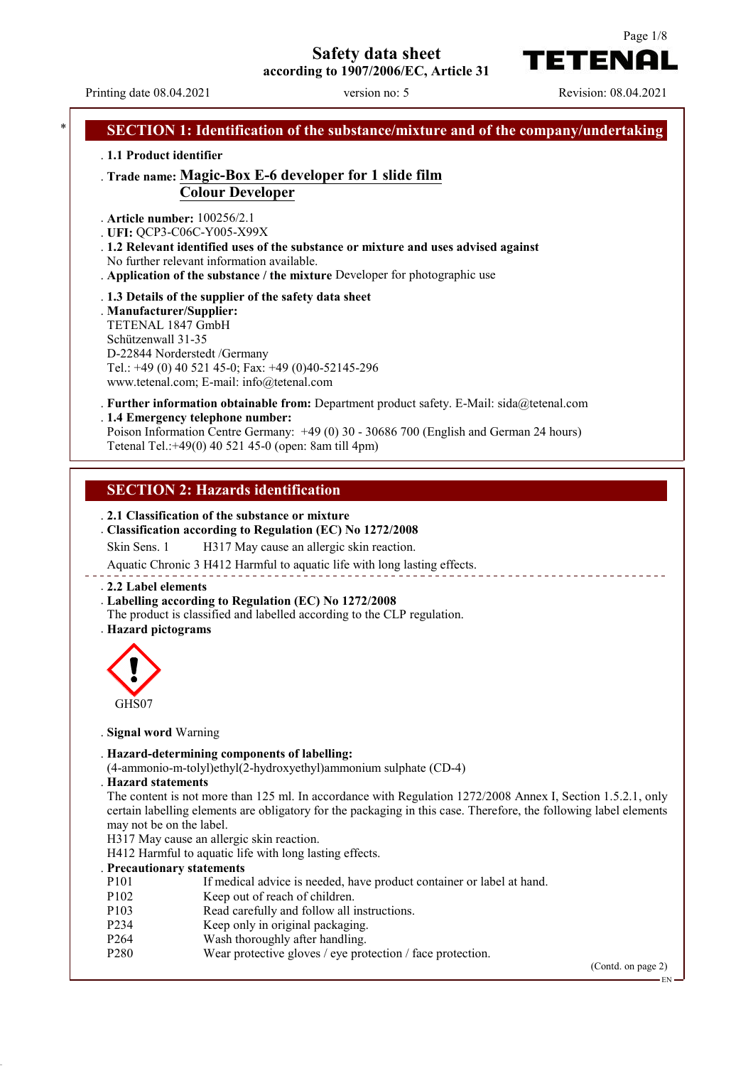**Safety data sheet**

**according to 1907/2006/EC, Article 31**

Page 1/8

**TETENAL** 

|                                                                                                     |                                                                                                               | SECTION 1: Identification of the substance/mixture and of the company/undertaking                                                                                                                                                |  |
|-----------------------------------------------------------------------------------------------------|---------------------------------------------------------------------------------------------------------------|----------------------------------------------------------------------------------------------------------------------------------------------------------------------------------------------------------------------------------|--|
| . 1.1 Product identifier                                                                            |                                                                                                               |                                                                                                                                                                                                                                  |  |
|                                                                                                     | <b>Colour Developer</b>                                                                                       | . Trade name: Magic-Box E-6 developer for 1 slide film                                                                                                                                                                           |  |
| . Article number: 100256/2.1<br>. UFI: QCP3-C06C-Y005-X99X                                          |                                                                                                               |                                                                                                                                                                                                                                  |  |
|                                                                                                     | No further relevant information available.                                                                    | . 1.2 Relevant identified uses of the substance or mixture and uses advised against<br>. Application of the substance / the mixture Developer for photographic use                                                               |  |
| . Manufacturer/Supplier:<br>TETENAL 1847 GmbH<br>Schützenwall 31-35<br>D-22844 Norderstedt /Germany | . 1.3 Details of the supplier of the safety data sheet<br>Tel.: +49 (0) 40 521 45-0; Fax: +49 (0)40-52145-296 |                                                                                                                                                                                                                                  |  |
|                                                                                                     | www.tetenal.com; E-mail: info@tetenal.com                                                                     | . Further information obtainable from: Department product safety. E-Mail: sida@tetenal.com                                                                                                                                       |  |
|                                                                                                     | .1.4 Emergency telephone number:<br>Tetenal Tel.:+49(0) 40 521 45-0 (open: 8am till 4pm)                      | Poison Information Centre Germany: +49 (0) 30 - 30686 700 (English and German 24 hours)                                                                                                                                          |  |
|                                                                                                     |                                                                                                               |                                                                                                                                                                                                                                  |  |
|                                                                                                     | <b>SECTION 2: Hazards identification</b>                                                                      |                                                                                                                                                                                                                                  |  |
|                                                                                                     | . 2.1 Classification of the substance or mixture                                                              |                                                                                                                                                                                                                                  |  |
| Skin Sens. 1                                                                                        |                                                                                                               | . Classification according to Regulation (EC) No 1272/2008<br>H317 May cause an allergic skin reaction.<br>Aquatic Chronic 3 H412 Harmful to aquatic life with long lasting effects.                                             |  |
| . 2.2 Label elements<br>. Hazard pictograms                                                         | . Labelling according to Regulation (EC) No 1272/2008                                                         | The product is classified and labelled according to the CLP regulation.                                                                                                                                                          |  |
| ⌒                                                                                                   |                                                                                                               |                                                                                                                                                                                                                                  |  |
| GHS07                                                                                               |                                                                                                               |                                                                                                                                                                                                                                  |  |
| . Signal word Warning                                                                               |                                                                                                               |                                                                                                                                                                                                                                  |  |
|                                                                                                     | . Hazard-determining components of labelling:                                                                 | (4-ammonio-m-tolyl)ethyl(2-hydroxyethyl)ammonium sulphate (CD-4)                                                                                                                                                                 |  |
| <b>Hazard statements</b><br>may not be on the label.                                                |                                                                                                               | The content is not more than 125 ml. In accordance with Regulation 1272/2008 Annex I, Section 1.5.2.1, only<br>certain labelling elements are obligatory for the packaging in this case. Therefore, the following label elements |  |
|                                                                                                     | H317 May cause an allergic skin reaction.<br>H412 Harmful to aquatic life with long lasting effects.          |                                                                                                                                                                                                                                  |  |
| . Precautionary statements                                                                          |                                                                                                               |                                                                                                                                                                                                                                  |  |
| P <sub>10</sub> 1<br>P102                                                                           | Keep out of reach of children.                                                                                | If medical advice is needed, have product container or label at hand.                                                                                                                                                            |  |
| P103                                                                                                |                                                                                                               | Read carefully and follow all instructions.                                                                                                                                                                                      |  |
| P234                                                                                                | Keep only in original packaging.                                                                              |                                                                                                                                                                                                                                  |  |
| P264<br>P280                                                                                        | Wash thoroughly after handling.                                                                               | Wear protective gloves / eye protection / face protection.                                                                                                                                                                       |  |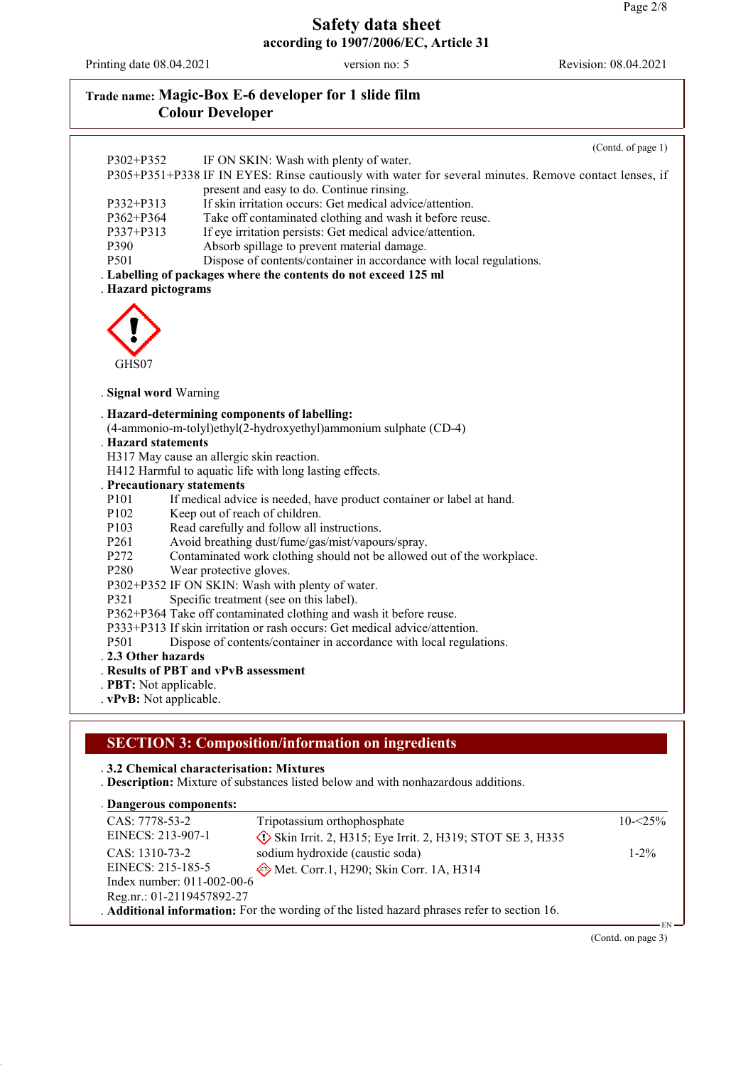Printing date 08.04.2021 version no: 5 Revision: 08.04.2021

Reg.nr.: 01-2119457892-27

# **Trade name: Magic-Box E-6 developer for 1 slide film Colour Developer**

|                                                         |                                                                                                       | (Contd. of page 1) |
|---------------------------------------------------------|-------------------------------------------------------------------------------------------------------|--------------------|
| P302+P352                                               | IF ON SKIN: Wash with plenty of water.                                                                |                    |
|                                                         | P305+P351+P338 IF IN EYES: Rinse cautiously with water for several minutes. Remove contact lenses, if |                    |
| P332+P313                                               | present and easy to do. Continue rinsing.<br>If skin irritation occurs: Get medical advice/attention. |                    |
| P362+P364                                               | Take off contaminated clothing and wash it before reuse.                                              |                    |
| P337+P313                                               | If eye irritation persists: Get medical advice/attention.                                             |                    |
| P390                                                    | Absorb spillage to prevent material damage.                                                           |                    |
| P501                                                    | Dispose of contents/container in accordance with local regulations.                                   |                    |
|                                                         | . Labelling of packages where the contents do not exceed 125 ml                                       |                    |
| . Hazard pictograms                                     |                                                                                                       |                    |
|                                                         |                                                                                                       |                    |
|                                                         |                                                                                                       |                    |
|                                                         |                                                                                                       |                    |
| GHS07                                                   |                                                                                                       |                    |
|                                                         |                                                                                                       |                    |
| . Signal word Warning                                   |                                                                                                       |                    |
|                                                         | . Hazard-determining components of labelling:                                                         |                    |
|                                                         | (4-ammonio-m-tolyl)ethyl(2-hydroxyethyl)ammonium sulphate (CD-4)                                      |                    |
| . Hazard statements                                     |                                                                                                       |                    |
|                                                         | H317 May cause an allergic skin reaction.                                                             |                    |
|                                                         | H412 Harmful to aquatic life with long lasting effects.                                               |                    |
| . Precautionary statements                              |                                                                                                       |                    |
| P101                                                    | If medical advice is needed, have product container or label at hand.                                 |                    |
| P102                                                    | Keep out of reach of children.                                                                        |                    |
| P103<br>P261                                            | Read carefully and follow all instructions.<br>Avoid breathing dust/fume/gas/mist/vapours/spray.      |                    |
| P272                                                    | Contaminated work clothing should not be allowed out of the workplace.                                |                    |
| P280                                                    | Wear protective gloves.                                                                               |                    |
|                                                         | P302+P352 IF ON SKIN: Wash with plenty of water.                                                      |                    |
| P321                                                    | Specific treatment (see on this label).                                                               |                    |
|                                                         | P362+P364 Take off contaminated clothing and wash it before reuse.                                    |                    |
|                                                         | P333+P313 If skin irritation or rash occurs: Get medical advice/attention.                            |                    |
| P501                                                    | Dispose of contents/container in accordance with local regulations.                                   |                    |
|                                                         |                                                                                                       |                    |
|                                                         |                                                                                                       |                    |
| 2.3 Other hazards                                       | . Results of PBT and vPvB assessment                                                                  |                    |
| . <b>PBT</b> : Not applicable.<br>vPvB: Not applicable. |                                                                                                       |                    |

. **Additional information:** For the wording of the listed hazard phrases refer to section 16.

(Contd. on page 3)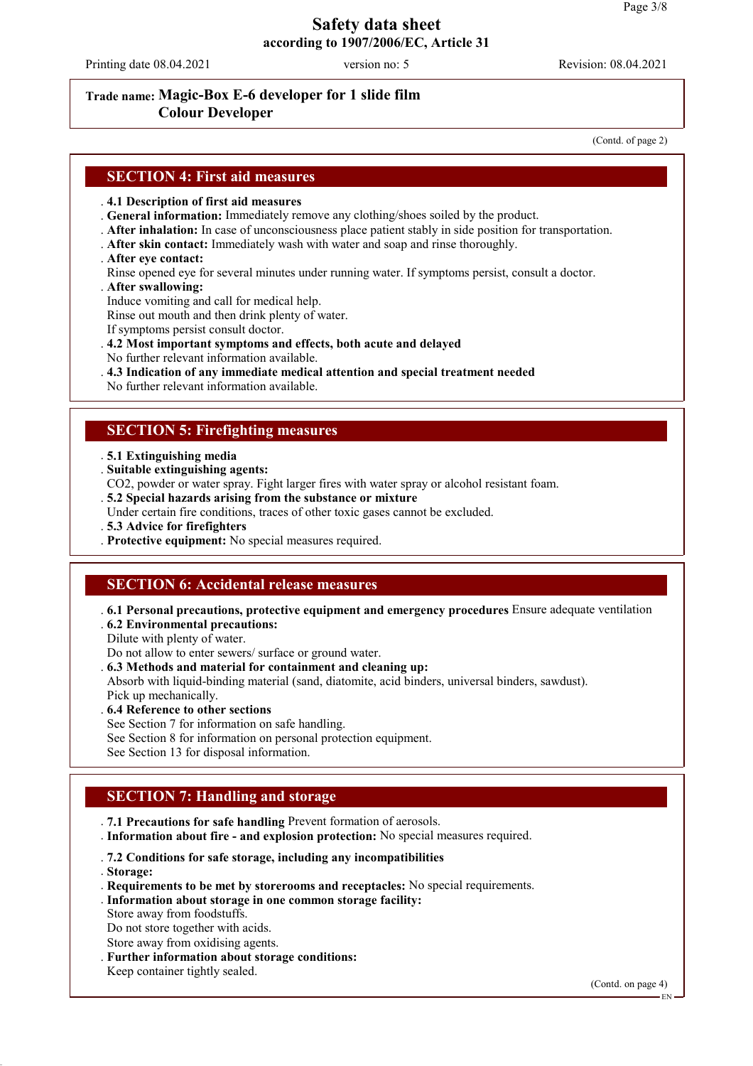Printing date 08.04.2021 version no: 5 Revision: 08.04.2021

#### **Trade name: Magic-Box E-6 developer for 1 slide film Colour Developer**

(Contd. of page 2)

#### **SECTION 4: First aid measures**

#### . **4.1 Description of first aid measures**

. **General information:** Immediately remove any clothing/shoes soiled by the product.

- . **After inhalation:** In case of unconsciousness place patient stably in side position for transportation.
- . **After skin contact:** Immediately wash with water and soap and rinse thoroughly.
- . **After eye contact:**

Rinse opened eye for several minutes under running water. If symptoms persist, consult a doctor.

. **After swallowing:**

Induce vomiting and call for medical help.

Rinse out mouth and then drink plenty of water.

If symptoms persist consult doctor.

- . **4.2 Most important symptoms and effects, both acute and delayed**
- No further relevant information available.

. **4.3 Indication of any immediate medical attention and special treatment needed**

No further relevant information available.

## **SECTION 5: Firefighting measures**

. **5.1 Extinguishing media**

. **Suitable extinguishing agents:**

- CO2, powder or water spray. Fight larger fires with water spray or alcohol resistant foam.
- . **5.2 Special hazards arising from the substance or mixture**
- Under certain fire conditions, traces of other toxic gases cannot be excluded.

. **5.3 Advice for firefighters**

. **Protective equipment:** No special measures required.

### **SECTION 6: Accidental release measures**

. **6.1 Personal precautions, protective equipment and emergency procedures** Ensure adequate ventilation . **6.2 Environmental precautions:**

Dilute with plenty of water.

Do not allow to enter sewers/ surface or ground water.

. **6.3 Methods and material for containment and cleaning up:**

Absorb with liquid-binding material (sand, diatomite, acid binders, universal binders, sawdust). Pick up mechanically.

. **6.4 Reference to other sections**

See Section 7 for information on safe handling.

See Section 8 for information on personal protection equipment.

See Section 13 for disposal information.

### **SECTION 7: Handling and storage**

. **7.1 Precautions for safe handling** Prevent formation of aerosols.

. **Information about fire - and explosion protection:** No special measures required.

. **7.2 Conditions for safe storage, including any incompatibilities**

. **Storage:**

- . **Requirements to be met by storerooms and receptacles:** No special requirements.
- . **Information about storage in one common storage facility:**

Store away from foodstuffs.

Do not store together with acids.

- Store away from oxidising agents.
- . **Further information about storage conditions:**
- Keep container tightly sealed.

(Contd. on page 4)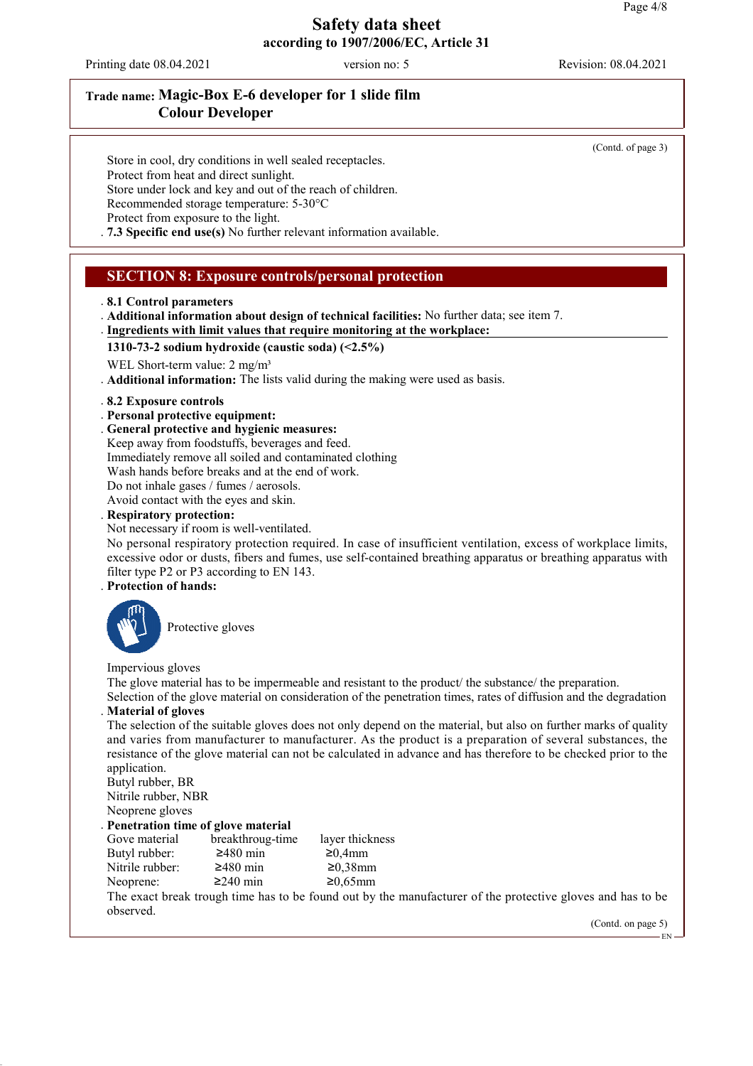Printing date 08.04.2021 version no: 5 Revision: 08.04.2021

# **Trade name: Magic-Box E-6 developer for 1 slide film Colour Developer**

(Contd. of page 3)

Store in cool, dry conditions in well sealed receptacles. Protect from heat and direct sunlight. Store under lock and key and out of the reach of children. Recommended storage temperature: 5-30°C Protect from exposure to the light. . **7.3 Specific end use(s)** No further relevant information available.

# **SECTION 8: Exposure controls/personal protection**

- . **8.1 Control parameters**
- . **Additional information about design of technical facilities:** No further data; see item 7. **Ingredients with limit values that require monitoring at the workplace:**
- **1310-73-2 sodium hydroxide (caustic soda) (<2.5%)**
- WEL Short-term value: 2 mg/m<sup>3</sup>
- . **Additional information:** The lists valid during the making were used as basis.
- . **8.2 Exposure controls**
- . **Personal protective equipment:**
- . **General protective and hygienic measures:**
- Keep away from foodstuffs, beverages and feed. Immediately remove all soiled and contaminated clothing Wash hands before breaks and at the end of work. Do not inhale gases / fumes / aerosols.
- Avoid contact with the eyes and skin.
- . **Respiratory protection:**
- Not necessary if room is well-ventilated.

No personal respiratory protection required. In case of insufficient ventilation, excess of workplace limits, excessive odor or dusts, fibers and fumes, use self-contained breathing apparatus or breathing apparatus with filter type P2 or P3 according to EN 143.

#### . **Protection of hands:**



Protective gloves

Impervious gloves

The glove material has to be impermeable and resistant to the product/ the substance/ the preparation.

Selection of the glove material on consideration of the penetration times, rates of diffusion and the degradation . **Material of gloves**

The selection of the suitable gloves does not only depend on the material, but also on further marks of quality and varies from manufacturer to manufacturer. As the product is a preparation of several substances, the resistance of the glove material can not be calculated in advance and has therefore to be checked prior to the application.

Butyl rubber, BR Nitrile rubber, NBR Neoprene gloves

#### . **Penetration time of glove material**

| Gove material   | breakthroug-time | layer thickn  |
|-----------------|------------------|---------------|
| Butyl rubber:   | $\geq$ 480 min   | $\geq 0,4$ mm |
| Nitrile rubber: | $\geq$ 480 min   | $≥0,38$ mm    |
| Neoprene:       | $≥240$ min       | $≥0,65$ mm    |

kthroug-time layer thickness  $30 \text{ min}$  ≥0.4mm  $30 \text{ min}$  ≥0,38mm

The exact break trough time has to be found out by the manufacturer of the protective gloves and has to be observed.

(Contd. on page 5)

EN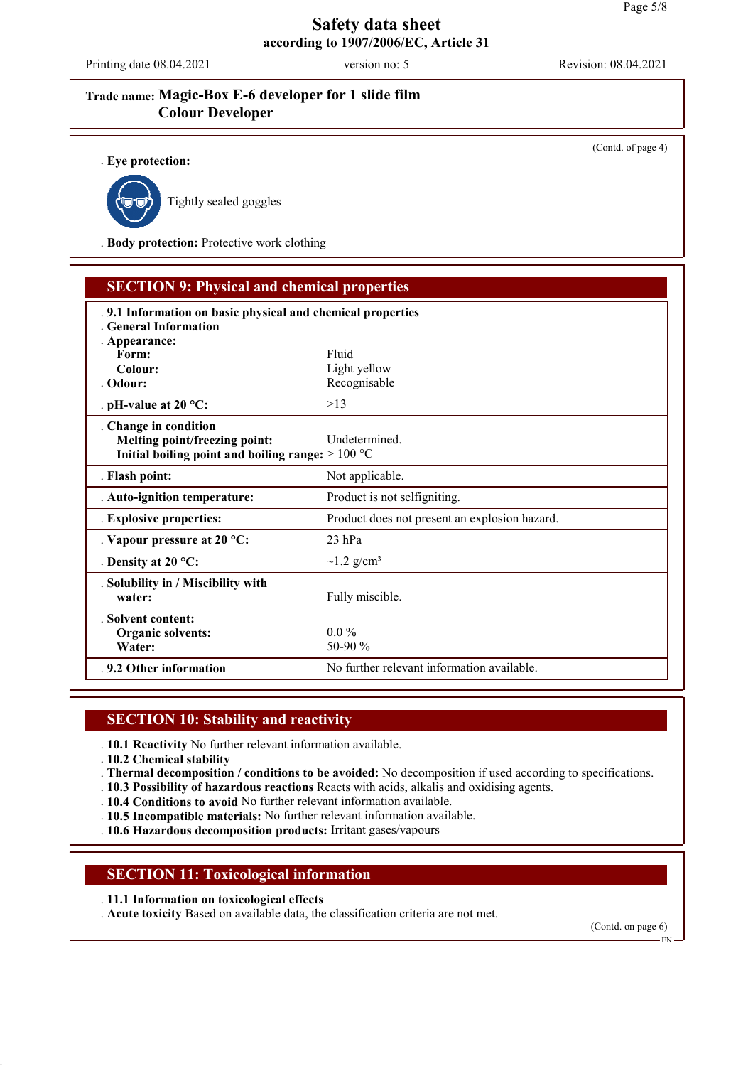Printing date 08.04.2021 version no: 5 Revision: 08.04.2021

(Contd. of page 4)

# **Trade name: Magic-Box E-6 developer for 1 slide film Colour Developer**

. **Eye protection:**



Tightly sealed goggles

. **Body protection:** Protective work clothing

| <b>SECTION 9: Physical and chemical properties</b>                                                           |                                               |
|--------------------------------------------------------------------------------------------------------------|-----------------------------------------------|
| . 9.1 Information on basic physical and chemical properties<br>General Information<br>. Appearance:          |                                               |
| Form:                                                                                                        | Fluid                                         |
| Colour:                                                                                                      | Light yellow                                  |
| . Odour:                                                                                                     | Recognisable                                  |
| . pH-value at $20 °C$ :                                                                                      | >13                                           |
| . Change in condition<br>Melting point/freezing point:<br>Initial boiling point and boiling range: $>100 °C$ | Undetermined.                                 |
| . Flash point:                                                                                               | Not applicable.                               |
| . Auto-ignition temperature:                                                                                 | Product is not selfigniting.                  |
| . Explosive properties:                                                                                      | Product does not present an explosion hazard. |
| . Vapour pressure at $20 °C$ :                                                                               | 23 hPa                                        |
| . Density at $20^{\circ}$ C:                                                                                 | $\sim$ 1.2 g/cm <sup>3</sup>                  |
| . Solubility in / Miscibility with<br>water:                                                                 | Fully miscible.                               |
| . Solvent content:<br>Organic solvents:<br>Water:                                                            | $0.0\%$<br>50-90 %                            |
| .9.2 Other information                                                                                       | No further relevant information available.    |

# **SECTION 10: Stability and reactivity**

. **10.1 Reactivity** No further relevant information available.

- . **10.2 Chemical stability**
- . **Thermal decomposition / conditions to be avoided:** No decomposition if used according to specifications.
- . **10.3 Possibility of hazardous reactions** Reacts with acids, alkalis and oxidising agents.
- . **10.4 Conditions to avoid** No further relevant information available.
- . **10.5 Incompatible materials:** No further relevant information available.
- . **10.6 Hazardous decomposition products:** Irritant gases/vapours

### **SECTION 11: Toxicological information**

- . **11.1 Information on toxicological effects**
- . **Acute toxicity** Based on available data, the classification criteria are not met.

(Contd. on page 6)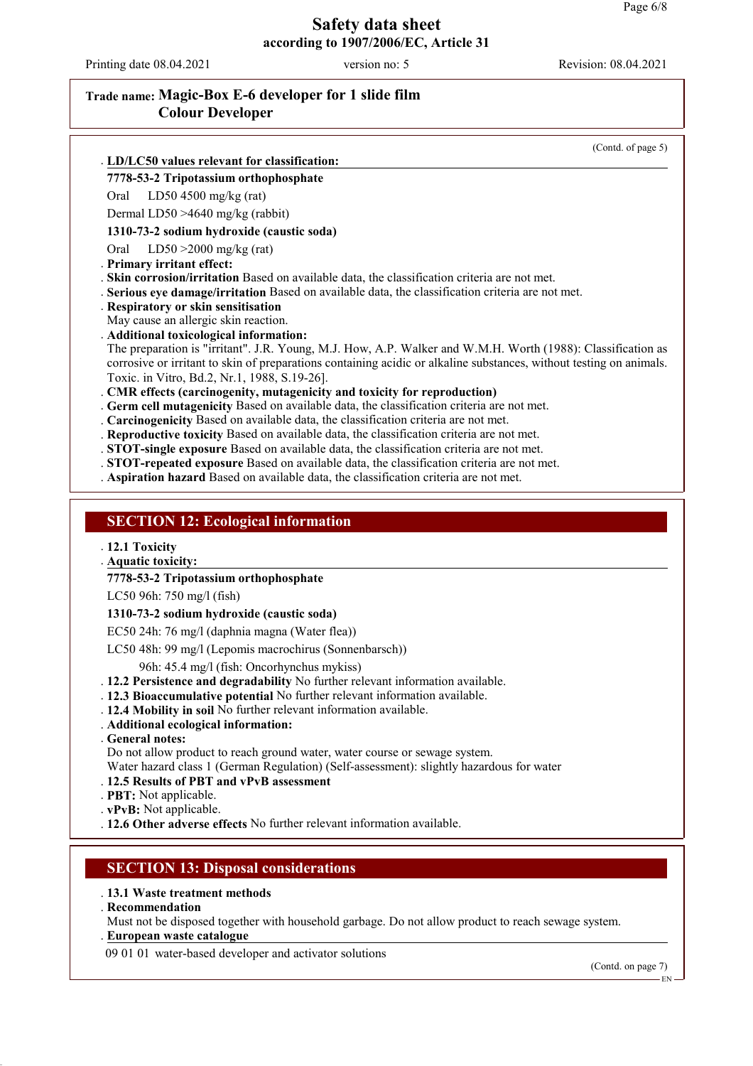Printing date 08.04.2021 version no: 5 Revision: 08.04.2021

## **Trade name: Magic-Box E-6 developer for 1 slide film Colour Developer**

(Contd. of page 5)

#### **LD/LC50 values relevant for classification:** .

#### **7778-53-2 Tripotassium orthophosphate**

Oral LD50 4500 mg/kg (rat)

Dermal LD50 >4640 mg/kg (rabbit)

#### **1310-73-2 sodium hydroxide (caustic soda)**

Oral LD50 >2000 mg/kg (rat)

. **Primary irritant effect:**

. **Skin corrosion/irritation** Based on available data, the classification criteria are not met.

- . **Serious eye damage/irritation** Based on available data, the classification criteria are not met.
- . **Respiratory or skin sensitisation**
- May cause an allergic skin reaction.
- . **Additional toxicological information:**
- The preparation is "irritant". J.R. Young, M.J. How, A.P. Walker and W.M.H. Worth (1988): Classification as corrosive or irritant to skin of preparations containing acidic or alkaline substances, without testing on animals. Toxic. in Vitro, Bd.2, Nr.1, 1988, S.19-26].

. **CMR effects (carcinogenity, mutagenicity and toxicity for reproduction)**

- . **Germ cell mutagenicity** Based on available data, the classification criteria are not met.
- . **Carcinogenicity** Based on available data, the classification criteria are not met.
- . **Reproductive toxicity** Based on available data, the classification criteria are not met.
- . **STOT-single exposure** Based on available data, the classification criteria are not met.
- . **STOT-repeated exposure** Based on available data, the classification criteria are not met.
- . **Aspiration hazard** Based on available data, the classification criteria are not met.

#### **SECTION 12: Ecological information**

#### . **12.1 Toxicity**

**Aquatic toxicity:** .

**7778-53-2 Tripotassium orthophosphate**

LC50 96h: 750 mg/l (fish)

#### **1310-73-2 sodium hydroxide (caustic soda)**

EC50 24h: 76 mg/l (daphnia magna (Water flea))

LC50 48h: 99 mg/l (Lepomis macrochirus (Sonnenbarsch))

96h: 45.4 mg/l (fish: Oncorhynchus mykiss)

- . **12.2 Persistence and degradability** No further relevant information available.
- . **12.3 Bioaccumulative potential** No further relevant information available.
- . **12.4 Mobility in soil** No further relevant information available.
- . **Additional ecological information:**
- . **General notes:**
- Do not allow product to reach ground water, water course or sewage system.
- Water hazard class 1 (German Regulation) (Self-assessment): slightly hazardous for water
- . **12.5 Results of PBT and vPvB assessment**
- . **PBT:** Not applicable.
- . **vPvB:** Not applicable.
- . **12.6 Other adverse effects** No further relevant information available.

#### **SECTION 13: Disposal considerations**

- . **13.1 Waste treatment methods**
- . **Recommendation**

Must not be disposed together with household garbage. Do not allow product to reach sewage system. **European waste catalogue** .

09 01 01 water-based developer and activator solutions

(Contd. on page 7)

EN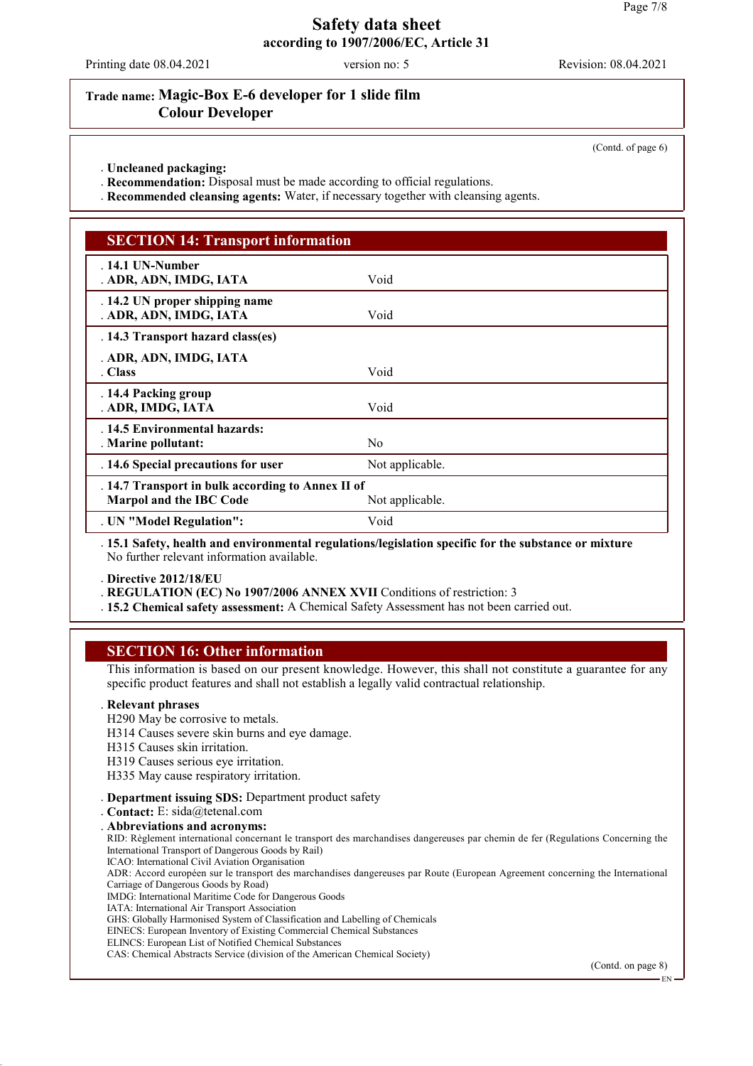Printing date 08.04.2021 version no: 5 Revision: 08.04.2021

### **Trade name: Magic-Box E-6 developer for 1 slide film Colour Developer**

(Contd. of page 6)

. **Uncleaned packaging:**

. **Recommendation:** Disposal must be made according to official regulations.

. **Recommended cleansing agents:** Water, if necessary together with cleansing agents.

### **SECTION 14: Transport information**

| . 14.1 UN-Number<br>. ADR, ADN, IMDG, IATA                                   | Void                                                                                                 |  |
|------------------------------------------------------------------------------|------------------------------------------------------------------------------------------------------|--|
| . 14.2 UN proper shipping name<br>. ADR, ADN, IMDG, IATA                     | Void                                                                                                 |  |
| . 14.3 Transport hazard class(es)                                            |                                                                                                      |  |
| . ADR, ADN, IMDG, IATA<br>. Class                                            | Void                                                                                                 |  |
| . 14.4 Packing group<br>. ADR, IMDG, IATA                                    | Void                                                                                                 |  |
| . 14.5 Environmental hazards:<br>. Marine pollutant:                         | N <sub>0</sub>                                                                                       |  |
| . 14.6 Special precautions for user                                          | Not applicable.                                                                                      |  |
| . 14.7 Transport in bulk according to Annex II of<br>Marpol and the IBC Code | Not applicable.                                                                                      |  |
| . UN "Model Regulation":                                                     | Void                                                                                                 |  |
|                                                                              | 15.1 Referred booth and environmental regulational origination greatfie for the substance or mixture |  |

. **15.1 Safety, health and environmental regulations/legislation specific for the substance or mixture** No further relevant information available.

. **Directive 2012/18/EU**

. **REGULATION (EC) No 1907/2006 ANNEX XVII** Conditions of restriction: 3

. **15.2 Chemical safety assessment:** A Chemical Safety Assessment has not been carried out.

### **SECTION 16: Other information**

This information is based on our present knowledge. However, this shall not constitute a guarantee for any specific product features and shall not establish a legally valid contractual relationship.

#### . **Relevant phrases**

- H290 May be corrosive to metals.
- H314 Causes severe skin burns and eye damage.
- H315 Causes skin irritation.
- H319 Causes serious eye irritation.
- H335 May cause respiratory irritation.

. **Department issuing SDS:** Department product safety

. **Contact:** E: sida@tetenal.com

. **Abbreviations and acronyms:** RID: Règlement international concernant le transport des marchandises dangereuses par chemin de fer (Regulations Concerning the International Transport of Dangerous Goods by Rail)

ICAO: International Civil Aviation Organisation

ADR: Accord européen sur le transport des marchandises dangereuses par Route (European Agreement concerning the International Carriage of Dangerous Goods by Road)

- IMDG: International Maritime Code for Dangerous Goods
- IATA: International Air Transport Association
- GHS: Globally Harmonised System of Classification and Labelling of Chemicals
- EINECS: European Inventory of Existing Commercial Chemical Substances

ELINCS: European List of Notified Chemical Substances

CAS: Chemical Abstracts Service (division of the American Chemical Society)

(Contd. on page 8)

EN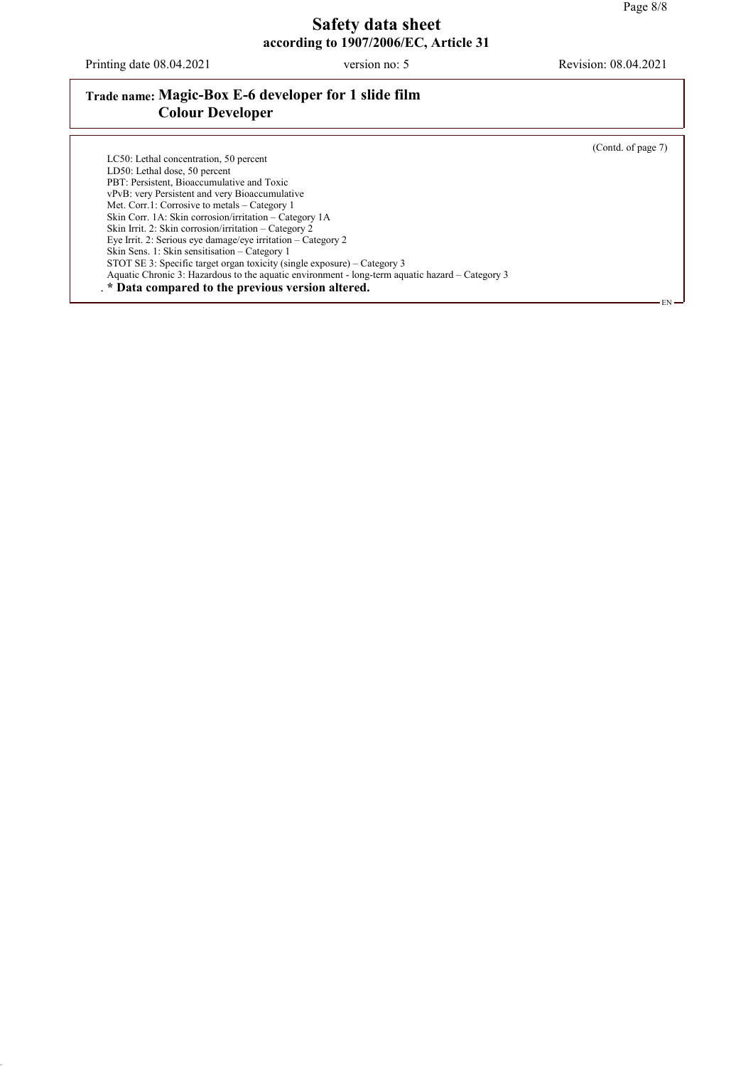Printing date 08.04.2021 version no: 5 Revision: 08.04.2021

## **Trade name: Magic-Box E-6 developer for 1 slide film Colour Developer**

(Contd. of page 7)

EN

LC50: Lethal concentration, 50 percent LD50: Lethal dose, 50 percent PBT: Persistent, Bioaccumulative and Toxic vPvB: very Persistent and very Bioaccumulative Met. Corr.1: Corrosive to metals – Category 1 Skin Corr. 1A: Skin corrosion/irritation – Category 1A Skin Irrit. 2: Skin corrosion/irritation – Category 2 Eye Irrit. 2: Serious eye damage/eye irritation – Category 2 Skin Sens. 1: Skin sensitisation – Category 1 STOT SE 3: Specific target organ toxicity (single exposure) – Category 3 Aquatic Chronic 3: Hazardous to the aquatic environment - long-term aquatic hazard – Category 3 . **\* Data compared to the previous version altered.**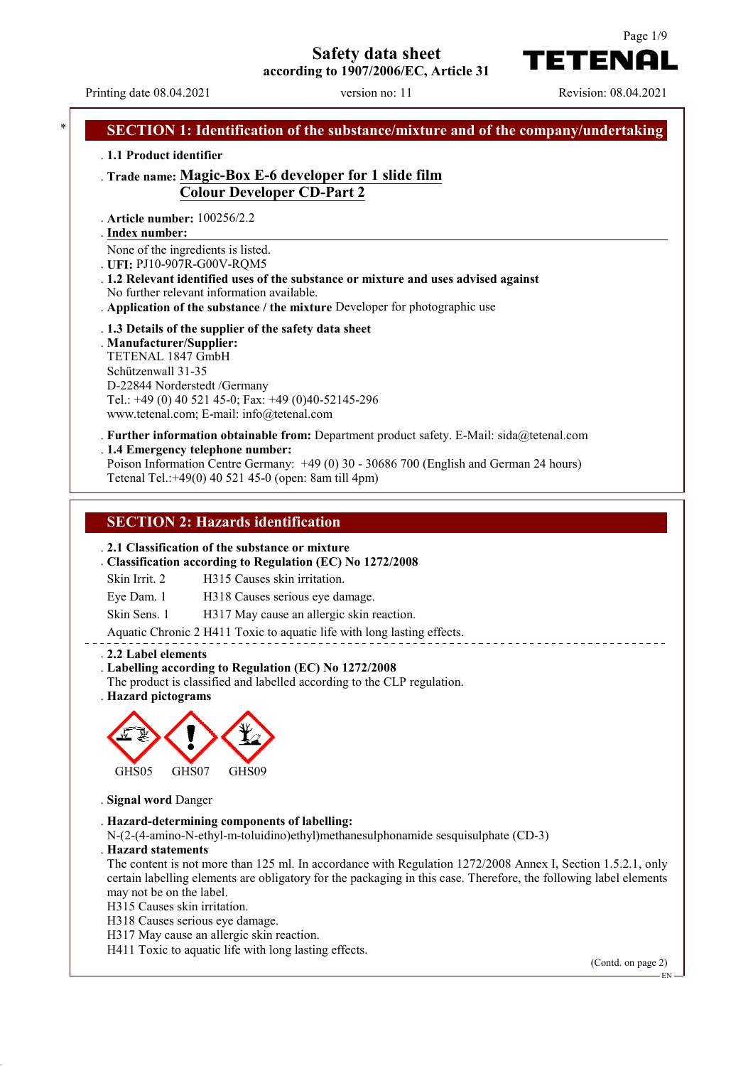**Safety data sheet**





Printing date 08.04.2021 version no: 11 Revision: 08.04.2021 **SECTION 1: Identification of the substance/mixture and of the company/undertaking** . **1.1 Product identifier** . **Trade name: Magic-Box E-6 developer for 1 slide film Colour Developer CD-Part 2** . **Article number:** 100256/2.2 **Index number:** . None of the ingredients is listed. . **UFI:** PJ10-907R-G00V-RQM5 . **1.2 Relevant identified uses of the substance or mixture and uses advised against** No further relevant information available. . **Application of the substance / the mixture** Developer for photographic use . **1.3 Details of the supplier of the safety data sheet** . **Manufacturer/Supplier:** TETENAL 1847 GmbH Schützenwall 31-35 D-22844 Norderstedt /Germany Tel.: +49 (0) 40 521 45-0; Fax: +49 (0)40-52145-296 www.tetenal.com; E-mail: info@tetenal.com . **Further information obtainable from:** Department product safety. E-Mail: sida@tetenal.com . **1.4 Emergency telephone number:** Poison Information Centre Germany: +49 (0) 30 - 30686 700 (English and German 24 hours) Tetenal Tel.:+49(0) 40 521 45-0 (open: 8am till 4pm) **SECTION 2: Hazards identification** . **2.1 Classification of the substance or mixture** . **Classification according to Regulation (EC) No 1272/2008** Skin Irrit. 2 H315 Causes skin irritation. Eye Dam. 1 H318 Causes serious eye damage. Skin Sens. 1 H317 May cause an allergic skin reaction. Aquatic Chronic 2 H411 Toxic to aquatic life with long lasting effects. . **2.2 Label elements** . **Labelling according to Regulation (EC) No 1272/2008** The product is classified and labelled according to the CLP regulation. . **Hazard pictograms** GHS05 GHS07 GHS09 . **Signal word** Danger . **Hazard-determining components of labelling:** N-(2-(4-amino-N-ethyl-m-toluidino)ethyl)methanesulphonamide sesquisulphate (CD-3) . **Hazard statements** The content is not more than 125 ml. In accordance with Regulation 1272/2008 Annex I, Section 1.5.2.1, only certain labelling elements are obligatory for the packaging in this case. Therefore, the following label elements may not be on the label. H315 Causes skin irritation. H318 Causes serious eye damage. H317 May cause an allergic skin reaction. H411 Toxic to aquatic life with long lasting effects. (Contd. on page 2) EN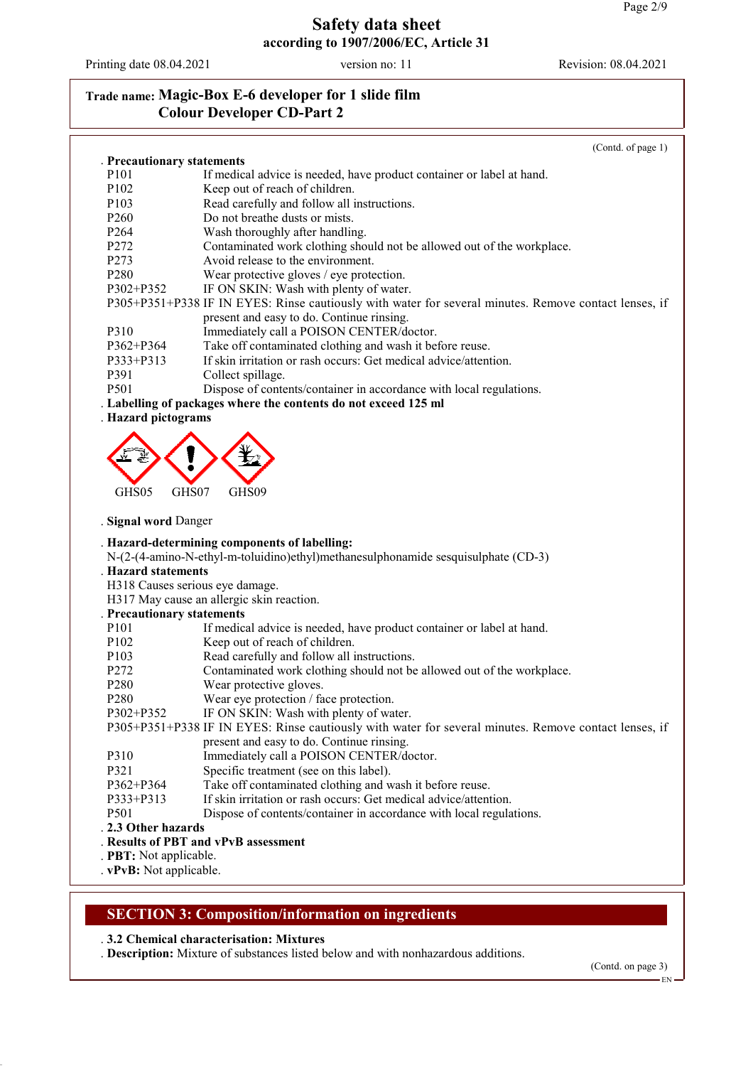Printing date 08.04.2021 version no: 11 Revision: 08.04.2021

# **Trade name: Magic-Box E-6 developer for 1 slide film Colour Developer CD-Part 2**

|                            | (Contd. of page 1)                                                                                    |
|----------------------------|-------------------------------------------------------------------------------------------------------|
| . Precautionary statements |                                                                                                       |
| P <sub>10</sub> 1          | If medical advice is needed, have product container or label at hand.                                 |
| P <sub>102</sub>           | Keep out of reach of children.                                                                        |
| P <sub>103</sub>           | Read carefully and follow all instructions.                                                           |
| P <sub>260</sub>           | Do not breathe dusts or mists.                                                                        |
| P <sub>264</sub>           | Wash thoroughly after handling.                                                                       |
| P272                       | Contaminated work clothing should not be allowed out of the workplace.                                |
| P273                       | Avoid release to the environment.                                                                     |
| P280                       | Wear protective gloves / eye protection.                                                              |
| P302+P352                  | IF ON SKIN: Wash with plenty of water.                                                                |
|                            | P305+P351+P338 IF IN EYES: Rinse cautiously with water for several minutes. Remove contact lenses, if |
|                            | present and easy to do. Continue rinsing.                                                             |
| P310                       | Immediately call a POISON CENTER/doctor.                                                              |
| P362+P364                  | Take off contaminated clothing and wash it before reuse.                                              |
| P333+P313                  | If skin irritation or rash occurs: Get medical advice/attention.                                      |
| P391                       | Collect spillage.                                                                                     |
| P501                       | Dispose of contents/container in accordance with local regulations.                                   |
|                            | . Labelling of packages where the contents do not exceed 125 ml                                       |
| . Hazard pictograms        |                                                                                                       |
|                            |                                                                                                       |
|                            |                                                                                                       |
|                            |                                                                                                       |
|                            |                                                                                                       |
| GHS05<br>GHS07             | GHS09                                                                                                 |
|                            |                                                                                                       |
| . Signal word Danger       |                                                                                                       |
|                            | . Hazard-determining components of labelling:                                                         |
|                            | N-(2-(4-amino-N-ethyl-m-toluidino)ethyl)methanesulphonamide sesquisulphate (CD-3)                     |
| . Hazard statements        |                                                                                                       |
|                            | H318 Causes serious eye damage.                                                                       |
|                            | H317 May cause an allergic skin reaction.                                                             |
| . Precautionary statements |                                                                                                       |
| P101                       | If medical advice is needed, have product container or label at hand.                                 |
| P <sub>102</sub>           | Keep out of reach of children.                                                                        |
| P <sub>103</sub>           | Read carefully and follow all instructions.                                                           |
| P272                       | Contaminated work clothing should not be allowed out of the workplace.                                |
| P280                       | Wear protective gloves.                                                                               |
| P <sub>280</sub>           | Wear eye protection / face protection.                                                                |
| P302+P352                  | IF ON SKIN: Wash with plenty of water.                                                                |
|                            | P305+P351+P338 IF IN EYES: Rinse cautiously with water for several minutes. Remove contact lenses, if |
|                            | present and easy to do. Continue rinsing.                                                             |
| P310                       | Immediately call a POISON CENTER/doctor.                                                              |
| P321                       | Specific treatment (see on this label).                                                               |
| P362+P364                  | Take off contaminated clothing and wash it before reuse.                                              |
| P333+P313                  | If skin irritation or rash occurs: Get medical advice/attention.                                      |
| P <sub>501</sub>           | Dispose of contents/container in accordance with local regulations.                                   |
| . 2.3 Other hazards        |                                                                                                       |
|                            | . Results of PBT and vPvB assessment                                                                  |
| . PBT: Not applicable.     |                                                                                                       |
| . vPvB: Not applicable.    |                                                                                                       |

### **SECTION 3: Composition/information on ingredients**

### . **3.2 Chemical characterisation: Mixtures**

. **Description:** Mixture of substances listed below and with nonhazardous additions.

(Contd. on page 3)

EN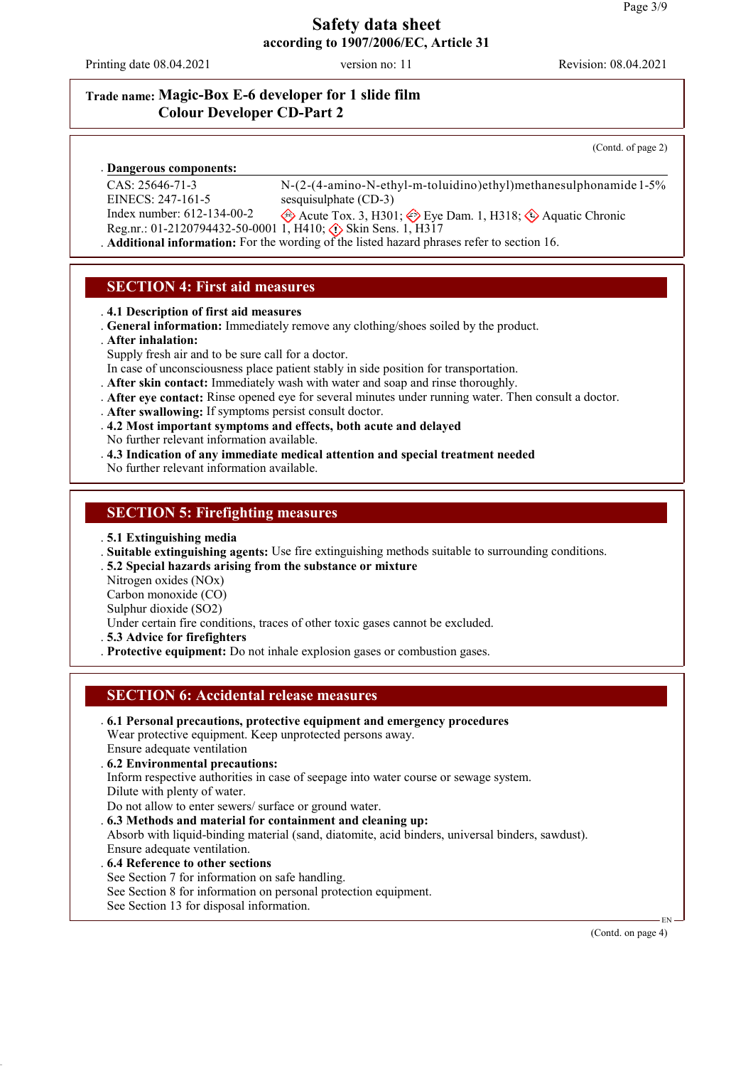Printing date 08.04.2021 version no: 11 Revision: 08.04.2021

## **Trade name: Magic-Box E-6 developer for 1 slide film Colour Developer CD-Part 2**

(Contd. of page 2)

#### **Dangerous components:** .

CAS: 25646-71-3 EINECS: 247-161-5

N-(2-(4-amino-N-ethyl-m-toluidino)ethyl)methanesulphonamide 1-5% sesquisulphate (CD-3)

Index number: 612-134-00-2 Reg.nr.: 01-2120794432-50-0001 1, H410;  $\diamond$  Skin Sens. 1, H317 Acute Tox. 3, H301;  $\textcircled{\textcircled{\#}}$  Eye Dam. 1, H318;  $\textcircled{\textcircled{\#}}$  Aquatic Chronic

. **Additional information:** For the wording of the listed hazard phrases refer to section 16.

## **SECTION 4: First aid measures**

. **4.1 Description of first aid measures**

. **General information:** Immediately remove any clothing/shoes soiled by the product.

#### . **After inhalation:**

Supply fresh air and to be sure call for a doctor.

- In case of unconsciousness place patient stably in side position for transportation.
- . **After skin contact:** Immediately wash with water and soap and rinse thoroughly.
- . **After eye contact:** Rinse opened eye for several minutes under running water. Then consult a doctor.
- . **After swallowing:** If symptoms persist consult doctor.
- . **4.2 Most important symptoms and effects, both acute and delayed**
- No further relevant information available.
- . **4.3 Indication of any immediate medical attention and special treatment needed**

No further relevant information available.

#### **SECTION 5: Firefighting measures**

. **5.1 Extinguishing media**

. **Suitable extinguishing agents:** Use fire extinguishing methods suitable to surrounding conditions.

. **5.2 Special hazards arising from the substance or mixture**

Nitrogen oxides (NOx)

Carbon monoxide (CO)

Sulphur dioxide (SO2)

Under certain fire conditions, traces of other toxic gases cannot be excluded.

. **5.3 Advice for firefighters**

. **Protective equipment:** Do not inhale explosion gases or combustion gases.

### **SECTION 6: Accidental release measures**

. **6.1 Personal precautions, protective equipment and emergency procedures** Wear protective equipment. Keep unprotected persons away.

Ensure adequate ventilation

. **6.2 Environmental precautions:**

Inform respective authorities in case of seepage into water course or sewage system.

Dilute with plenty of water.

Do not allow to enter sewers/ surface or ground water.

. **6.3 Methods and material for containment and cleaning up:**

Absorb with liquid-binding material (sand, diatomite, acid binders, universal binders, sawdust).

Ensure adequate ventilation.

#### . **6.4 Reference to other sections**

- See Section 7 for information on safe handling.
- See Section 8 for information on personal protection equipment.
- See Section 13 for disposal information.

(Contd. on page 4)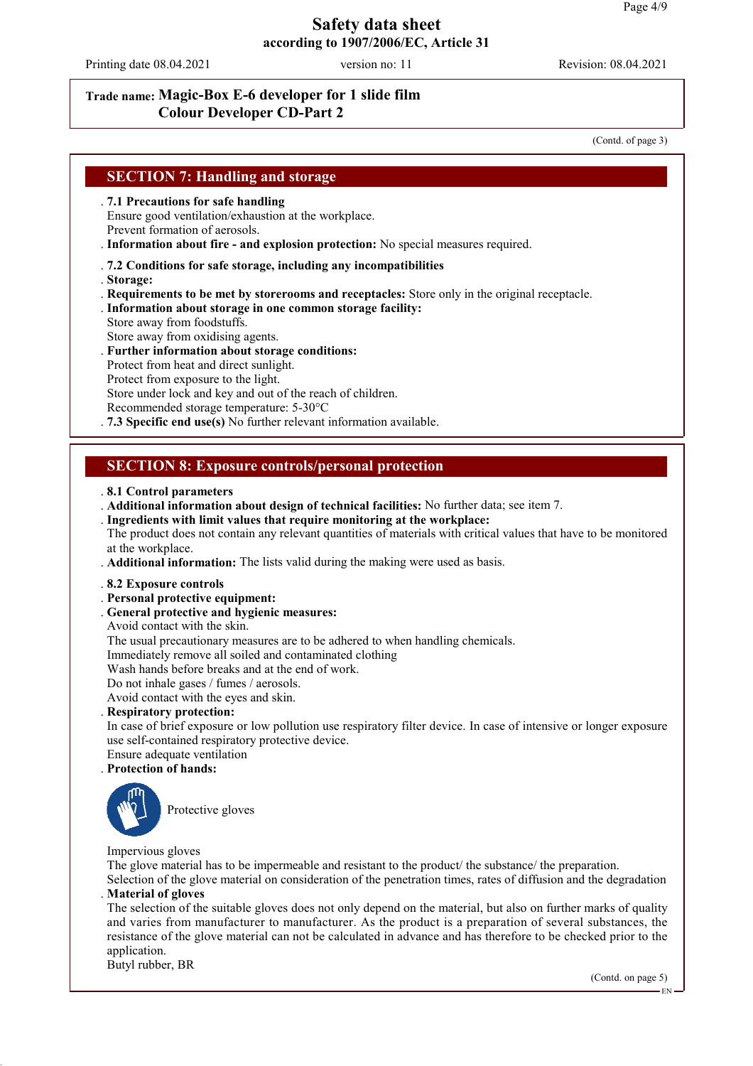Printing date 08.04.2021 version no: 11 Revision: 08.04.2021

## **Trade name: Magic-Box E-6 developer for 1 slide film Colour Developer CD-Part 2**

(Contd. of page 3)

### **SECTION 7: Handling and storage**

. **7.1 Precautions for safe handling**

Ensure good ventilation/exhaustion at the workplace. Prevent formation of aerosols.

. **Information about fire - and explosion protection:** No special measures required.

#### . **7.2 Conditions for safe storage, including any incompatibilities**

- . **Storage:**
- . **Requirements to be met by storerooms and receptacles:** Store only in the original receptacle.
- . **Information about storage in one common storage facility:** Store away from foodstuffs.
- Store away from oxidising agents.
- . **Further information about storage conditions:**
- Protect from heat and direct sunlight.
- Protect from exposure to the light.
- Store under lock and key and out of the reach of children.
- Recommended storage temperature: 5-30°C
- . **7.3 Specific end use(s)** No further relevant information available.

#### **SECTION 8: Exposure controls/personal protection**

#### . **8.1 Control parameters**

- . **Additional information about design of technical facilities:** No further data; see item 7.
- . **Ingredients with limit values that require monitoring at the workplace:**

The product does not contain any relevant quantities of materials with critical values that have to be monitored at the workplace.

. **Additional information:** The lists valid during the making were used as basis.

#### . **8.2 Exposure controls**

- . **Personal protective equipment:**
- . **General protective and hygienic measures:**
- Avoid contact with the skin.

The usual precautionary measures are to be adhered to when handling chemicals.

Immediately remove all soiled and contaminated clothing

Wash hands before breaks and at the end of work.

- Do not inhale gases / fumes / aerosols.
- Avoid contact with the eyes and skin.

#### . **Respiratory protection:**

In case of brief exposure or low pollution use respiratory filter device. In case of intensive or longer exposure use self-contained respiratory protective device.

Ensure adequate ventilation

#### . **Protection of hands:**



Protective gloves

#### Impervious gloves

The glove material has to be impermeable and resistant to the product/ the substance/ the preparation.

Selection of the glove material on consideration of the penetration times, rates of diffusion and the degradation . **Material of gloves**

The selection of the suitable gloves does not only depend on the material, but also on further marks of quality and varies from manufacturer to manufacturer. As the product is a preparation of several substances, the resistance of the glove material can not be calculated in advance and has therefore to be checked prior to the application.

Butyl rubber, BR

(Contd. on page 5)

EN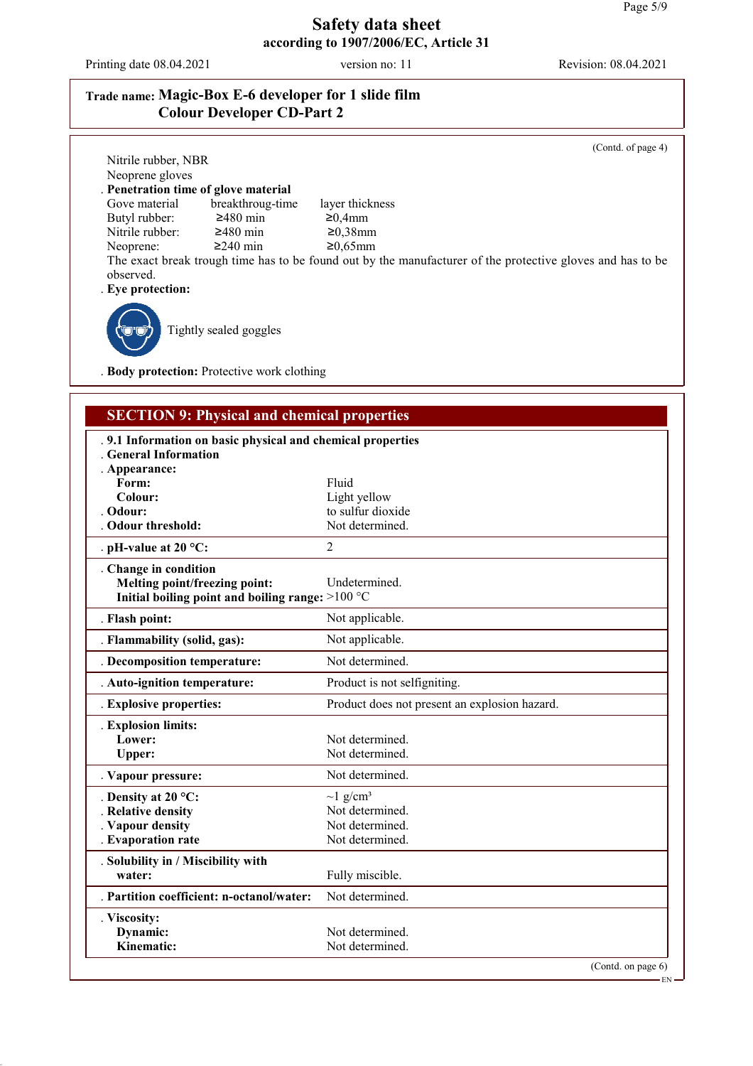Printing date 08.04.2021 version no: 11 Revision: 08.04.2021

## **Trade name: Magic-Box E-6 developer for 1 slide film Colour Developer CD-Part 2**

(Contd. of page 4) Nitrile rubber, NBR Neoprene gloves . **Penetration time of glove material** breakthroug-time layer thickness<br> $\geq 480$  min  $\geq 0,4$ mm Butyl rubber:  $\geq 480$  min  $\geq 0,38$ mm<br>Nitrile rubber:  $\geq 480$  min  $\geq 0,38$ mm Nitrile rubber:  $\geq 480$  min  $\geq 0.38$ mm<br>Neoprene:  $\geq 240$  min  $\geq 0.65$ mm Neoprene: The exact break trough time has to be found out by the manufacturer of the protective gloves and has to be observed. . **Eye protection:** Tightly sealed goggles

. **Body protection:** Protective work clothing

## **SECTION 9: Physical and chemical properties**

| .9.1 Information on basic physical and chemical properties |                                               |
|------------------------------------------------------------|-----------------------------------------------|
| <b>General Information</b>                                 |                                               |
| . Appearance:                                              |                                               |
| Form:                                                      | Fluid                                         |
| Colour:                                                    | Light yellow                                  |
| Odour:                                                     | to sulfur dioxide                             |
| . Odour threshold:                                         | Not determined.                               |
| . pH-value at $20 °C$ :                                    | $\overline{2}$                                |
| . Change in condition                                      |                                               |
| Melting point/freezing point:                              | Undetermined.                                 |
| Initial boiling point and boiling range: >100 °C           |                                               |
| . Flash point:                                             | Not applicable.                               |
| . Flammability (solid, gas):                               | Not applicable.                               |
| . Decomposition temperature:                               | Not determined.                               |
| . Auto-ignition temperature:                               | Product is not selfigniting.                  |
| . Explosive properties:                                    | Product does not present an explosion hazard. |
| . Explosion limits:                                        |                                               |
| Lower:                                                     | Not determined.                               |
| Upper:                                                     | Not determined.                               |
| . Vapour pressure:                                         | Not determined.                               |
| . Density at 20 $^{\circ}$ C:                              | $\sim$ 1 g/cm <sup>3</sup>                    |
| Relative density                                           | Not determined.                               |
| . Vapour density                                           | Not determined.                               |
| . Evaporation rate                                         | Not determined.                               |
| . Solubility in / Miscibility with                         |                                               |
| water:                                                     | Fully miscible.                               |
| . Partition coefficient: n-octanol/water:                  | Not determined.                               |
| . Viscosity:                                               |                                               |
| Dynamic:                                                   | Not determined.                               |
| Kinematic:                                                 | Not determined.                               |
|                                                            | (Contd. on page $6$ )                         |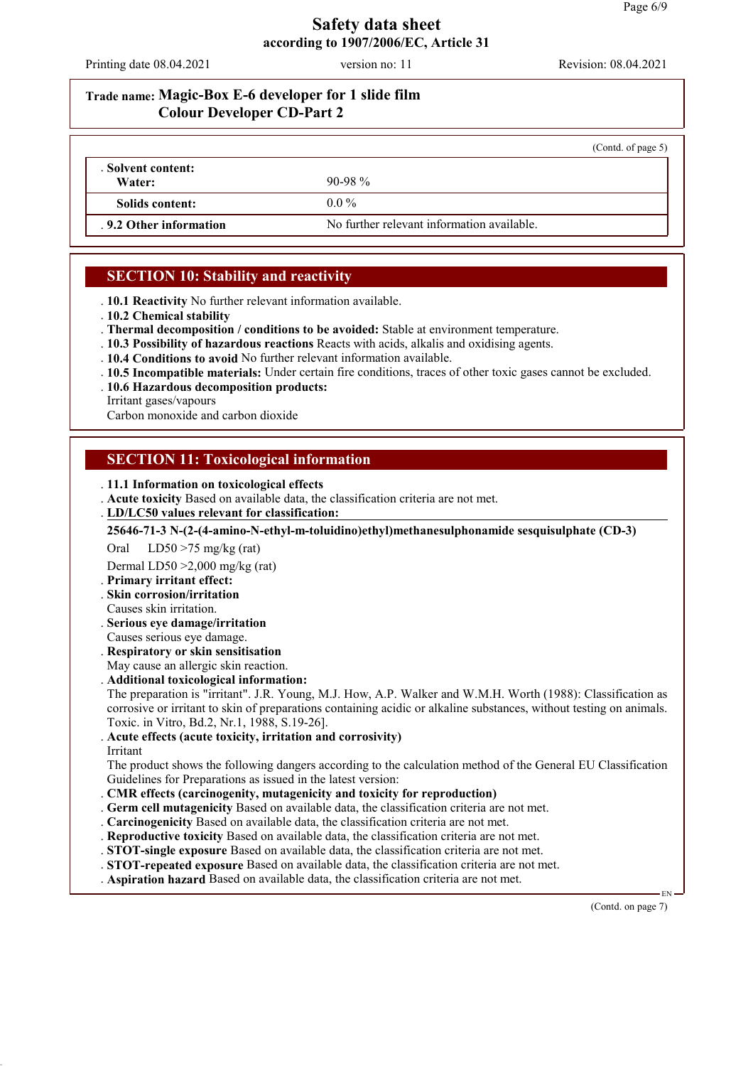Printing date 08.04.2021 version no: 11 Revision: 08.04.2021

# **Trade name: Magic-Box E-6 developer for 1 slide film Colour Developer CD-Part 2**

|                              |                                            | (Contd. of page 5) |
|------------------------------|--------------------------------------------|--------------------|
| . Solvent content:<br>Water: | $90-98\%$                                  |                    |
|                              |                                            |                    |
| Solids content:              | $0.0\%$                                    |                    |
| . 9.2 Other information      | No further relevant information available. |                    |

# **SECTION 10: Stability and reactivity**

. **10.1 Reactivity** No further relevant information available.

. **10.2 Chemical stability**

. **Thermal decomposition / conditions to be avoided:** Stable at environment temperature.

. **10.3 Possibility of hazardous reactions** Reacts with acids, alkalis and oxidising agents.

. **10.4 Conditions to avoid** No further relevant information available.

- . **10.5 Incompatible materials:** Under certain fire conditions, traces of other toxic gases cannot be excluded.
- . **10.6 Hazardous decomposition products:**

Irritant gases/vapours

Carbon monoxide and carbon dioxide

## **SECTION 11: Toxicological information**

. **11.1 Information on toxicological effects**

. **Acute toxicity** Based on available data, the classification criteria are not met.

**LD/LC50 values relevant for classification:** .

**25646-71-3 N-(2-(4-amino-N-ethyl-m-toluidino)ethyl)methanesulphonamide sesquisulphate (CD-3)**

Oral LD50 >75 mg/kg (rat)

Dermal LD50 >2,000 mg/kg (rat)

- . **Primary irritant effect:**
- . **Skin corrosion/irritation**
- Causes skin irritation.
- . **Serious eye damage/irritation**
- Causes serious eye damage.
- . **Respiratory or skin sensitisation**

May cause an allergic skin reaction.

. **Additional toxicological information:**

The preparation is "irritant". J.R. Young, M.J. How, A.P. Walker and W.M.H. Worth (1988): Classification as corrosive or irritant to skin of preparations containing acidic or alkaline substances, without testing on animals. Toxic. in Vitro, Bd.2, Nr.1, 1988, S.19-26].

. **Acute effects (acute toxicity, irritation and corrosivity)**

Irritant

The product shows the following dangers according to the calculation method of the General EU Classification Guidelines for Preparations as issued in the latest version:

- . **CMR effects (carcinogenity, mutagenicity and toxicity for reproduction)**
- . **Germ cell mutagenicity** Based on available data, the classification criteria are not met.
- . **Carcinogenicity** Based on available data, the classification criteria are not met.

. **Reproductive toxicity** Based on available data, the classification criteria are not met.

- . **STOT-single exposure** Based on available data, the classification criteria are not met.
- . **STOT-repeated exposure** Based on available data, the classification criteria are not met.

. **Aspiration hazard** Based on available data, the classification criteria are not met.

(Contd. on page 7)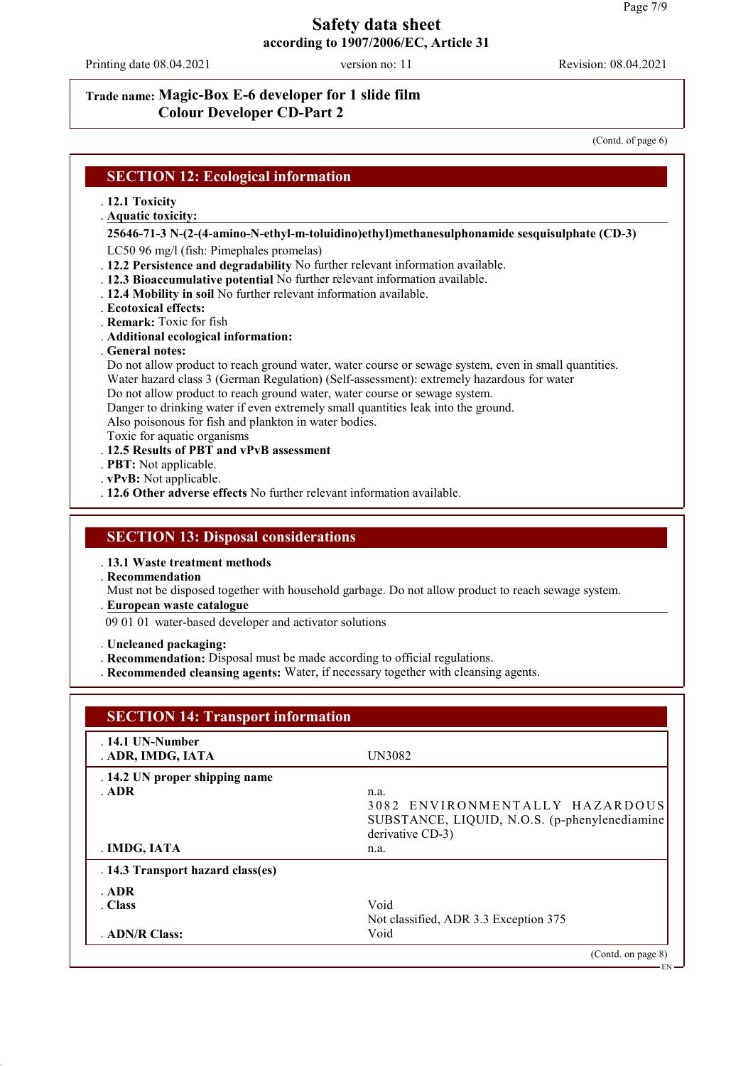Printing date 08.04.2021 version no: 11 Revision: 08.04.2021

### **Trade name: Magic-Box E-6 developer for 1 slide film Colour Developer CD-Part 2**

(Contd. of page 6)

#### **SECTION 12: Ecological information**

- . **12.1 Toxicity**
- **Aquatic toxicity:** .

#### **25646-71-3 N-(2-(4-amino-N-ethyl-m-toluidino)ethyl)methanesulphonamide sesquisulphate (CD-3)**

LC50 96 mg/l (fish: Pimephales promelas)

- . **12.2 Persistence and degradability** No further relevant information available.
- . **12.3 Bioaccumulative potential** No further relevant information available.
- . **12.4 Mobility in soil** No further relevant information available.
- . **Ecotoxical effects:**
- . **Remark:** Toxic for fish
- . **Additional ecological information:**
- . **General notes:**

Do not allow product to reach ground water, water course or sewage system, even in small quantities.

- Water hazard class 3 (German Regulation) (Self-assessment): extremely hazardous for water
- Do not allow product to reach ground water, water course or sewage system.
- Danger to drinking water if even extremely small quantities leak into the ground.

Also poisonous for fish and plankton in water bodies.

- Toxic for aquatic organisms
- . **12.5 Results of PBT and vPvB assessment**
- . **PBT:** Not applicable.
- . **vPvB:** Not applicable.
- . **12.6 Other adverse effects** No further relevant information available.

#### **SECTION 13: Disposal considerations**

. **13.1 Waste treatment methods**

. **Recommendation**

Must not be disposed together with household garbage. Do not allow product to reach sewage system.

- **European waste catalogue** .
- 09 01 01 water-based developer and activator solutions
- . **Uncleaned packaging:**
- . **Recommendation:** Disposal must be made according to official regulations.
- . **Recommended cleansing agents:** Water, if necessary together with cleansing agents.

| $.14.1$ UN-Number<br>. ADR, IMDG, IATA | UN3082                                        |  |
|----------------------------------------|-----------------------------------------------|--|
| . 14.2 UN proper shipping name         |                                               |  |
| . ADR                                  | n.a.                                          |  |
|                                        | 3082 ENVIRONMENTALLY HAZARDOUS                |  |
|                                        | SUBSTANCE, LIQUID, N.O.S. (p-phenylenediamine |  |
|                                        | derivative CD-3)                              |  |
| . IMDG, IATA                           | n.a.                                          |  |
| . 14.3 Transport hazard class(es)      |                                               |  |
| . ADR                                  |                                               |  |
| . Class                                | Void                                          |  |
|                                        | Not classified, ADR 3.3 Exception 375         |  |
| . ADN/R Class:                         | Void                                          |  |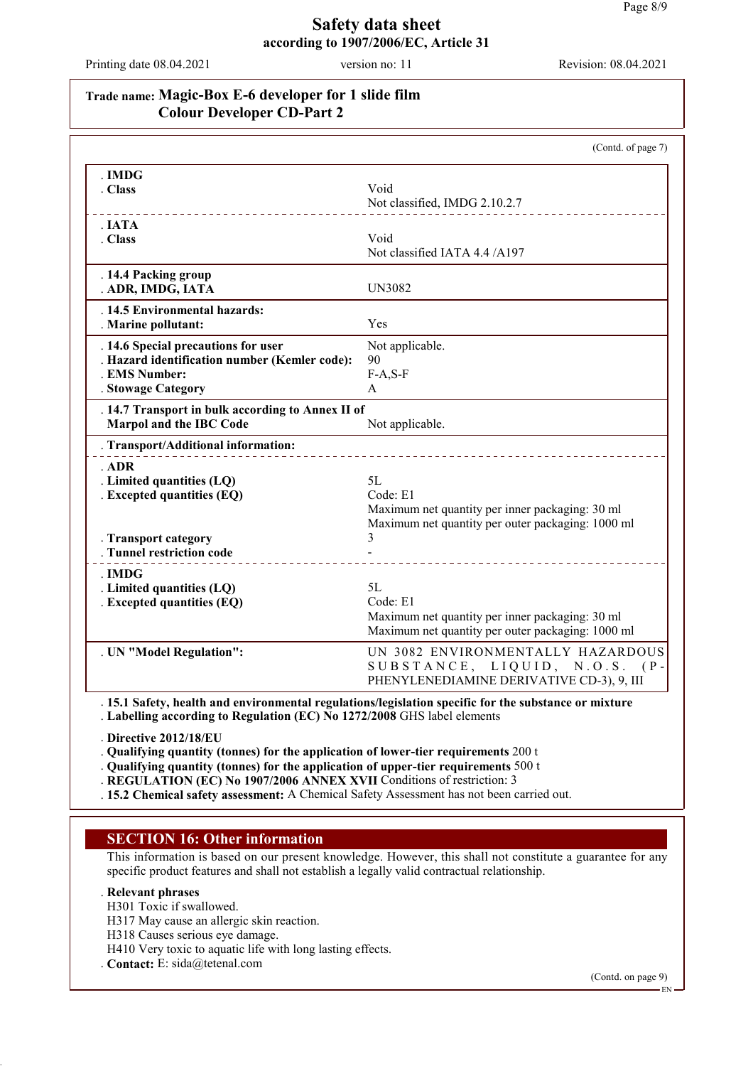Printing date 08.04.2021 version no: 11 Revision: 08.04.2021

## **Trade name: Magic-Box E-6 developer for 1 slide film Colour Developer CD-Part 2**

|                                                   | (Contd. of page 7)                                                                                   |
|---------------------------------------------------|------------------------------------------------------------------------------------------------------|
| .IMDG                                             |                                                                                                      |
| . Class                                           | Void                                                                                                 |
|                                                   | Not classified, IMDG 2.10.2.7                                                                        |
| IATA                                              |                                                                                                      |
| . Class                                           | Void                                                                                                 |
|                                                   | Not classified IATA 4.4 /A197                                                                        |
| . 14.4 Packing group                              |                                                                                                      |
| . ADR, IMDG, IATA                                 | <b>UN3082</b>                                                                                        |
| . 14.5 Environmental hazards:                     |                                                                                                      |
| . Marine pollutant:                               | Yes                                                                                                  |
| . 14.6 Special precautions for user               | Not applicable.                                                                                      |
| . Hazard identification number (Kemler code):     | 90                                                                                                   |
| . EMS Number:                                     | $F-A, S-F$                                                                                           |
| . Stowage Category                                | A                                                                                                    |
| . 14.7 Transport in bulk according to Annex II of |                                                                                                      |
| <b>Marpol and the IBC Code</b>                    | Not applicable.                                                                                      |
| . Transport/Additional information:               |                                                                                                      |
| ADR                                               |                                                                                                      |
| . Limited quantities (LQ)                         | 5L                                                                                                   |
| . Excepted quantities (EQ)                        | Code: E1                                                                                             |
|                                                   | Maximum net quantity per inner packaging: 30 ml                                                      |
|                                                   | Maximum net quantity per outer packaging: 1000 ml                                                    |
| . Transport category                              | 3                                                                                                    |
| . Tunnel restriction code                         |                                                                                                      |
| - IMDG                                            |                                                                                                      |
| . Limited quantities (LQ)                         | 5L                                                                                                   |
| . Excepted quantities (EQ)                        | Code: E1                                                                                             |
|                                                   | Maximum net quantity per inner packaging: 30 ml<br>Maximum net quantity per outer packaging: 1000 ml |
| . UN "Model Regulation":                          | UN 3082 ENVIRONMENTALLY HAZARDOUS                                                                    |
|                                                   | SUBSTANCE, LIQUID, N.O.S.<br>$(P -$                                                                  |
|                                                   | PHENYLENEDIAMINE DERIVATIVE CD-3), 9, III                                                            |
|                                                   |                                                                                                      |

. **15.1 Safety, health and environmental regulations/legislation specific for the substance or mixture** . **Labelling according to Regulation (EC) No 1272/2008** GHS label elements

. **Directive 2012/18/EU**

. **Qualifying quantity (tonnes) for the application of lower-tier requirements** 200 t

. **Qualifying quantity (tonnes) for the application of upper-tier requirements** 500 t

. **REGULATION (EC) No 1907/2006 ANNEX XVII** Conditions of restriction: 3

. **15.2 Chemical safety assessment:** A Chemical Safety Assessment has not been carried out.

### **SECTION 16: Other information**

This information is based on our present knowledge. However, this shall not constitute a guarantee for any specific product features and shall not establish a legally valid contractual relationship.

#### . **Relevant phrases**

- H301 Toxic if swallowed.
- H317 May cause an allergic skin reaction.
- H318 Causes serious eye damage.
- H410 Very toxic to aquatic life with long lasting effects.
- . **Contact:** E: sida@tetenal.com

(Contd. on page 9)

EN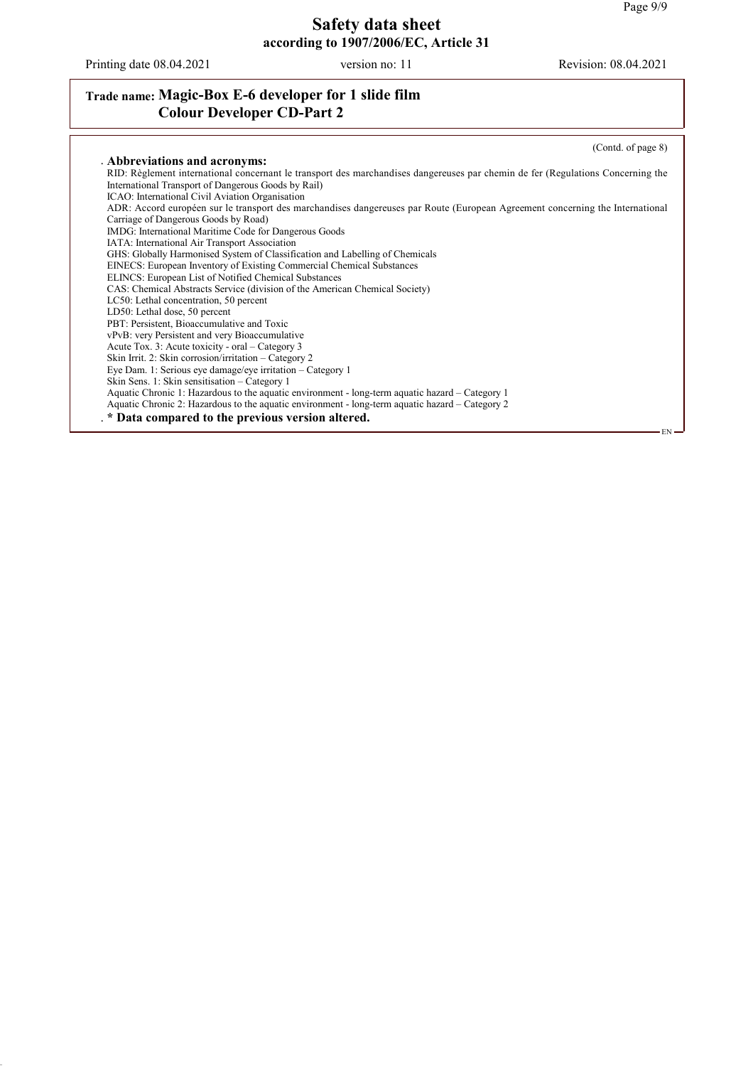Printing date 08.04.2021 version no: 11 Revision: 08.04.2021

## **Trade name: Magic-Box E-6 developer for 1 slide film Colour Developer CD-Part 2**

(Contd. of page 8) . **Abbreviations and acronyms:** RID: Règlement international concernant le transport des marchandises dangereuses par chemin de fer (Regulations Concerning the International Transport of Dangerous Goods by Rail) ICAO: International Civil Aviation Organisation ADR: Accord européen sur le transport des marchandises dangereuses par Route (European Agreement concerning the International Carriage of Dangerous Goods by Road) IMDG: International Maritime Code for Dangerous Goods IATA: International Air Transport Association GHS: Globally Harmonised System of Classification and Labelling of Chemicals EINECS: European Inventory of Existing Commercial Chemical Substances ELINCS: European List of Notified Chemical Substances CAS: Chemical Abstracts Service (division of the American Chemical Society) LC50: Lethal concentration, 50 percent LD50: Lethal dose, 50 percent PBT: Persistent, Bioaccumulative and Toxic vPvB: very Persistent and very Bioaccumulative Acute Tox. 3: Acute toxicity - oral – Category 3 Skin Irrit. 2: Skin corrosion/irritation – Category 2 Eye Dam. 1: Serious eye damage/eye irritation – Category 1 Skin Sens. 1: Skin sensitisation – Category 1 Aquatic Chronic 1: Hazardous to the aquatic environment - long-term aquatic hazard – Category 1 Aquatic Chronic 2: Hazardous to the aquatic environment - long-term aquatic hazard – Category 2 . **\* Data compared to the previous version altered.** EN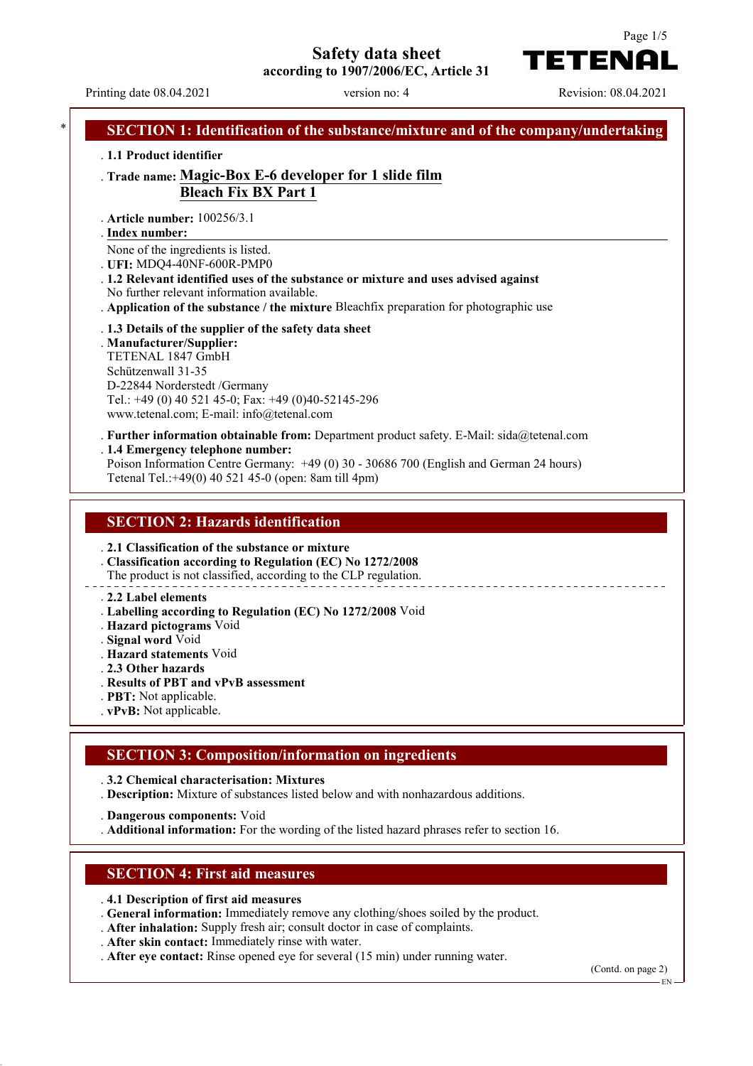**Safety data sheet**

**according to 1907/2006/EC, Article 31**

Printing date 08.04.2021 version no: 4 Revision: 08.04.2021

TETENAI



. **2.1 Classification of the substance or mixture**

. **Classification according to Regulation (EC) No 1272/2008**

The product is not classified, according to the CLP regulation.

. **2.2 Label elements**

- . **Labelling according to Regulation (EC) No 1272/2008** Void
- . **Hazard pictograms** Void
- . **Signal word** Void

. **Hazard statements** Void

. **2.3 Other hazards**

- . **Results of PBT and vPvB assessment**
- . **PBT:** Not applicable.
- . **vPvB:** Not applicable.

### **SECTION 3: Composition/information on ingredients**

. **3.2 Chemical characterisation: Mixtures**

. **Description:** Mixture of substances listed below and with nonhazardous additions.

. **Dangerous components:** Void

. **Additional information:** For the wording of the listed hazard phrases refer to section 16.

#### **SECTION 4: First aid measures**

- . **4.1 Description of first aid measures**
- . **General information:** Immediately remove any clothing/shoes soiled by the product.
- . **After inhalation:** Supply fresh air; consult doctor in case of complaints.
- . **After skin contact:** Immediately rinse with water.
- . **After eye contact:** Rinse opened eye for several (15 min) under running water.

(Contd. on page 2)

EN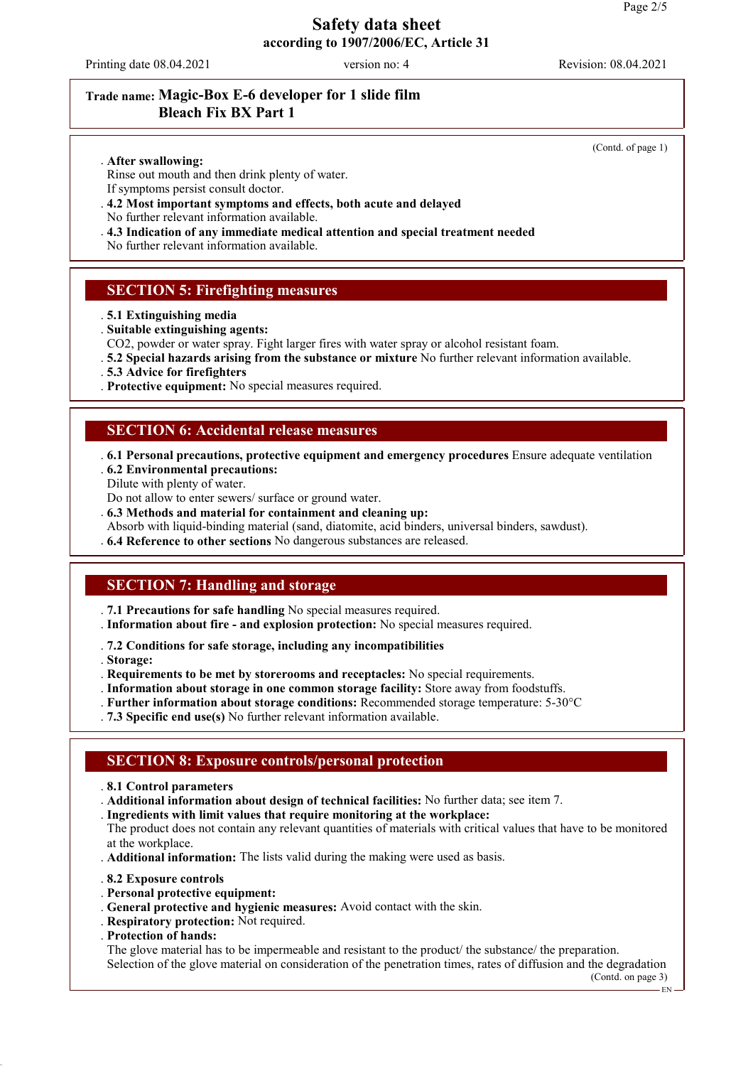Printing date 08.04.2021 version no: 4 Revision: 08.04.2021

# **Trade name: Magic-Box E-6 developer for 1 slide film Bleach Fix BX Part 1**

(Contd. of page 1)

#### . **After swallowing:**

- Rinse out mouth and then drink plenty of water. If symptoms persist consult doctor.
- . **4.2 Most important symptoms and effects, both acute and delayed**
- No further relevant information available.
- . **4.3 Indication of any immediate medical attention and special treatment needed**

No further relevant information available.

### **SECTION 5: Firefighting measures**

- . **5.1 Extinguishing media**
- . **Suitable extinguishing agents:**
- CO2, powder or water spray. Fight larger fires with water spray or alcohol resistant foam.
- . **5.2 Special hazards arising from the substance or mixture** No further relevant information available.
- . **5.3 Advice for firefighters**
- . **Protective equipment:** No special measures required.

### **SECTION 6: Accidental release measures**

- . **6.1 Personal precautions, protective equipment and emergency procedures** Ensure adequate ventilation . **6.2 Environmental precautions:**
- Dilute with plenty of water.
- Do not allow to enter sewers/ surface or ground water.
- . **6.3 Methods and material for containment and cleaning up:**
- Absorb with liquid-binding material (sand, diatomite, acid binders, universal binders, sawdust).
- . **6.4 Reference to other sections** No dangerous substances are released.

### **SECTION 7: Handling and storage**

- . **7.1 Precautions for safe handling** No special measures required.
- . **Information about fire and explosion protection:** No special measures required.
- . **7.2 Conditions for safe storage, including any incompatibilities**
- . **Storage:**
- . **Requirements to be met by storerooms and receptacles:** No special requirements.
- . **Information about storage in one common storage facility:** Store away from foodstuffs.
- . **Further information about storage conditions:** Recommended storage temperature: 5-30°C
- . **7.3 Specific end use(s)** No further relevant information available.

### **SECTION 8: Exposure controls/personal protection**

- . **8.1 Control parameters**
- . **Additional information about design of technical facilities:** No further data; see item 7.
- . **Ingredients with limit values that require monitoring at the workplace:**
- The product does not contain any relevant quantities of materials with critical values that have to be monitored at the workplace.
- . **Additional information:** The lists valid during the making were used as basis.
- . **8.2 Exposure controls**
- . **Personal protective equipment:**
- . **General protective and hygienic measures:** Avoid contact with the skin.
- . **Respiratory protection:** Not required.
- . **Protection of hands:**

The glove material has to be impermeable and resistant to the product/ the substance/ the preparation. Selection of the glove material on consideration of the penetration times, rates of diffusion and the degradation

(Contd. on page 3)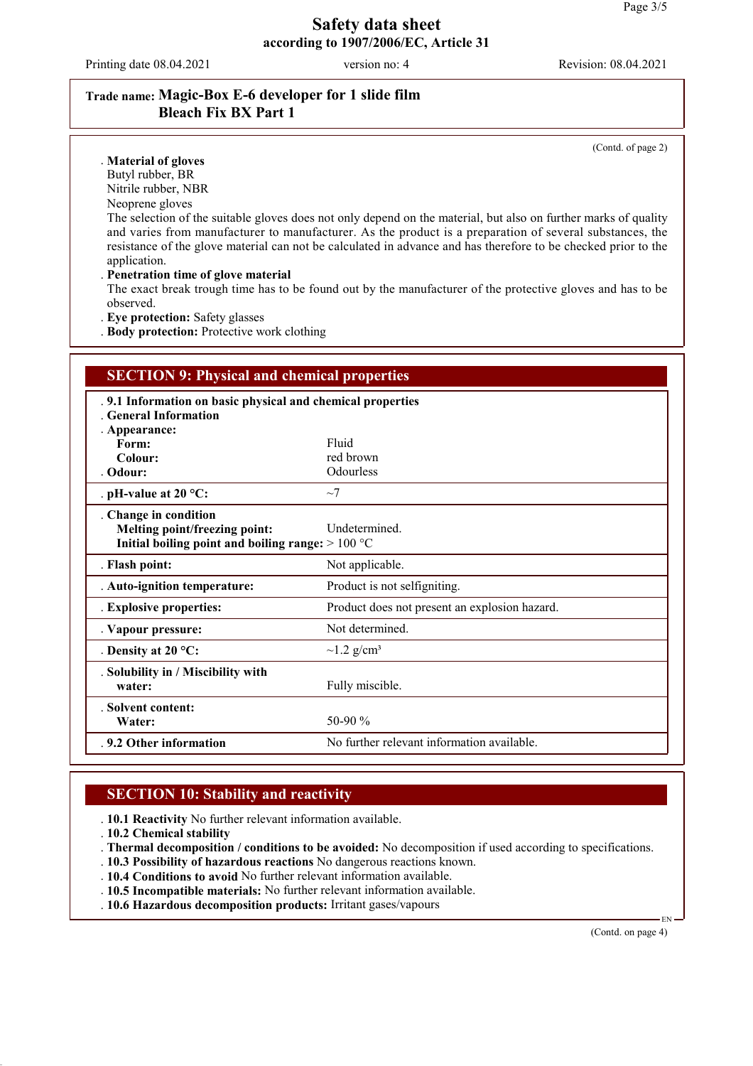Printing date 08.04.2021 version no: 4 Revision: 08.04.2021

# **Trade name: Magic-Box E-6 developer for 1 slide film Bleach Fix BX Part 1**

(Contd. of page 2)

#### . **Material of gloves**

Butyl rubber, BR

Nitrile rubber, NBR

Neoprene gloves

The selection of the suitable gloves does not only depend on the material, but also on further marks of quality and varies from manufacturer to manufacturer. As the product is a preparation of several substances, the resistance of the glove material can not be calculated in advance and has therefore to be checked prior to the application.

#### . **Penetration time of glove material**

The exact break trough time has to be found out by the manufacturer of the protective gloves and has to be observed.

. **Eye protection:** Safety glasses

. **Body protection:** Protective work clothing

| <b>SECTION 9: Physical and chemical properties</b>                                                           |                                               |  |  |
|--------------------------------------------------------------------------------------------------------------|-----------------------------------------------|--|--|
| .9.1 Information on basic physical and chemical properties<br>General Information<br>. Appearance:           |                                               |  |  |
| Form:                                                                                                        | Fluid                                         |  |  |
| Colour:                                                                                                      | red brown                                     |  |  |
| Odour:                                                                                                       | Odourless                                     |  |  |
| . pH-value at 20 °C:                                                                                         | $\sim$ 7                                      |  |  |
| . Change in condition<br>Melting point/freezing point:<br>Initial boiling point and boiling range: $>100 °C$ | <b>Undetermined</b>                           |  |  |
| . Flash point:                                                                                               | Not applicable.                               |  |  |
| . Auto-ignition temperature:                                                                                 | Product is not selfigniting.                  |  |  |
| . Explosive properties:                                                                                      | Product does not present an explosion hazard. |  |  |
| . Vapour pressure:                                                                                           | Not determined.                               |  |  |
| . Density at $20^{\circ}$ C:                                                                                 | $\sim$ 1.2 g/cm <sup>3</sup>                  |  |  |
| . Solubility in / Miscibility with<br>water:                                                                 | Fully miscible.                               |  |  |
| . Solvent content:<br>Water:                                                                                 | 50-90 $\%$                                    |  |  |
| .9.2 Other information                                                                                       | No further relevant information available.    |  |  |

## **SECTION 10: Stability and reactivity**

. **10.1 Reactivity** No further relevant information available.

. **10.2 Chemical stability**

. **Thermal decomposition / conditions to be avoided:** No decomposition if used according to specifications.

- . **10.3 Possibility of hazardous reactions** No dangerous reactions known.
- . **10.4 Conditions to avoid** No further relevant information available.
- . **10.5 Incompatible materials:** No further relevant information available.
- . **10.6 Hazardous decomposition products:** Irritant gases/vapours

(Contd. on page 4)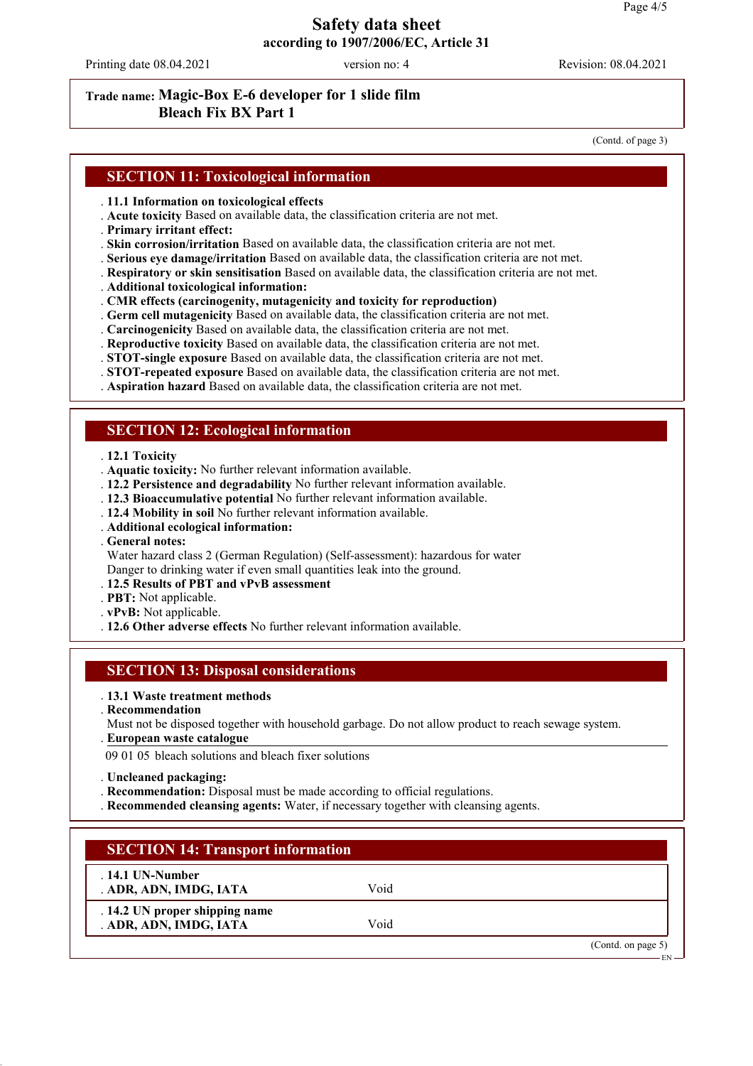Printing date 08.04.2021 version no: 4 Revision: 08.04.2021

# **Trade name: Magic-Box E-6 developer for 1 slide film Bleach Fix BX Part 1**

(Contd. of page 3)

### **SECTION 11: Toxicological information**

- . **11.1 Information on toxicological effects**
- . **Acute toxicity** Based on available data, the classification criteria are not met.
- . **Primary irritant effect:**
- . **Skin corrosion/irritation** Based on available data, the classification criteria are not met.
- . **Serious eye damage/irritation** Based on available data, the classification criteria are not met.
- . **Respiratory or skin sensitisation** Based on available data, the classification criteria are not met.
- . **Additional toxicological information:**
- . **CMR effects (carcinogenity, mutagenicity and toxicity for reproduction)**
- . **Germ cell mutagenicity** Based on available data, the classification criteria are not met.
- . **Carcinogenicity** Based on available data, the classification criteria are not met.
- . **Reproductive toxicity** Based on available data, the classification criteria are not met.
- . **STOT-single exposure** Based on available data, the classification criteria are not met.
- . **STOT-repeated exposure** Based on available data, the classification criteria are not met.
- . **Aspiration hazard** Based on available data, the classification criteria are not met.

### **SECTION 12: Ecological information**

- . **12.1 Toxicity**
- . **Aquatic toxicity:** No further relevant information available.
- . **12.2 Persistence and degradability** No further relevant information available.
- . **12.3 Bioaccumulative potential** No further relevant information available.
- . **12.4 Mobility in soil** No further relevant information available.
- . **Additional ecological information:**
- . **General notes:**

Water hazard class 2 (German Regulation) (Self-assessment): hazardous for water Danger to drinking water if even small quantities leak into the ground.

- . **12.5 Results of PBT and vPvB assessment**
- . **PBT:** Not applicable.
- . **vPvB:** Not applicable.
- . **12.6 Other adverse effects** No further relevant information available.

#### **SECTION 13: Disposal considerations**

- . **13.1 Waste treatment methods**
- . **Recommendation**
- Must not be disposed together with household garbage. Do not allow product to reach sewage system.
- **European waste catalogue** .

09 01 05 bleach solutions and bleach fixer solutions

- . **Uncleaned packaging:**
- . **Recommendation:** Disposal must be made according to official regulations.
- . **Recommended cleansing agents:** Water, if necessary together with cleansing agents.

| <b>SECTION 14: Transport information</b>                 |      |                   |
|----------------------------------------------------------|------|-------------------|
| $.14.1$ UN-Number<br>. ADR, ADN, IMDG, IATA              | Void |                   |
| . 14.2 UN proper shipping name<br>. ADR, ADN, IMDG, IATA | Void |                   |
|                                                          |      | (Cond. on page 5) |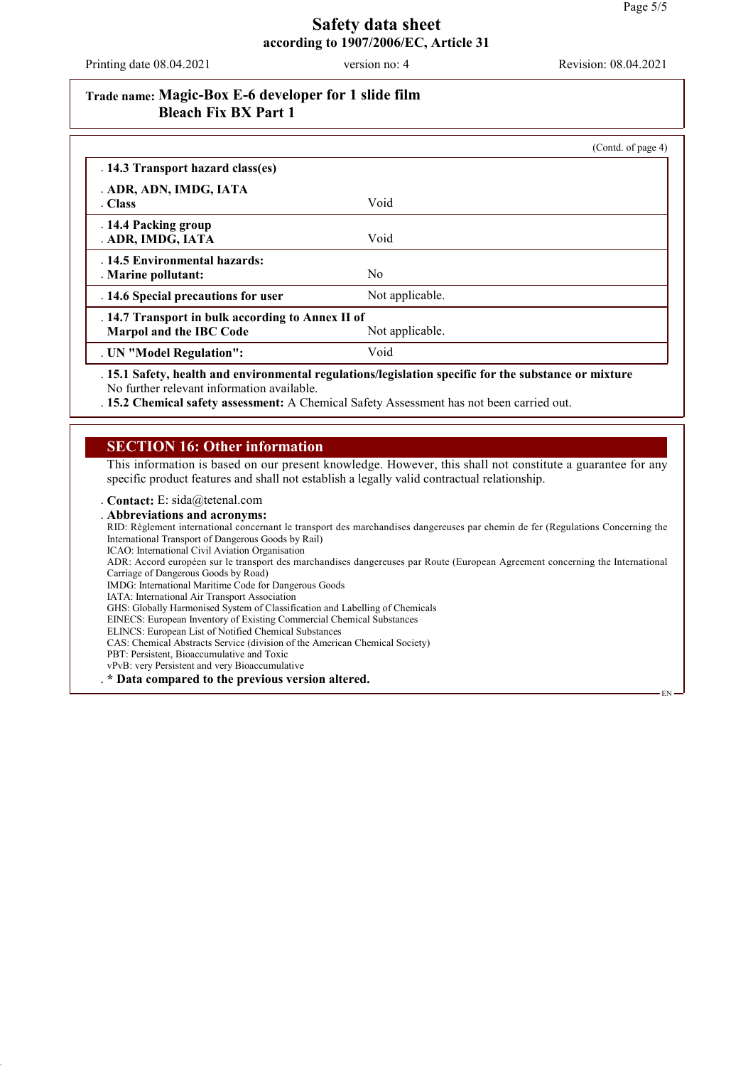EN

#### **Safety data sheet according to 1907/2006/EC, Article 31**

Printing date 08.04.2021 version no: 4 Revision: 08.04.2021

## **Trade name: Magic-Box E-6 developer for 1 slide film Bleach Fix BX Part 1**

|                                                                              |                 | (Contd. of page 4) |
|------------------------------------------------------------------------------|-----------------|--------------------|
| . 14.3 Transport hazard class(es)                                            |                 |                    |
| . ADR, ADN, IMDG, IATA                                                       |                 |                    |
| . Class                                                                      | Void            |                    |
| .14.4 Packing group<br>. ADR, IMDG, IATA                                     | Void            |                    |
| .14.5 Environmental hazards:<br>. Marine pollutant:                          | No.             |                    |
| . 14.6 Special precautions for user                                          | Not applicable. |                    |
| . 14.7 Transport in bulk according to Annex II of<br>Marpol and the IBC Code | Not applicable. |                    |
| . UN "Model Regulation":                                                     | Void            |                    |

. **15.1 Safety, health and environmental regulations/legislation specific for the substance or mixture** No further relevant information available.

. **15.2 Chemical safety assessment:** A Chemical Safety Assessment has not been carried out.

### **SECTION 16: Other information**

This information is based on our present knowledge. However, this shall not constitute a guarantee for any specific product features and shall not establish a legally valid contractual relationship.

. **Contact:** E: sida@tetenal.com

. **Abbreviations and acronyms:**

RID: Règlement international concernant le transport des marchandises dangereuses par chemin de fer (Regulations Concerning the International Transport of Dangerous Goods by Rail)

ICAO: International Civil Aviation Organisation

ADR: Accord européen sur le transport des marchandises dangereuses par Route (European Agreement concerning the International Carriage of Dangerous Goods by Road)

IMDG: International Maritime Code for Dangerous Goods

IATA: International Air Transport Association

GHS: Globally Harmonised System of Classification and Labelling of Chemicals

EINECS: European Inventory of Existing Commercial Chemical Substances

ELINCS: European List of Notified Chemical Substances CAS: Chemical Abstracts Service (division of the American Chemical Society)

PBT: Persistent, Bioaccumulative and Toxic

vPvB: very Persistent and very Bioaccumulative

. **\* Data compared to the previous version altered.**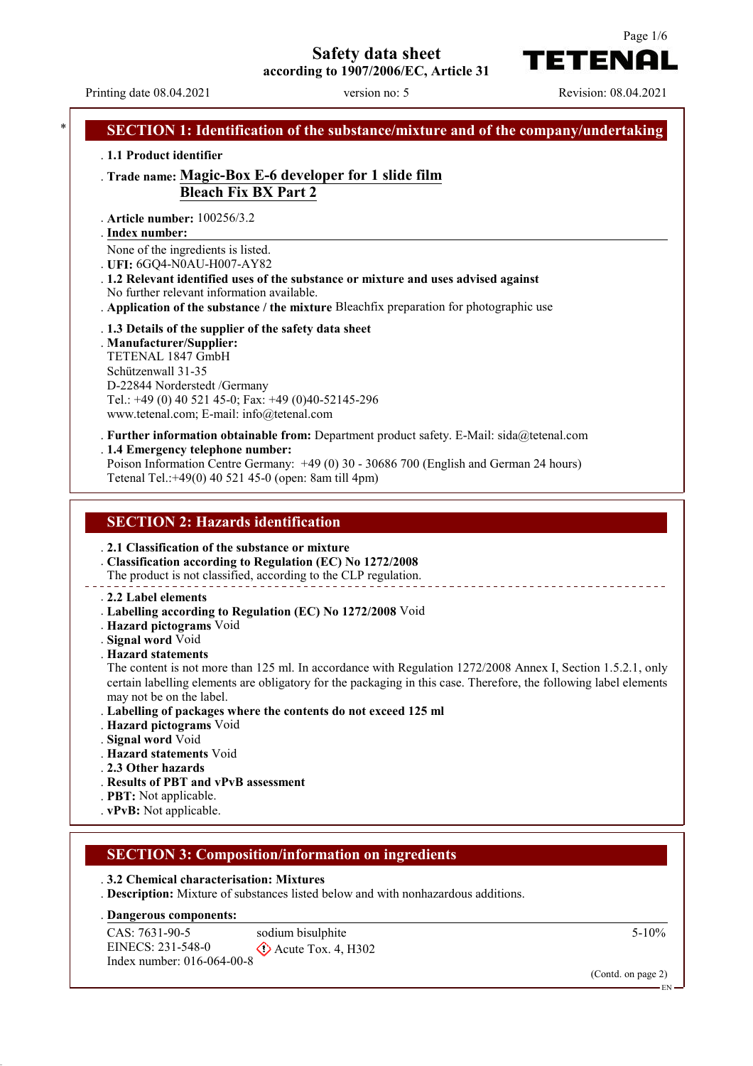**Safety data sheet**

**according to 1907/2006/EC, Article 31**

Printing date 08.04.2021 version no: 5 Revision: 08.04.2021

Index number: 016-064-00-8

TETENAI

Page 1/6

### **SECTION 1: Identification of the substance/mixture and of the company/undertaking** . **1.1 Product identifier** . **Trade name: Magic-Box E-6 developer for 1 slide film Bleach Fix BX Part 2** . **Article number:** 100256/3.2 **Index number:** . None of the ingredients is listed. . **UFI:** 6GQ4-N0AU-H007-AY82 . **1.2 Relevant identified uses of the substance or mixture and uses advised against** No further relevant information available. . **Application of the substance / the mixture** Bleachfix preparation for photographic use . **1.3 Details of the supplier of the safety data sheet** . **Manufacturer/Supplier:** TETENAL 1847 GmbH Schützenwall 31-35 D-22844 Norderstedt /Germany Tel.: +49 (0) 40 521 45-0; Fax: +49 (0)40-52145-296 www.tetenal.com; E-mail: info@tetenal.com . **Further information obtainable from:** Department product safety. E-Mail: sida@tetenal.com . **1.4 Emergency telephone number:** Poison Information Centre Germany: +49 (0) 30 - 30686 700 (English and German 24 hours) Tetenal Tel.:+49(0) 40 521 45-0 (open: 8am till 4pm) **SECTION 2: Hazards identification** . **2.1 Classification of the substance or mixture** . **Classification according to Regulation (EC) No 1272/2008** The product is not classified, according to the CLP regulation. . **2.2 Label elements** . **Labelling according to Regulation (EC) No 1272/2008** Void . **Hazard pictograms** Void . **Signal word** Void . **Hazard statements** The content is not more than 125 ml. In accordance with Regulation 1272/2008 Annex I, Section 1.5.2.1, only certain labelling elements are obligatory for the packaging in this case. Therefore, the following label elements may not be on the label. . **Labelling of packages where the contents do not exceed 125 ml** . **Hazard pictograms** Void . **Signal word** Void . **Hazard statements** Void . **2.3 Other hazards** . **Results of PBT and vPvB assessment** . **PBT:** Not applicable. . **vPvB:** Not applicable. **SECTION 3: Composition/information on ingredients** . **3.2 Chemical characterisation: Mixtures** . **Description:** Mixture of substances listed below and with nonhazardous additions. **Dangerous components:** . CAS: 7631-90-5 EINECS: 231-548-0 sodium bisulphite  $\Diamond$  Acute Tox. 4, H302 5-10%

(Contd. on page 2)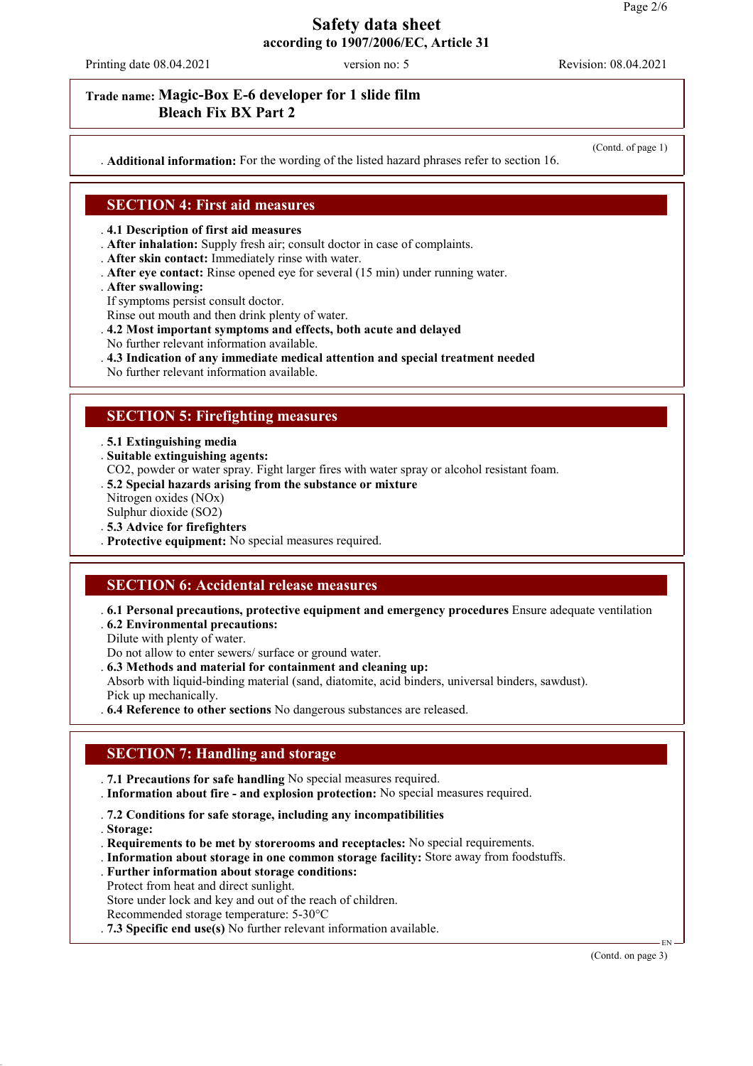Printing date 08.04.2021 version no: 5 Revision: 08.04.2021

## **Trade name: Magic-Box E-6 developer for 1 slide film Bleach Fix BX Part 2**

. **Additional information:** For the wording of the listed hazard phrases refer to section 16.

(Contd. of page 1)

### **SECTION 4: First aid measures**

#### . **4.1 Description of first aid measures**

- . **After inhalation:** Supply fresh air; consult doctor in case of complaints.
- . **After skin contact:** Immediately rinse with water.
- . **After eye contact:** Rinse opened eye for several (15 min) under running water.
- . **After swallowing:**
- If symptoms persist consult doctor.

Rinse out mouth and then drink plenty of water.

- . **4.2 Most important symptoms and effects, both acute and delayed**
- No further relevant information available.
- . **4.3 Indication of any immediate medical attention and special treatment needed**

No further relevant information available.

## **SECTION 5: Firefighting measures**

. **5.1 Extinguishing media**

- . **Suitable extinguishing agents:**
- CO2, powder or water spray. Fight larger fires with water spray or alcohol resistant foam.
- . **5.2 Special hazards arising from the substance or mixture**
- Nitrogen oxides (NOx)
- Sulphur dioxide (SO2)
- . **5.3 Advice for firefighters**
- . **Protective equipment:** No special measures required.

### **SECTION 6: Accidental release measures**

- . **6.1 Personal precautions, protective equipment and emergency procedures** Ensure adequate ventilation
- . **6.2 Environmental precautions:**

Dilute with plenty of water.

Do not allow to enter sewers/ surface or ground water.

- . **6.3 Methods and material for containment and cleaning up:**
- Absorb with liquid-binding material (sand, diatomite, acid binders, universal binders, sawdust). Pick up mechanically.
- . **6.4 Reference to other sections** No dangerous substances are released.

# **SECTION 7: Handling and storage**

- . **7.1 Precautions for safe handling** No special measures required.
- . **Information about fire and explosion protection:** No special measures required.
- . **7.2 Conditions for safe storage, including any incompatibilities**
- . **Storage:**
- . **Requirements to be met by storerooms and receptacles:** No special requirements.
- . **Information about storage in one common storage facility:** Store away from foodstuffs.
- . **Further information about storage conditions:** Protect from heat and direct sunlight. Store under lock and key and out of the reach of children.
- Recommended storage temperature: 5-30°C
- . **7.3 Specific end use(s)** No further relevant information available.

(Contd. on page 3)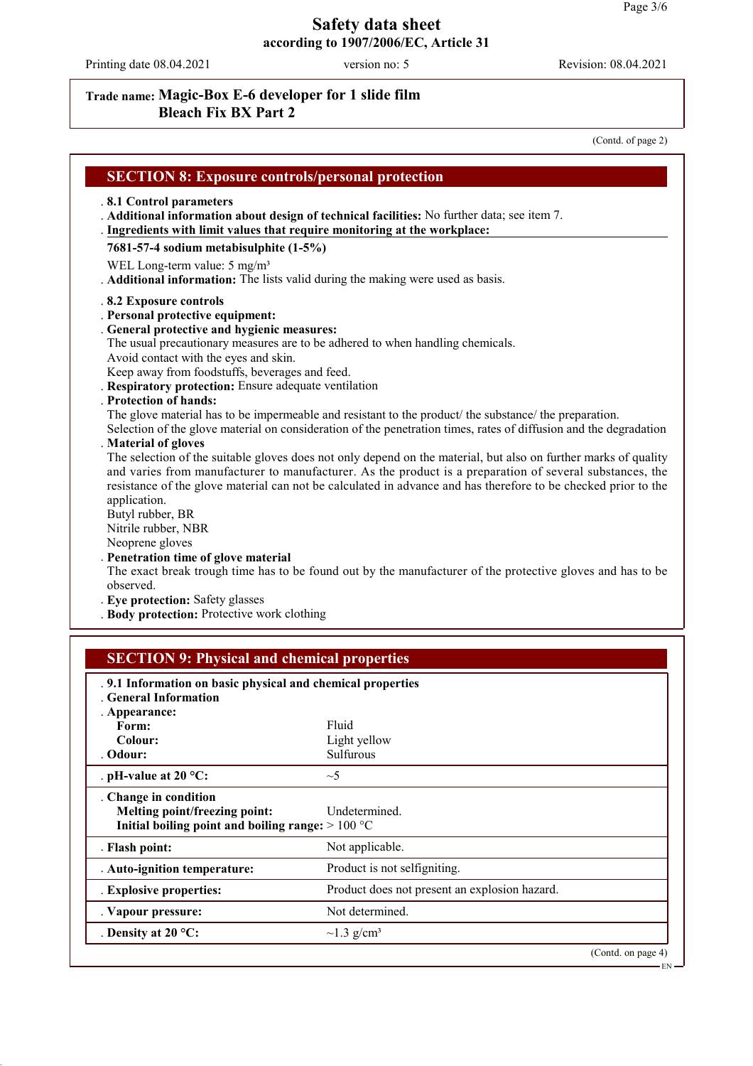Printing date 08.04.2021 version no: 5 Revision: 08.04.2021

# **Trade name: Magic-Box E-6 developer for 1 slide film Bleach Fix BX Part 2**

(Contd. of page 2)

| <b>SECTION 8: Exposure controls/personal protection</b>                                                                                                                                                                                                                                                                                                                                                                                                                                                                                  |                                                                                                                                                                                                                                                                                                                                                                                                                                                                                                                                                                                                                                                                                                                                                                              |
|------------------------------------------------------------------------------------------------------------------------------------------------------------------------------------------------------------------------------------------------------------------------------------------------------------------------------------------------------------------------------------------------------------------------------------------------------------------------------------------------------------------------------------------|------------------------------------------------------------------------------------------------------------------------------------------------------------------------------------------------------------------------------------------------------------------------------------------------------------------------------------------------------------------------------------------------------------------------------------------------------------------------------------------------------------------------------------------------------------------------------------------------------------------------------------------------------------------------------------------------------------------------------------------------------------------------------|
| .8.1 Control parameters<br>Ingredients with limit values that require monitoring at the workplace:<br>7681-57-4 sodium metabisulphite (1-5%)<br>WEL Long-term value: 5 mg/m <sup>3</sup>                                                                                                                                                                                                                                                                                                                                                 | . Additional information about design of technical facilities: No further data; see item 7.<br>Additional information: The lists valid during the making were used as basis.                                                                                                                                                                                                                                                                                                                                                                                                                                                                                                                                                                                                 |
| .8.2 Exposure controls<br>. Personal protective equipment:<br>. General protective and hygienic measures:<br>Avoid contact with the eyes and skin.<br>Keep away from foodstuffs, beverages and feed.<br>Respiratory protection: Ensure adequate ventilation<br><b>Protection of hands:</b><br>. Material of gloves<br>application.<br>Butyl rubber, BR<br>Nitrile rubber, NBR<br>Neoprene gloves<br>. Penetration time of glove material<br>observed.<br>. Eye protection: Safety glasses<br>. Body protection: Protective work clothing | The usual precautionary measures are to be adhered to when handling chemicals.<br>The glove material has to be impermeable and resistant to the product/ the substance/ the preparation.<br>Selection of the glove material on consideration of the penetration times, rates of diffusion and the degradation<br>The selection of the suitable gloves does not only depend on the material, but also on further marks of quality<br>and varies from manufacturer to manufacturer. As the product is a preparation of several substances, the<br>resistance of the glove material can not be calculated in advance and has therefore to be checked prior to the<br>The exact break trough time has to be found out by the manufacturer of the protective gloves and has to be |
| <b>SECTION 9: Physical and chemical properties</b>                                                                                                                                                                                                                                                                                                                                                                                                                                                                                       |                                                                                                                                                                                                                                                                                                                                                                                                                                                                                                                                                                                                                                                                                                                                                                              |
| .9.1 Information on basic physical and chemical properties<br><b>General Information</b>                                                                                                                                                                                                                                                                                                                                                                                                                                                 |                                                                                                                                                                                                                                                                                                                                                                                                                                                                                                                                                                                                                                                                                                                                                                              |
| . Appearance:<br>Form:                                                                                                                                                                                                                                                                                                                                                                                                                                                                                                                   | Fluid                                                                                                                                                                                                                                                                                                                                                                                                                                                                                                                                                                                                                                                                                                                                                                        |
| Colour:                                                                                                                                                                                                                                                                                                                                                                                                                                                                                                                                  | Light yellow                                                                                                                                                                                                                                                                                                                                                                                                                                                                                                                                                                                                                                                                                                                                                                 |
| Odour:                                                                                                                                                                                                                                                                                                                                                                                                                                                                                                                                   | Sulfurous                                                                                                                                                                                                                                                                                                                                                                                                                                                                                                                                                                                                                                                                                                                                                                    |
| . pH-value at $20 °C$ :                                                                                                                                                                                                                                                                                                                                                                                                                                                                                                                  | $\sim$ 5                                                                                                                                                                                                                                                                                                                                                                                                                                                                                                                                                                                                                                                                                                                                                                     |
| . Change in condition<br>Melting point/freezing point:<br>Initial boiling point and boiling range: $>100 °C$                                                                                                                                                                                                                                                                                                                                                                                                                             | Undetermined.                                                                                                                                                                                                                                                                                                                                                                                                                                                                                                                                                                                                                                                                                                                                                                |
| . Flash point:                                                                                                                                                                                                                                                                                                                                                                                                                                                                                                                           | Not applicable.                                                                                                                                                                                                                                                                                                                                                                                                                                                                                                                                                                                                                                                                                                                                                              |
| . Auto-ignition temperature:                                                                                                                                                                                                                                                                                                                                                                                                                                                                                                             | Product is not selfigniting.                                                                                                                                                                                                                                                                                                                                                                                                                                                                                                                                                                                                                                                                                                                                                 |
| . Explosive properties:                                                                                                                                                                                                                                                                                                                                                                                                                                                                                                                  | Product does not present an explosion hazard.                                                                                                                                                                                                                                                                                                                                                                                                                                                                                                                                                                                                                                                                                                                                |
| Vapour pressure:                                                                                                                                                                                                                                                                                                                                                                                                                                                                                                                         | Not determined.                                                                                                                                                                                                                                                                                                                                                                                                                                                                                                                                                                                                                                                                                                                                                              |
| . Density at $20^{\circ}$ C:                                                                                                                                                                                                                                                                                                                                                                                                                                                                                                             | $\sim$ 1.3 g/cm <sup>3</sup>                                                                                                                                                                                                                                                                                                                                                                                                                                                                                                                                                                                                                                                                                                                                                 |
|                                                                                                                                                                                                                                                                                                                                                                                                                                                                                                                                          | (Contd. on page 4)<br>EN.                                                                                                                                                                                                                                                                                                                                                                                                                                                                                                                                                                                                                                                                                                                                                    |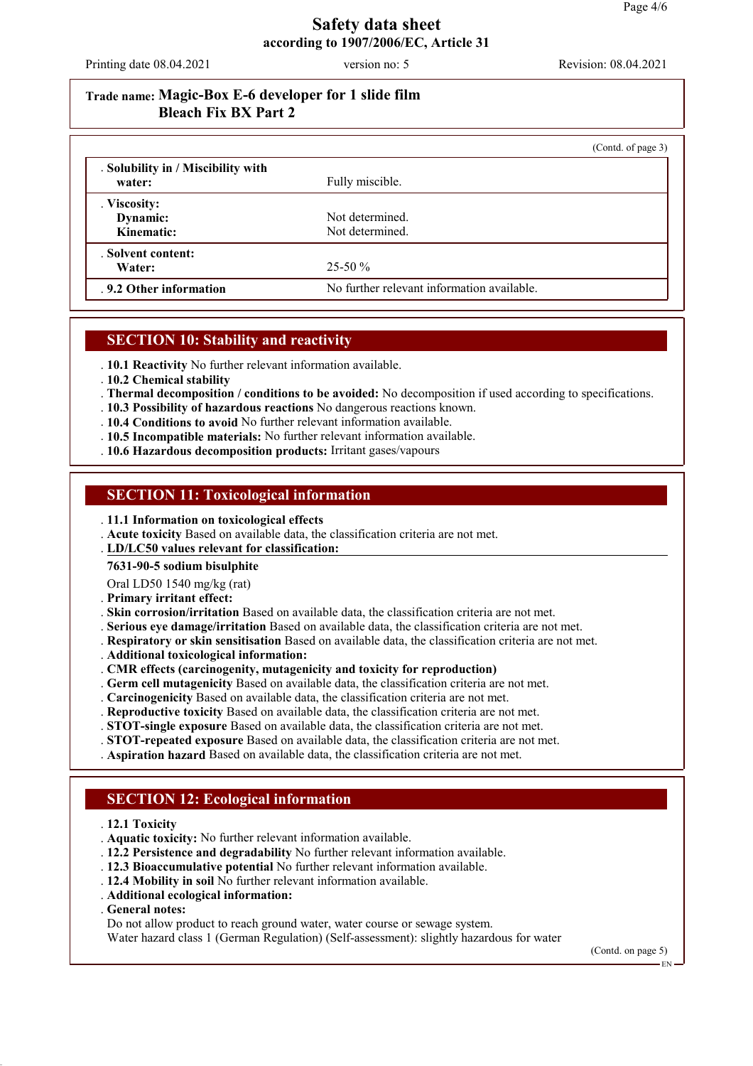Printing date 08.04.2021 version no: 5 Revision: 08.04.2021

# **Trade name: Magic-Box E-6 developer for 1 slide film Bleach Fix BX Part 2**

|                                              | (Contd. of page 3)                         |
|----------------------------------------------|--------------------------------------------|
| . Solubility in / Miscibility with<br>water: | Fully miscible.                            |
| . Viscosity:<br>Dynamic:<br>Kinematic:       | Not determined.<br>Not determined.         |
| . Solvent content:<br>Water:                 | $25-50\%$                                  |
| .9.2 Other information                       | No further relevant information available. |

## **SECTION 10: Stability and reactivity**

. **10.1 Reactivity** No further relevant information available.

- . **10.2 Chemical stability**
- . **Thermal decomposition / conditions to be avoided:** No decomposition if used according to specifications.
- . **10.3 Possibility of hazardous reactions** No dangerous reactions known.
- . **10.4 Conditions to avoid** No further relevant information available.
- . **10.5 Incompatible materials:** No further relevant information available.
- . **10.6 Hazardous decomposition products:** Irritant gases/vapours

### **SECTION 11: Toxicological information**

- . **11.1 Information on toxicological effects**
- . **Acute toxicity** Based on available data, the classification criteria are not met.
- **LD/LC50 values relevant for classification:** .

#### **7631-90-5 sodium bisulphite**

Oral LD50 1540 mg/kg (rat)

- . **Primary irritant effect:**
- . **Skin corrosion/irritation** Based on available data, the classification criteria are not met.
- . **Serious eye damage/irritation** Based on available data, the classification criteria are not met.
- . **Respiratory or skin sensitisation** Based on available data, the classification criteria are not met.
- . **Additional toxicological information:**
- . **CMR effects (carcinogenity, mutagenicity and toxicity for reproduction)**
- . **Germ cell mutagenicity** Based on available data, the classification criteria are not met.
- . **Carcinogenicity** Based on available data, the classification criteria are not met.
- . **Reproductive toxicity** Based on available data, the classification criteria are not met.
- . **STOT-single exposure** Based on available data, the classification criteria are not met.
- . **STOT-repeated exposure** Based on available data, the classification criteria are not met.
- . **Aspiration hazard** Based on available data, the classification criteria are not met.

### **SECTION 12: Ecological information**

- . **12.1 Toxicity**
- . **Aquatic toxicity:** No further relevant information available.
- . **12.2 Persistence and degradability** No further relevant information available.
- . **12.3 Bioaccumulative potential** No further relevant information available.
- . **12.4 Mobility in soil** No further relevant information available.
- . **Additional ecological information:**
- . **General notes:**
- Do not allow product to reach ground water, water course or sewage system.

Water hazard class 1 (German Regulation) (Self-assessment): slightly hazardous for water

(Contd. on page 5)

EN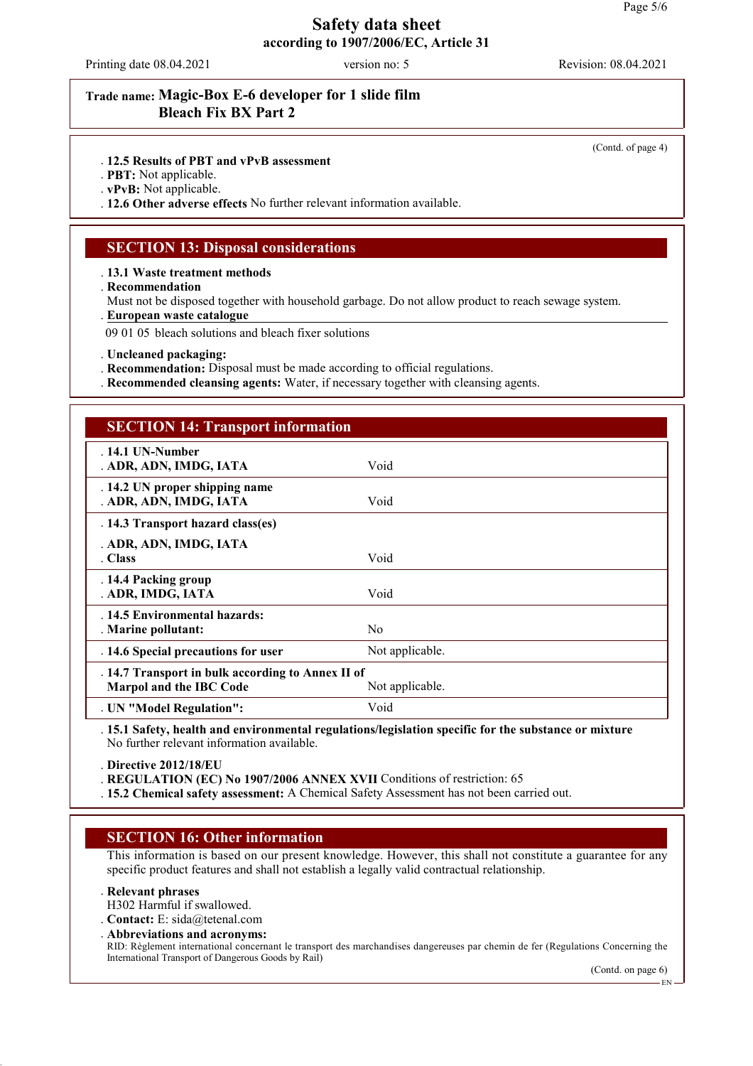Printing date 08.04.2021 version no: 5 Revision: 08.04.2021

### **Trade name: Magic-Box E-6 developer for 1 slide film Bleach Fix BX Part 2**

(Contd. of page 4)

#### . **12.5 Results of PBT and vPvB assessment**

. **PBT:** Not applicable.

. **vPvB:** Not applicable.

. **12.6 Other adverse effects** No further relevant information available.

#### **SECTION 13: Disposal considerations**

. **13.1 Waste treatment methods**

. **Recommendation**

Must not be disposed together with household garbage. Do not allow product to reach sewage system.

**European waste catalogue** .

09 01 05 bleach solutions and bleach fixer solutions

. **Uncleaned packaging:**

- . **Recommendation:** Disposal must be made according to official regulations.
- . **Recommended cleansing agents:** Water, if necessary together with cleansing agents.

### **SECTION 14: Transport information**

| $.14.1$ UN-Number<br>. ADR, ADN, IMDG, IATA                                                     | Void            |  |
|-------------------------------------------------------------------------------------------------|-----------------|--|
| . 14.2 UN proper shipping name<br>. ADR, ADN, IMDG, IATA                                        | Void            |  |
| . 14.3 Transport hazard class(es)                                                               |                 |  |
| . ADR, ADN, IMDG, IATA                                                                          |                 |  |
| . Class                                                                                         | Void            |  |
| . 14.4 Packing group<br>. ADR, IMDG, IATA                                                       | Void            |  |
| . 14.5 Environmental hazards:<br>. Marine pollutant:                                            | N <sub>0</sub>  |  |
| . 14.6 Special precautions for user                                                             | Not applicable. |  |
| . 14.7 Transport in bulk according to Annex II of<br>Marpol and the IBC Code<br>Not applicable. |                 |  |
| . UN "Model Regulation":                                                                        | Void            |  |

. **15.1 Safety, health and environmental regulations/legislation specific for the substance or mixture** No further relevant information available.

. **Directive 2012/18/EU**

. **REGULATION (EC) No 1907/2006 ANNEX XVII** Conditions of restriction: 65

. **15.2 Chemical safety assessment:** A Chemical Safety Assessment has not been carried out.

#### **SECTION 16: Other information**

This information is based on our present knowledge. However, this shall not constitute a guarantee for any specific product features and shall not establish a legally valid contractual relationship.

#### . **Relevant phrases**

H302 Harmful if swallowed.

. **Contact:** E: sida@tetenal.com

. **Abbreviations and acronyms:** RID: Règlement international concernant le transport des marchandises dangereuses par chemin de fer (Regulations Concerning the International Transport of Dangerous Goods by Rail)

(Contd. on page 6)

EN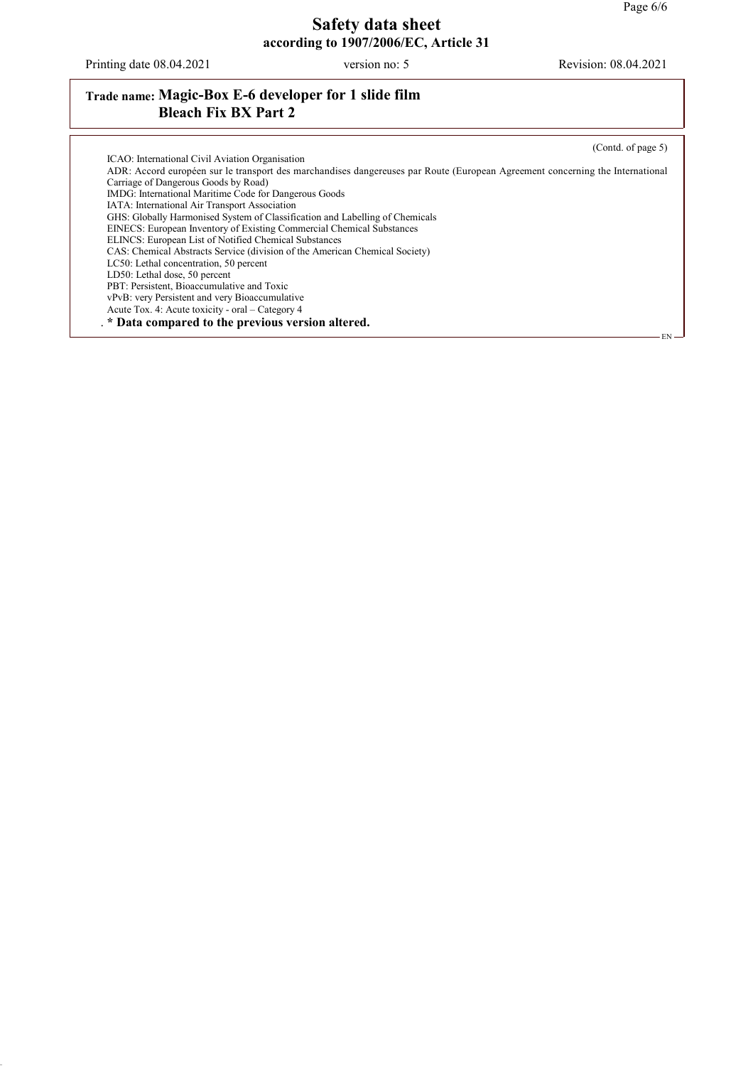Printing date 08.04.2021 version no: 5 Revision: 08.04.2021

# **Trade name: Magic-Box E-6 developer for 1 slide film Bleach Fix BX Part 2**

(Contd. of page 5)

| ICAO: International Civil Aviation Organisation                                                                               |  |
|-------------------------------------------------------------------------------------------------------------------------------|--|
| ADR: Accord européen sur le transport des marchandises dangereuses par Route (European Agreement concerning the International |  |
| Carriage of Dangerous Goods by Road)                                                                                          |  |
| IMDG: International Maritime Code for Dangerous Goods                                                                         |  |
| IATA: International Air Transport Association                                                                                 |  |
| GHS: Globally Harmonised System of Classification and Labelling of Chemicals                                                  |  |
| EINECS: European Inventory of Existing Commercial Chemical Substances                                                         |  |
| ELINCS: European List of Notified Chemical Substances                                                                         |  |
| CAS: Chemical Abstracts Service (division of the American Chemical Society)                                                   |  |
| LC50: Lethal concentration, 50 percent                                                                                        |  |
| LD50: Lethal dose, 50 percent                                                                                                 |  |
| PBT: Persistent, Bioaccumulative and Toxic                                                                                    |  |
| vPvB: very Persistent and very Bioaccumulative                                                                                |  |
| Acute Tox. 4: Acute toxicity - oral – Category 4                                                                              |  |
| . * Data compared to the previous version altered.                                                                            |  |
| EN –                                                                                                                          |  |
|                                                                                                                               |  |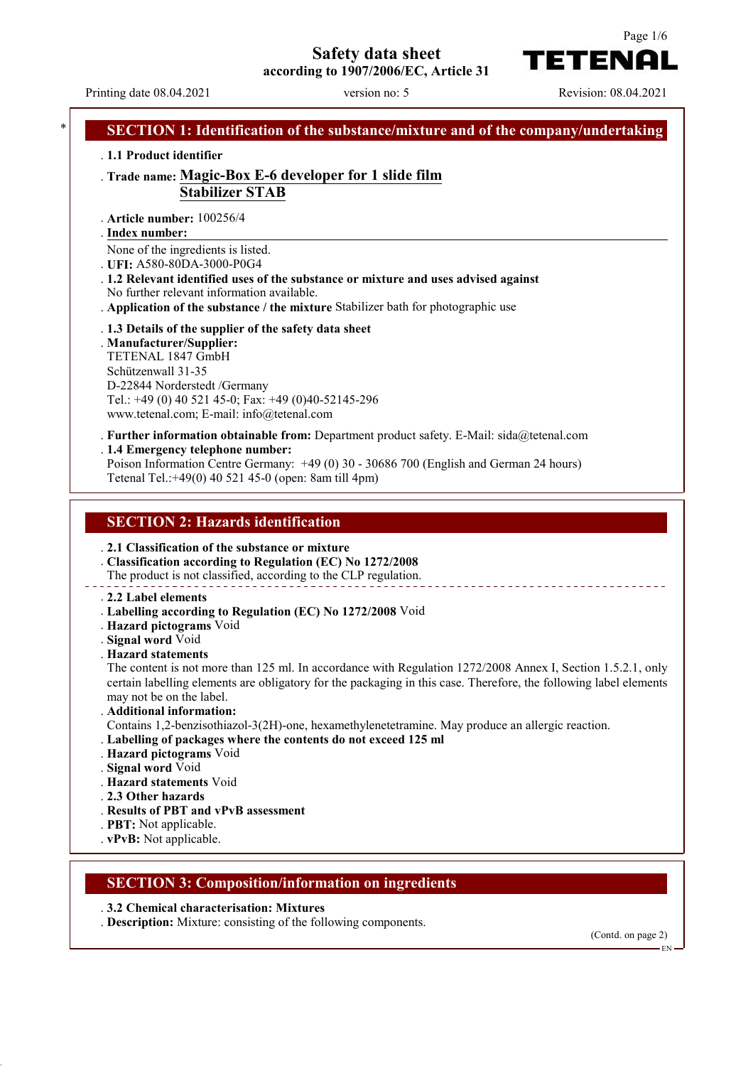**Safety data sheet**

**according to 1907/2006/EC, Article 31**

Printing date 08.04.2021 version no: 5 Revision: 08.04.2021

**TETENAL** 

| . 1.1 Product identifier                                                                                                                                                                           |                                                                                                                                                                                                                                                                                                                                                                                                         |
|----------------------------------------------------------------------------------------------------------------------------------------------------------------------------------------------------|---------------------------------------------------------------------------------------------------------------------------------------------------------------------------------------------------------------------------------------------------------------------------------------------------------------------------------------------------------------------------------------------------------|
|                                                                                                                                                                                                    | Trade name: Magic-Box E-6 developer for 1 slide film<br><b>Stabilizer STAB</b>                                                                                                                                                                                                                                                                                                                          |
| . Article number: 100256/4<br>. Index number:                                                                                                                                                      |                                                                                                                                                                                                                                                                                                                                                                                                         |
| None of the ingredients is listed.<br>. UFI: A580-80DA-3000-P0G4<br>No further relevant information available.                                                                                     | . 1.2 Relevant identified uses of the substance or mixture and uses advised against<br>. Application of the substance / the mixture Stabilizer bath for photographic use                                                                                                                                                                                                                                |
| . Manufacturer/Supplier:<br>TETENAL 1847 GmbH<br>Schützenwall 31-35<br>D-22844 Norderstedt /Germany<br>www.tetenal.com; E-mail: info@tetenal.com                                                   | . 1.3 Details of the supplier of the safety data sheet<br>Tel.: +49 (0) 40 521 45-0; Fax: +49 (0)40-52145-296                                                                                                                                                                                                                                                                                           |
| . 1.4 Emergency telephone number:                                                                                                                                                                  | . Further information obtainable from: Department product safety. E-Mail: $sida@tetenal.com$<br>Poison Information Centre Germany: +49 (0) 30 - 30686 700 (English and German 24 hours)<br>Tetenal Tel.:+49(0) 40 521 45-0 (open: 8am till 4pm)                                                                                                                                                         |
| <b>SECTION 2: Hazards identification</b>                                                                                                                                                           |                                                                                                                                                                                                                                                                                                                                                                                                         |
| . 2.2 Label elements<br>. Hazard pictograms Void                                                                                                                                                   | . 2.1 Classification of the substance or mixture<br>Classification according to Regulation (EC) No 1272/2008<br>The product is not classified, according to the CLP regulation.<br>. Labelling according to Regulation (EC) No 1272/2008 Void                                                                                                                                                           |
| . Signal word Void<br><b>Hazard statements</b>                                                                                                                                                     |                                                                                                                                                                                                                                                                                                                                                                                                         |
| may not be on the label.<br>. Additional information:<br>. Hazard pictograms Void<br>. Signal word Void<br>. Hazard statements Void<br>. 2.3 Other hazards<br>. Results of PBT and vPvB assessment | The content is not more than 125 ml. In accordance with Regulation 1272/2008 Annex I, Section 1.5.2.1, only<br>certain labelling elements are obligatory for the packaging in this case. Therefore, the following label elements<br>Contains 1,2-benzisothiazol-3(2H)-one, hexamethylenetetramine. May produce an allergic reaction.<br>. Labelling of packages where the contents do not exceed 125 ml |
| . PBT: Not applicable.<br>. vPvB: Not applicable.                                                                                                                                                  | <b>SECTION 3: Composition/information on ingredients</b>                                                                                                                                                                                                                                                                                                                                                |

Page 1/6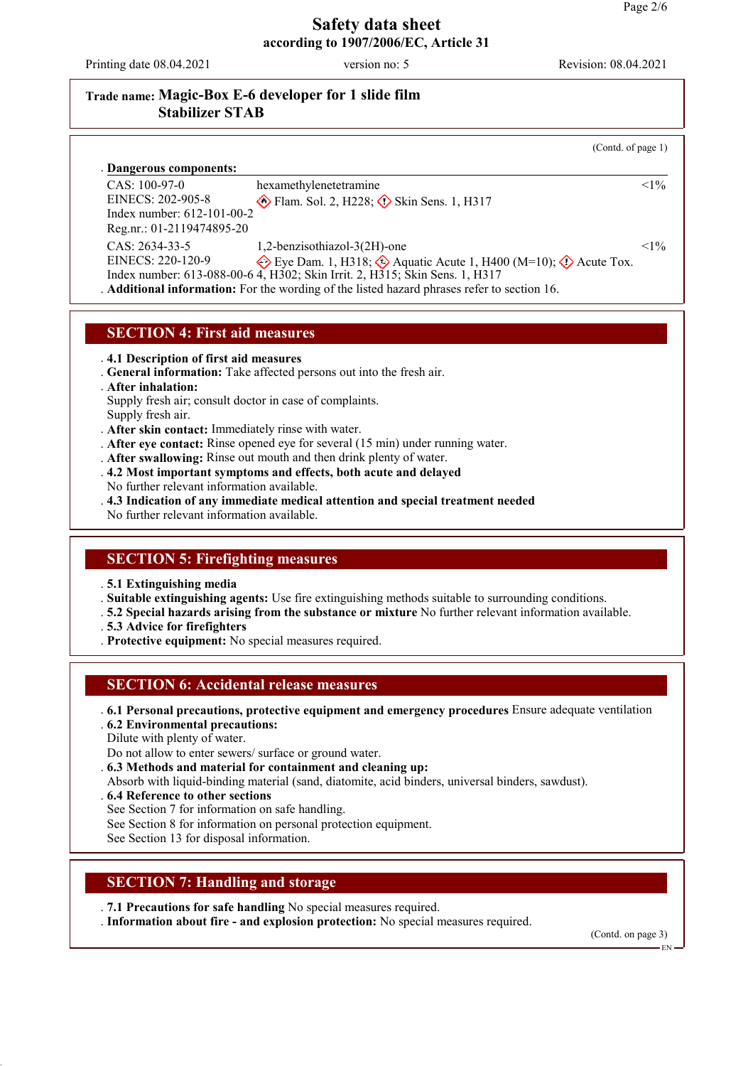Printing date 08.04.2021 version no: 5 Revision: 08.04.2021

## **Trade name: Magic-Box E-6 developer for 1 slide film Stabilizer STAB**

(Contd. of page 1)

**Dangerous components:** . CAS: 100-97-0 EINECS: 202-905-8 Index number: 612-101-00-2 Reg.nr.: 01-2119474895-20 hexamethylenetetramine  $\circ$  Flam. Sol. 2, H228;  $\circ$  Skin Sens. 1, H317  $1\%$ CAS: 2634-33-5 EINECS: 220-120-9 Index number: 613-088-00-6 1,2-benzisothiazol-3(2H)-one Eye Dam. 1, H318;  $\Diamond$  Aquatic Acute 1, H400 (M=10);  $\Diamond$  Acute Tox. 4, H302; Skin Irrit. 2, H315; Skin Sens. 1, H317  $<1\%$ . **Additional information:** For the wording of the listed hazard phrases refer to section 16.

#### **SECTION 4: First aid measures**

. **4.1 Description of first aid measures**

- . **General information:** Take affected persons out into the fresh air.
- . **After inhalation:**
- Supply fresh air; consult doctor in case of complaints. Supply fresh air.
- . **After skin contact:** Immediately rinse with water.
- . **After eye contact:** Rinse opened eye for several (15 min) under running water.
- . **After swallowing:** Rinse out mouth and then drink plenty of water.
- . **4.2 Most important symptoms and effects, both acute and delayed**
- No further relevant information available.
- . **4.3 Indication of any immediate medical attention and special treatment needed**
- No further relevant information available.

## **SECTION 5: Firefighting measures**

. **5.1 Extinguishing media**

. **Suitable extinguishing agents:** Use fire extinguishing methods suitable to surrounding conditions.

- . **5.2 Special hazards arising from the substance or mixture** No further relevant information available.
- . **5.3 Advice for firefighters**
- . **Protective equipment:** No special measures required.

### **SECTION 6: Accidental release measures**

. **6.1 Personal precautions, protective equipment and emergency procedures** Ensure adequate ventilation

. **6.2 Environmental precautions:**

Dilute with plenty of water.

Do not allow to enter sewers/ surface or ground water.

. **6.3 Methods and material for containment and cleaning up:**

Absorb with liquid-binding material (sand, diatomite, acid binders, universal binders, sawdust).

- . **6.4 Reference to other sections**
- See Section 7 for information on safe handling.
- See Section 8 for information on personal protection equipment.
- See Section 13 for disposal information.

### **SECTION 7: Handling and storage**

. **7.1 Precautions for safe handling** No special measures required.

. **Information about fire - and explosion protection:** No special measures required.

(Contd. on page 3)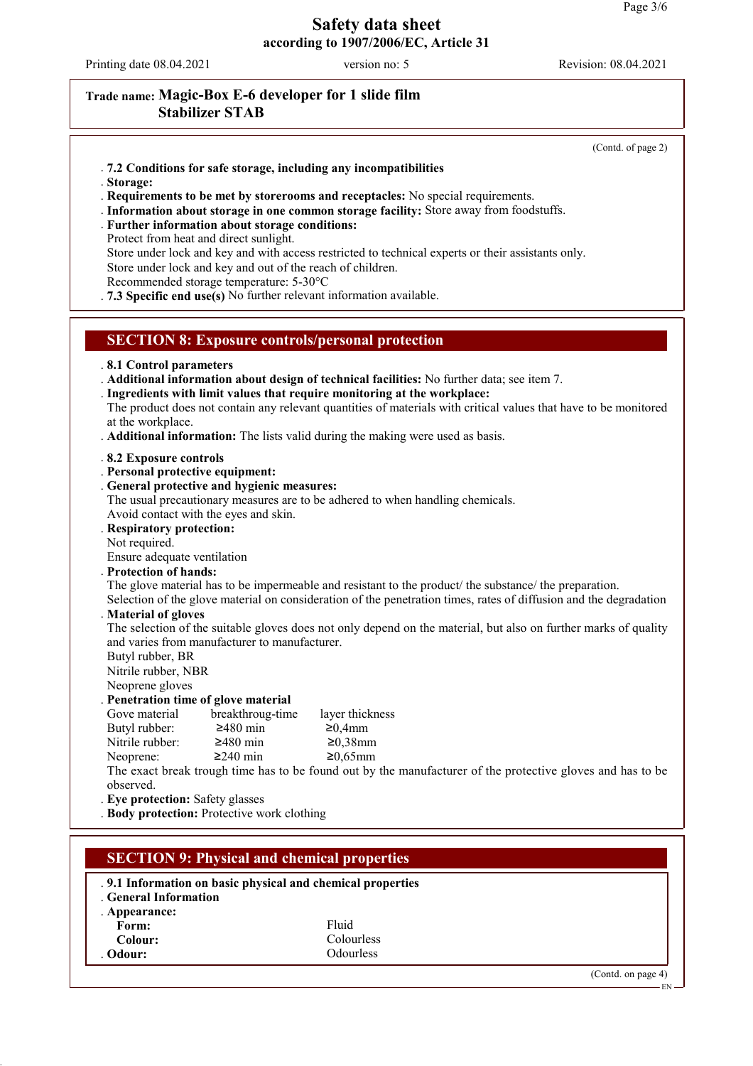Printing date 08.04.2021 version no: 5 Revision: 08.04.2021

. **General Information**

Form: Fluid<br> **Colour:** Fluid<br>
Colour: Colou **Colour:** Colourless<br> **Colour:** Colourless<br>
Colourless

. **Appearance:**

# **Trade name: Magic-Box E-6 developer for 1 slide film Stabilizer STAB**

(Contd. of page 2)

(Contd. on page 4)

EN

| .7.2 Conditions for safe storage, including any incompatibilities<br>. Storage:<br>. Requirements to be met by storerooms and receptacles: No special requirements.<br>. Information about storage in one common storage facility: Store away from foodstuffs.<br>. Further information about storage conditions:<br>Protect from heat and direct sunlight.<br>Store under lock and key and with access restricted to technical experts or their assistants only.<br>Store under lock and key and out of the reach of children.<br>Recommended storage temperature: 5-30°C<br>.7.3 Specific end use(s) No further relevant information available. |
|---------------------------------------------------------------------------------------------------------------------------------------------------------------------------------------------------------------------------------------------------------------------------------------------------------------------------------------------------------------------------------------------------------------------------------------------------------------------------------------------------------------------------------------------------------------------------------------------------------------------------------------------------|
| <b>SECTION 8: Exposure controls/personal protection</b>                                                                                                                                                                                                                                                                                                                                                                                                                                                                                                                                                                                           |
| .8.1 Control parameters<br>. Additional information about design of technical facilities: No further data; see item 7.<br>. Ingredients with limit values that require monitoring at the workplace:<br>The product does not contain any relevant quantities of materials with critical values that have to be monitored<br>at the workplace.<br>. Additional information: The lists valid during the making were used as basis.                                                                                                                                                                                                                   |
| .8.2 Exposure controls<br>. Personal protective equipment:<br>. General protective and hygienic measures:<br>The usual precautionary measures are to be adhered to when handling chemicals.<br>Avoid contact with the eyes and skin.<br>. Respiratory protection:<br>Not required.<br>Ensure adequate ventilation                                                                                                                                                                                                                                                                                                                                 |
| . Protection of hands:<br>The glove material has to be impermeable and resistant to the product the substance the preparation.<br>Selection of the glove material on consideration of the penetration times, rates of diffusion and the degradation                                                                                                                                                                                                                                                                                                                                                                                               |
| . Material of gloves<br>The selection of the suitable gloves does not only depend on the material, but also on further marks of quality<br>and varies from manufacturer to manufacturer.<br>Butyl rubber, BR<br>Nitrile rubber, NBR<br>Neoprene gloves                                                                                                                                                                                                                                                                                                                                                                                            |
| Penetration time of glove material<br>breakthroug-time<br>layer thickness<br>Gove material<br>Butyl rubber:<br>$≥480$ min<br>≥0,4mm<br>Nitrile rubber:<br>$≥480$ min<br>$≥0,38$ mm<br>$≥240$ min<br>$≥0,65$ mm<br>Neoprene:<br>The exact break trough time has to be found out by the manufacturer of the protective gloves and has to be<br>observed.<br>. Eye protection: Safety glasses<br>. Body protection: Protective work clothing                                                                                                                                                                                                         |
| <b>SECTION 9: Physical and chemical properties</b><br>.9.1 Information on basic physical and chemical properties                                                                                                                                                                                                                                                                                                                                                                                                                                                                                                                                  |

. **Odour:** Odourless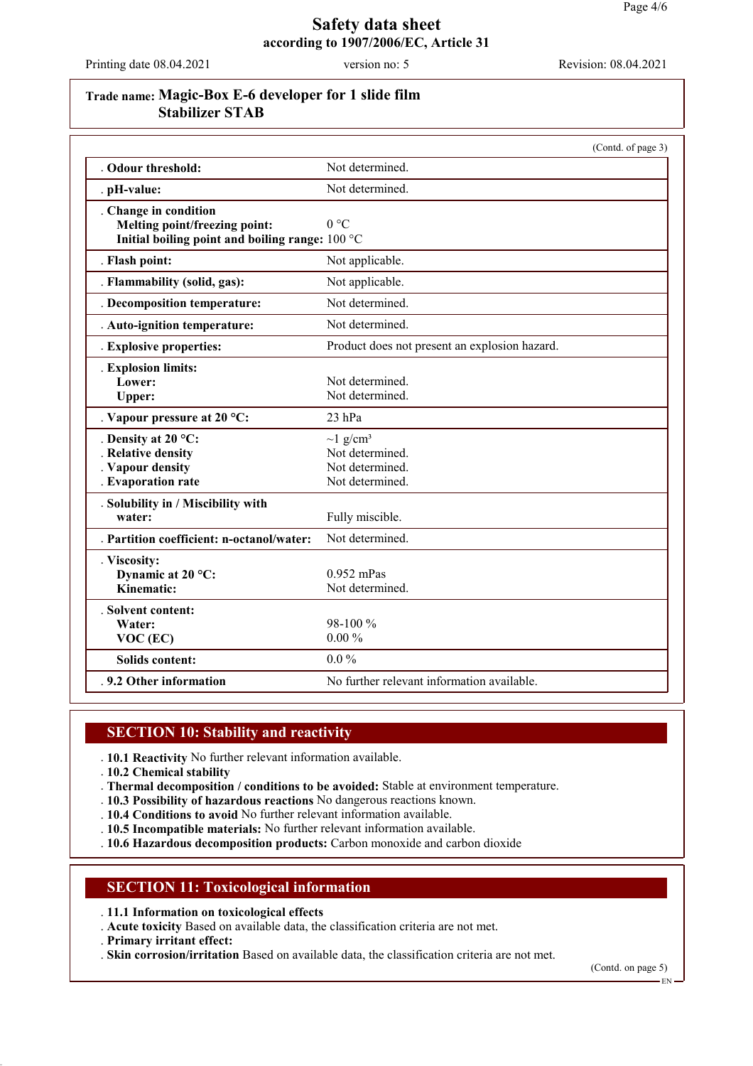Printing date 08.04.2021 version no: 5 Revision: 08.04.2021

## **Trade name: Magic-Box E-6 developer for 1 slide film Stabilizer STAB**

|                                                                                                           | (Contd. of page 3)                                                                  |
|-----------------------------------------------------------------------------------------------------------|-------------------------------------------------------------------------------------|
| . Odour threshold:                                                                                        | Not determined.                                                                     |
| . pH-value:                                                                                               | Not determined.                                                                     |
| . Change in condition<br>Melting point/freezing point:<br>Initial boiling point and boiling range: 100 °C | 0 °C                                                                                |
| . Flash point:                                                                                            | Not applicable.                                                                     |
| . Flammability (solid, gas):                                                                              | Not applicable.                                                                     |
| . Decomposition temperature:                                                                              | Not determined.                                                                     |
| . Auto-ignition temperature:                                                                              | Not determined.                                                                     |
| . Explosive properties:                                                                                   | Product does not present an explosion hazard.                                       |
| . Explosion limits:<br>Lower:<br>Upper:                                                                   | Not determined.<br>Not determined.                                                  |
| . Vapour pressure at 20 °C:                                                                               | $23$ hPa                                                                            |
| . Density at 20 $^{\circ}$ C:<br><b>Relative density</b><br>Vapour density<br>. Evaporation rate          | $\sim$ 1 g/cm <sup>3</sup><br>Not determined.<br>Not determined.<br>Not determined. |
| . Solubility in / Miscibility with<br>water:                                                              | Fully miscible.                                                                     |
| . Partition coefficient: n-octanol/water:                                                                 | Not determined.                                                                     |
| . Viscosity:<br>Dynamic at 20 °C:<br>Kinematic:                                                           | $0.952$ mPas<br>Not determined.                                                     |
| . Solvent content:<br>Water:<br>$VOC$ (EC)                                                                | $98-100\%$<br>$0.00\%$                                                              |
| <b>Solids content:</b>                                                                                    | $0.0\%$                                                                             |
| .9.2 Other information                                                                                    | No further relevant information available.                                          |

### **SECTION 10: Stability and reactivity**

. **10.1 Reactivity** No further relevant information available.

. **10.2 Chemical stability**

- . **Thermal decomposition / conditions to be avoided:** Stable at environment temperature.
- . **10.3 Possibility of hazardous reactions** No dangerous reactions known.
- . **10.4 Conditions to avoid** No further relevant information available.
- . **10.5 Incompatible materials:** No further relevant information available.
- . **10.6 Hazardous decomposition products:** Carbon monoxide and carbon dioxide

## **SECTION 11: Toxicological information**

. **11.1 Information on toxicological effects**

. **Acute toxicity** Based on available data, the classification criteria are not met.

. **Primary irritant effect:**

. **Skin corrosion/irritation** Based on available data, the classification criteria are not met.

(Contd. on page 5)

EN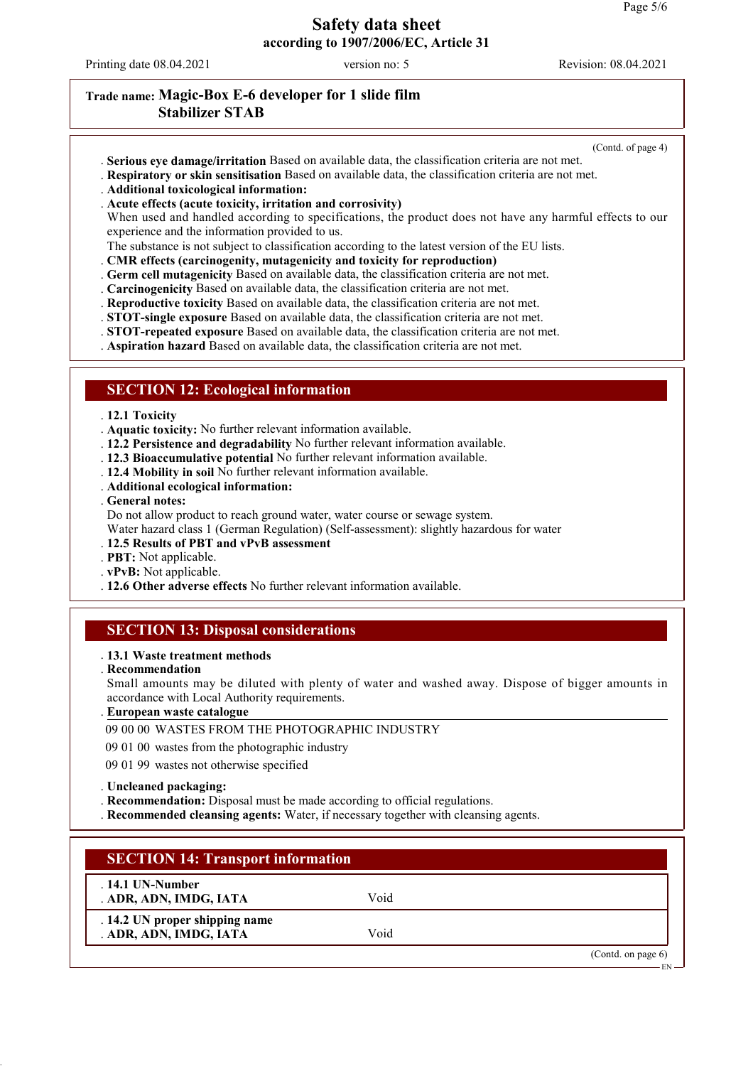Printing date 08.04.2021 version no: 5 Revision: 08.04.2021

## **Trade name: Magic-Box E-6 developer for 1 slide film Stabilizer STAB**

(Contd. of page 4)

- . **Serious eye damage/irritation** Based on available data, the classification criteria are not met.
- . **Respiratory or skin sensitisation** Based on available data, the classification criteria are not met.
- . **Additional toxicological information:**
- . **Acute effects (acute toxicity, irritation and corrosivity)**

When used and handled according to specifications, the product does not have any harmful effects to our experience and the information provided to us.

- The substance is not subject to classification according to the latest version of the EU lists.
- . **CMR effects (carcinogenity, mutagenicity and toxicity for reproduction)**
- . **Germ cell mutagenicity** Based on available data, the classification criteria are not met.
- . **Carcinogenicity** Based on available data, the classification criteria are not met.
- . **Reproductive toxicity** Based on available data, the classification criteria are not met.
- . **STOT-single exposure** Based on available data, the classification criteria are not met.
- . **STOT-repeated exposure** Based on available data, the classification criteria are not met.
- . **Aspiration hazard** Based on available data, the classification criteria are not met.

#### **SECTION 12: Ecological information**

#### . **12.1 Toxicity**

. **Aquatic toxicity:** No further relevant information available.

- . **12.2 Persistence and degradability** No further relevant information available.
- . **12.3 Bioaccumulative potential** No further relevant information available.
- . **12.4 Mobility in soil** No further relevant information available.
- . **Additional ecological information:**
- . **General notes:**

Do not allow product to reach ground water, water course or sewage system.

- Water hazard class 1 (German Regulation) (Self-assessment): slightly hazardous for water
- . **12.5 Results of PBT and vPvB assessment**
- . **PBT:** Not applicable.
- . **vPvB:** Not applicable.
- . **12.6 Other adverse effects** No further relevant information available.

### **SECTION 13: Disposal considerations**

#### . **13.1 Waste treatment methods**

. **Recommendation**

Small amounts may be diluted with plenty of water and washed away. Dispose of bigger amounts in accordance with Local Authority requirements.

#### **European waste catalogue** .

#### 09 00 00 WASTES FROM THE PHOTOGRAPHIC INDUSTRY

09 01 00 wastes from the photographic industry

09 01 99 wastes not otherwise specified

#### . **Uncleaned packaging:**

. **Recommendation:** Disposal must be made according to official regulations.

. **Recommended cleansing agents:** Water, if necessary together with cleansing agents.

| <b>SECTION 14: Transport information</b>                 |      |                       |
|----------------------------------------------------------|------|-----------------------|
| $.14.1$ UN-Number<br>. ADR, ADN, IMDG, IATA              | Void |                       |
| . 14.2 UN proper shipping name<br>. ADR, ADN, IMDG, IATA | Void |                       |
|                                                          |      | (Contd. on page $6$ ) |